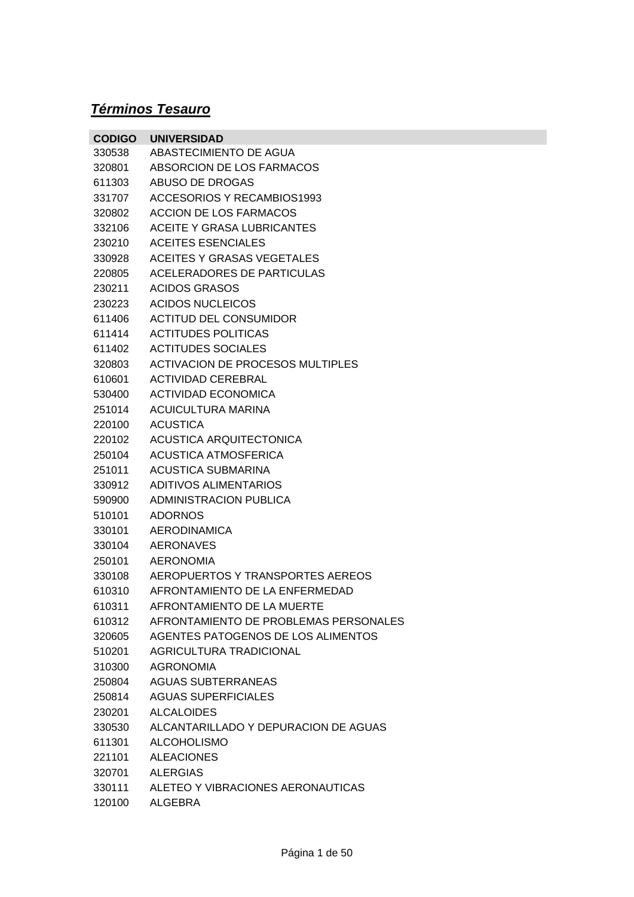## *Términos Tesauro*

| <b>CODIGO</b> | <b>UNIVERSIDAD</b>                      |
|---------------|-----------------------------------------|
| 330538        | ABASTECIMIENTO DE AGUA                  |
| 320801        | ABSORCION DE LOS FARMACOS               |
| 611303        | ABUSO DE DROGAS                         |
| 331707        | ACCESORIOS Y RECAMBIOS1993              |
| 320802        | <b>ACCION DE LOS FARMACOS</b>           |
| 332106        | <b>ACEITE Y GRASA LUBRICANTES</b>       |
| 230210        | <b>ACEITES ESENCIALES</b>               |
| 330928        | <b>ACEITES Y GRASAS VEGETALES</b>       |
| 220805        | ACELERADORES DE PARTICULAS              |
| 230211        | ACIDOS GRASOS                           |
| 230223        | <b>ACIDOS NUCLEICOS</b>                 |
| 611406        | <b>ACTITUD DEL CONSUMIDOR</b>           |
| 611414        | <b>ACTITUDES POLITICAS</b>              |
| 611402        | <b>ACTITUDES SOCIALES</b>               |
| 320803        | <b>ACTIVACION DE PROCESOS MULTIPLES</b> |
| 610601        | <b>ACTIVIDAD CEREBRAL</b>               |
| 530400        | ACTIVIDAD ECONOMICA                     |
| 251014        | ACUICULTURA MARINA                      |
| 220100        | <b>ACUSTICA</b>                         |
| 220102        | ACUSTICA ARQUITECTONICA                 |
| 250104        | ACUSTICA ATMOSFERICA                    |
| 251011        | <b>ACUSTICA SUBMARINA</b>               |
| 330912        | <b>ADITIVOS ALIMENTARIOS</b>            |
| 590900        | <b>ADMINISTRACION PUBLICA</b>           |
| 510101        | <b>ADORNOS</b>                          |
| 330101        | <b>AERODINAMICA</b>                     |
| 330104        | <b>AERONAVES</b>                        |
| 250101        | <b>AERONOMIA</b>                        |
| 330108        | AEROPUERTOS Y TRANSPORTES AEREOS        |
| 610310        | AFRONTAMIENTO DE LA ENFERMEDAD          |
| 610311        | AFRONTAMIENTO DE LA MUERTE              |
| 610312        | AFRONTAMIENTO DE PROBLEMAS PERSONALES   |
| 320605        | AGENTES PATOGENOS DE LOS ALIMENTOS      |
| 510201        | AGRICULTURA TRADICIONAL                 |
| 310300        | <b>AGRONOMIA</b>                        |
| 250804        | <b>AGUAS SUBTERRANEAS</b>               |
| 250814        | <b>AGUAS SUPERFICIALES</b>              |
| 230201        | <b>ALCALOIDES</b>                       |
| 330530        | ALCANTARILLADO Y DEPURACION DE AGUAS    |
| 611301        | <b>ALCOHOLISMO</b>                      |
| 221101        | <b>ALEACIONES</b>                       |
| 320701        | <b>ALERGIAS</b>                         |
| 330111        | ALETEO Y VIBRACIONES AERONAUTICAS       |
| 120100        | ALGEBRA                                 |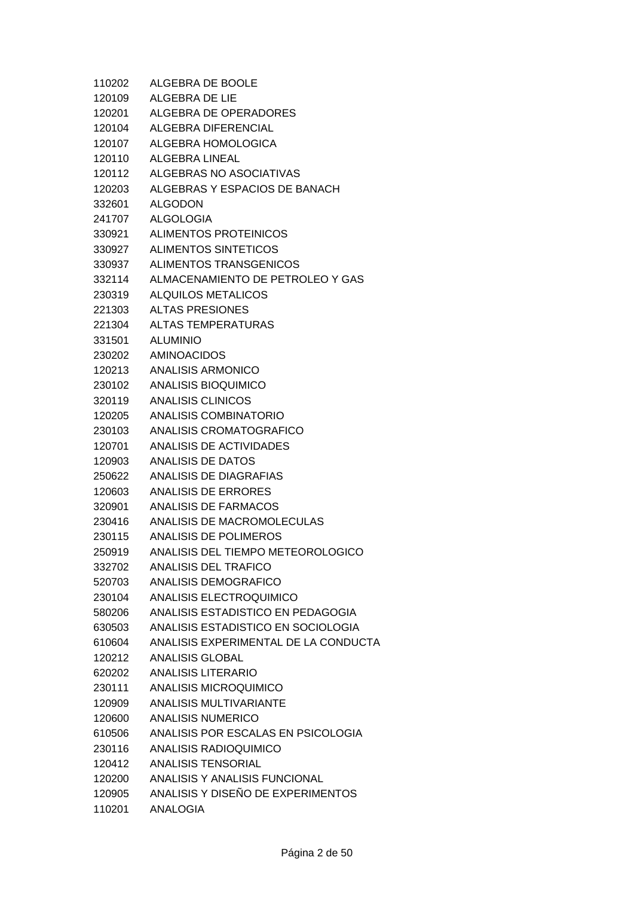| 110202 | ALGEBRA DE BOOLE                            |
|--------|---------------------------------------------|
| 120109 | ALGEBRA DE LIE                              |
|        | 120201 ALGEBRA DE OPERADORES                |
|        | 120104 ALGEBRA DIFERENCIAL                  |
|        | 120107 ALGEBRA HOMOLOGICA                   |
| 120110 | <b>ALGEBRA LINEAL</b>                       |
| 120112 | ALGEBRAS NO ASOCIATIVAS                     |
|        | 120203 ALGEBRAS Y ESPACIOS DE BANACH        |
|        | 332601 ALGODON                              |
|        | 241707 ALGOLOGIA                            |
|        | 330921 ALIMENTOS PROTEINICOS                |
|        | 330927 ALIMENTOS SINTETICOS                 |
|        | 330937 ALIMENTOS TRANSGENICOS               |
|        | 332114 ALMACENAMIENTO DE PETROLEO Y GAS     |
| 230319 | <b>ALQUILOS METALICOS</b>                   |
|        | 221303 ALTAS PRESIONES                      |
|        | 221304 ALTAS TEMPERATURAS                   |
|        | 331501 ALUMINIO                             |
|        | 230202 AMINOACIDOS                          |
|        | 120213 ANALISIS ARMONICO                    |
|        | 230102 ANALISIS BIOQUIMICO                  |
|        | 320119 ANALISIS CLINICOS                    |
|        | 120205 ANALISIS COMBINATORIO                |
|        | 230103 ANALISIS CROMATOGRAFICO              |
|        | 120701 ANALISIS DE ACTIVIDADES              |
|        | 120903 ANALISIS DE DATOS                    |
|        | 250622 ANALISIS DE DIAGRAFIAS               |
|        | 120603 ANALISIS DE ERRORES                  |
|        | 320901 ANALISIS DE FARMACOS                 |
|        | 230416 ANALISIS DE MACROMOLECULAS           |
|        | 230115 ANALISIS DE POLIMEROS                |
| 250919 | ANALISIS DEL TIEMPO METEOROLOGICO           |
| 332702 | <b>ANALISIS DEL TRAFICO</b>                 |
| 520703 | ANALISIS DEMOGRAFICO                        |
| 230104 | ANALISIS ELECTROQUIMICO                     |
| 580206 | ANALISIS ESTADISTICO EN PEDAGOGIA           |
| 630503 | ANALISIS ESTADISTICO EN SOCIOLOGIA          |
|        | 610604 ANALISIS EXPERIMENTAL DE LA CONDUCTA |
| 120212 | ANALISIS GLOBAL                             |
| 620202 | ANALISIS LITERARIO                          |
| 230111 | ANALISIS MICROQUIMICO                       |
| 120909 | <b>ANALISIS MULTIVARIANTE</b>               |
| 120600 | ANALISIS NUMERICO                           |
|        | 610506 ANALISIS POR ESCALAS EN PSICOLOGIA   |
| 230116 | ANALISIS RADIOQUIMICO                       |
| 120412 | ANALISIS TENSORIAL                          |
| 120200 | ANALISIS Y ANALISIS FUNCIONAL               |
| 120905 | ANALISIS Y DISEÑO DE EXPERIMENTOS           |
| 110201 | <b>ANALOGIA</b>                             |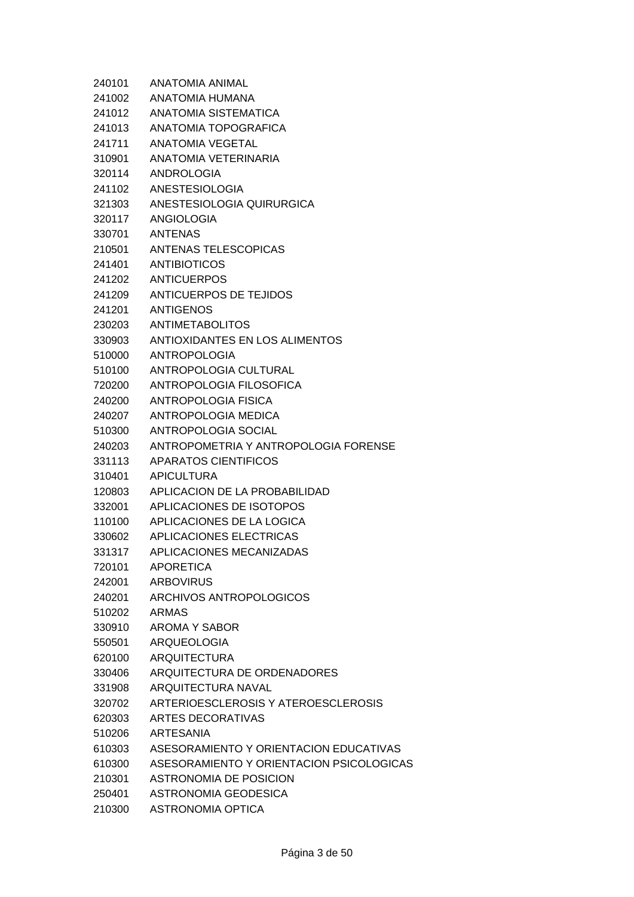| 240101 | ANATOMIA ANIMAL                          |
|--------|------------------------------------------|
| 241002 | ANATOMIA HUMANA                          |
| 241012 | ANATOMIA SISTEMATICA                     |
| 241013 | ANATOMIA TOPOGRAFICA                     |
| 241711 | <b>ANATOMIA VEGETAL</b>                  |
| 310901 | ANATOMIA VETERINARIA                     |
| 320114 | <b>ANDROLOGIA</b>                        |
| 241102 | <b>ANESTESIOLOGIA</b>                    |
| 321303 | ANESTESIOLOGIA QUIRURGICA                |
| 320117 | ANGIOLOGIA                               |
| 330701 | <b>ANTENAS</b>                           |
| 210501 | ANTENAS TELESCOPICAS                     |
| 241401 | <b>ANTIBIOTICOS</b>                      |
| 241202 | <b>ANTICUERPOS</b>                       |
| 241209 | <b>ANTICUERPOS DE TEJIDOS</b>            |
| 241201 | ANTIGENOS                                |
| 230203 | <b>ANTIMETABOLITOS</b>                   |
| 330903 | ANTIOXIDANTES EN LOS ALIMENTOS           |
| 510000 | <b>ANTROPOLOGIA</b>                      |
| 510100 | ANTROPOLOGIA CULTURAL                    |
| 720200 | ANTROPOLOGIA FILOSOFICA                  |
| 240200 | ANTROPOLOGIA FISICA                      |
| 240207 | ANTROPOLOGIA MEDICA                      |
| 510300 | ANTROPOLOGIA SOCIAL                      |
| 240203 | ANTROPOMETRIA Y ANTROPOLOGIA FORENSE     |
| 331113 | <b>APARATOS CIENTIFICOS</b>              |
| 310401 | <b>APICULTURA</b>                        |
| 120803 | APLICACION DE LA PROBABILIDAD            |
| 332001 | APLICACIONES DE ISOTOPOS                 |
| 110100 | APLICACIONES DE LA LOGICA                |
| 330602 | APLICACIONES ELECTRICAS                  |
| 331317 | APLICACIONES MECANIZADAS                 |
| 720101 | <b>APORETICA</b>                         |
| 242001 | <b>ARBOVIRUS</b>                         |
| 240201 | ARCHIVOS ANTROPOLOGICOS                  |
| 510202 | <b>ARMAS</b>                             |
| 330910 | AROMA Y SABOR                            |
| 550501 | <b>ARQUEOLOGIA</b>                       |
| 620100 | <b>ARQUITECTURA</b>                      |
| 330406 | ARQUITECTURA DE ORDENADORES              |
| 331908 | <b>ARQUITECTURA NAVAL</b>                |
| 320702 | ARTERIOESCLEROSIS Y ATEROESCLEROSIS      |
| 620303 | ARTES DECORATIVAS                        |
| 510206 | <b>ARTESANIA</b>                         |
| 610303 | ASESORAMIENTO Y ORIENTACION EDUCATIVAS   |
| 610300 | ASESORAMIENTO Y ORIENTACION PSICOLOGICAS |
| 210301 | ASTRONOMIA DE POSICION                   |
| 250401 | ASTRONOMIA GEODESICA                     |
| 210300 | <b>ASTRONOMIA OPTICA</b>                 |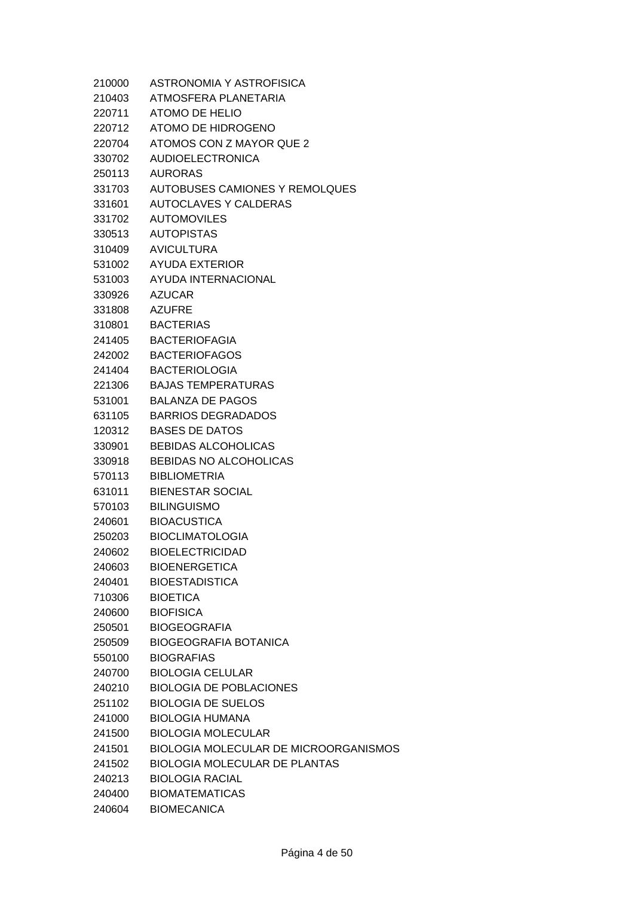| 210000 | ASTRONOMIA Y ASTROFISICA              |
|--------|---------------------------------------|
| 210403 | ATMOSFERA PLANETARIA                  |
| 220711 | ATOMO DE HELIO                        |
| 220712 | ATOMO DE HIDROGENO                    |
| 220704 | ATOMOS CON Z MAYOR QUE 2              |
| 330702 | <b>AUDIOELECTRONICA</b>               |
| 250113 | <b>AURORAS</b>                        |
| 331703 | AUTOBUSES CAMIONES Y REMOLQUES        |
| 331601 | AUTOCLAVES Y CALDERAS                 |
| 331702 | <b>AUTOMOVILES</b>                    |
| 330513 | <b>AUTOPISTAS</b>                     |
| 310409 | AVICULTURA                            |
| 531002 | AYUDA EXTERIOR                        |
| 531003 | AYUDA INTERNACIONAL                   |
| 330926 | AZUCAR                                |
| 331808 | AZUFRE                                |
| 310801 | <b>BACTERIAS</b>                      |
| 241405 | <b>BACTERIOFAGIA</b>                  |
| 242002 | <b>BACTERIOFAGOS</b>                  |
| 241404 | <b>BACTERIOLOGIA</b>                  |
| 221306 | <b>BAJAS TEMPERATURAS</b>             |
| 531001 | <b>BALANZA DE PAGOS</b>               |
| 631105 | <b>BARRIOS DEGRADADOS</b>             |
| 120312 | <b>BASES DE DATOS</b>                 |
| 330901 | <b>BEBIDAS ALCOHOLICAS</b>            |
| 330918 | BEBIDAS NO ALCOHOLICAS                |
| 570113 | <b>BIBLIOMETRIA</b>                   |
| 631011 | <b>BIENESTAR SOCIAL</b>               |
| 570103 | <b>BILINGUISMO</b>                    |
| 240601 | <b>BIOACUSTICA</b>                    |
| 250203 | <b>BIOCLIMATOLOGIA</b>                |
| 240602 | <b>BIOELECTRICIDAD</b>                |
| 240603 | <b>BIOENERGETICA</b>                  |
| 240401 | <b>BIOESTADISTICA</b>                 |
| 710306 | <b>BIOETICA</b>                       |
| 240600 | <b>BIOFISICA</b>                      |
| 250501 | <b>BIOGEOGRAFIA</b>                   |
| 250509 | <b>BIOGEOGRAFIA BOTANICA</b>          |
| 550100 | <b>BIOGRAFIAS</b>                     |
| 240700 | <b>BIOLOGIA CELULAR</b>               |
| 240210 | <b>BIOLOGIA DE POBLACIONES</b>        |
| 251102 | <b>BIOLOGIA DE SUELOS</b>             |
| 241000 | <b>BIOLOGIA HUMANA</b>                |
| 241500 | <b>BIOLOGIA MOLECULAR</b>             |
| 241501 | BIOLOGIA MOLECULAR DE MICROORGANISMOS |
| 241502 | <b>BIOLOGIA MOLECULAR DE PLANTAS</b>  |
| 240213 | <b>BIOLOGIA RACIAL</b>                |
| 240400 | <b>BIOMATEMATICAS</b>                 |
| 240604 | <b>BIOMECANICA</b>                    |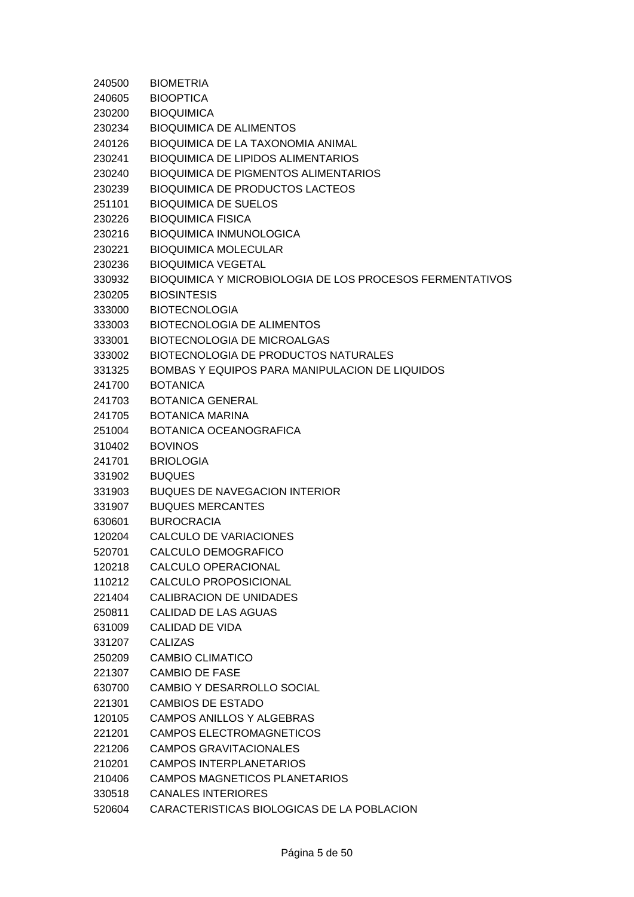| 240500 | <b>BIOMETRIA</b>                                         |
|--------|----------------------------------------------------------|
| 240605 | <b>BIOOPTICA</b>                                         |
| 230200 | <b>BIOQUIMICA</b>                                        |
| 230234 | <b>BIOQUIMICA DE ALIMENTOS</b>                           |
| 240126 | BIOQUIMICA DE LA TAXONOMIA ANIMAL                        |
| 230241 | <b>BIOQUIMICA DE LIPIDOS ALIMENTARIOS</b>                |
| 230240 | <b>BIOQUIMICA DE PIGMENTOS ALIMENTARIOS</b>              |
| 230239 | <b>BIOQUIMICA DE PRODUCTOS LACTEOS</b>                   |
| 251101 | <b>BIOQUIMICA DE SUELOS</b>                              |
| 230226 | <b>BIOQUIMICA FISICA</b>                                 |
| 230216 | <b>BIOQUIMICA INMUNOLOGICA</b>                           |
| 230221 | <b>BIOQUIMICA MOLECULAR</b>                              |
| 230236 | <b>BIOQUIMICA VEGETAL</b>                                |
| 330932 | BIOQUIMICA Y MICROBIOLOGIA DE LOS PROCESOS FERMENTATIVOS |
| 230205 | <b>BIOSINTESIS</b>                                       |
| 333000 | <b>BIOTECNOLOGIA</b>                                     |
| 333003 | <b>BIOTECNOLOGIA DE ALIMENTOS</b>                        |
| 333001 | <b>BIOTECNOLOGIA DE MICROALGAS</b>                       |
| 333002 | BIOTECNOLOGIA DE PRODUCTOS NATURALES                     |
| 331325 | BOMBAS Y EQUIPOS PARA MANIPULACION DE LIQUIDOS           |
| 241700 | <b>BOTANICA</b>                                          |
| 241703 | <b>BOTANICA GENERAL</b>                                  |
| 241705 | <b>BOTANICA MARINA</b>                                   |
| 251004 | BOTANICA OCEANOGRAFICA                                   |
| 310402 | <b>BOVINOS</b>                                           |
| 241701 | <b>BRIOLOGIA</b>                                         |
| 331902 | <b>BUQUES</b>                                            |
| 331903 | <b>BUQUES DE NAVEGACION INTERIOR</b>                     |
| 331907 | <b>BUQUES MERCANTES</b>                                  |
| 630601 | <b>BUROCRACIA</b>                                        |
| 120204 | CALCULO DE VARIACIONES                                   |
| 520701 | CALCULO DEMOGRAFICO                                      |
| 120218 | CALCULO OPERACIONAL                                      |
| 110212 | CALCULO PROPOSICIONAL                                    |
| 221404 | <b>CALIBRACION DE UNIDADES</b>                           |
| 250811 | CALIDAD DE LAS AGUAS                                     |
| 631009 | CALIDAD DE VIDA                                          |
| 331207 | <b>CALIZAS</b>                                           |
| 250209 | <b>CAMBIO CLIMATICO</b>                                  |
| 221307 | CAMBIO DE FASE                                           |
| 630700 | <b>CAMBIO Y DESARROLLO SOCIAL</b>                        |
| 221301 | <b>CAMBIOS DE ESTADO</b>                                 |
| 120105 | CAMPOS ANILLOS Y ALGEBRAS                                |
| 221201 | CAMPOS ELECTROMAGNETICOS                                 |
| 221206 | CAMPOS GRAVITACIONALES                                   |
| 210201 | <b>CAMPOS INTERPLANETARIOS</b>                           |
| 210406 | <b>CAMPOS MAGNETICOS PLANETARIOS</b>                     |
| 330518 | <b>CANALES INTERIORES</b>                                |
| 520604 | CARACTERISTICAS BIOLOGICAS DE LA POBLACION               |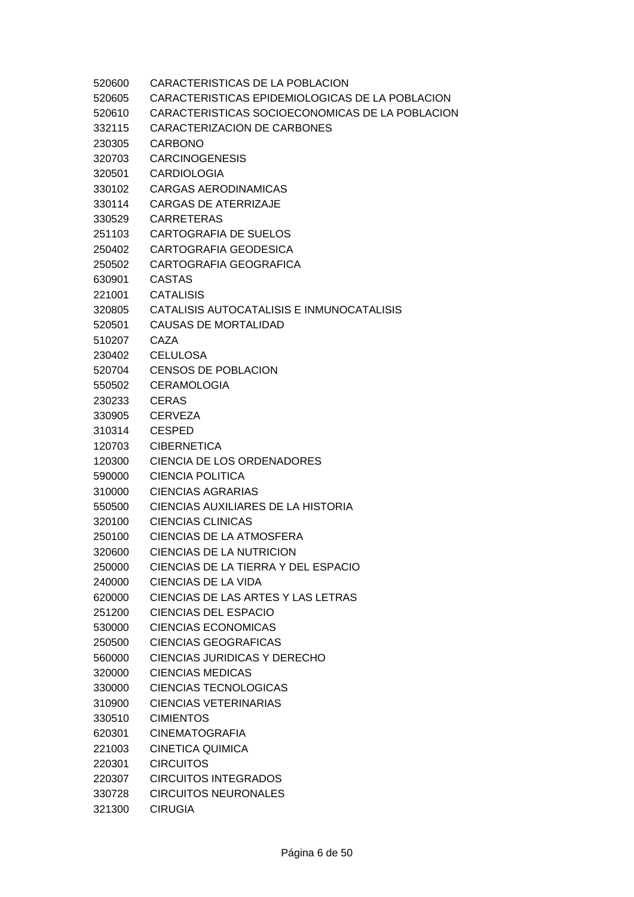| 520600 | CARACTERISTICAS DE LA POBLACION                 |
|--------|-------------------------------------------------|
| 520605 | CARACTERISTICAS EPIDEMIOLOGICAS DE LA POBLACION |
| 520610 | CARACTERISTICAS SOCIOECONOMICAS DE LA POBLACION |
| 332115 | CARACTERIZACION DE CARBONES                     |
| 230305 | <b>CARBONO</b>                                  |
| 320703 | <b>CARCINOGENESIS</b>                           |
| 320501 | <b>CARDIOLOGIA</b>                              |
| 330102 | <b>CARGAS AERODINAMICAS</b>                     |
| 330114 | <b>CARGAS DE ATERRIZAJE</b>                     |
| 330529 | <b>CARRETERAS</b>                               |
| 251103 | <b>CARTOGRAFIA DE SUELOS</b>                    |
| 250402 | CARTOGRAFIA GEODESICA                           |
| 250502 | CARTOGRAFIA GEOGRAFICA                          |
| 630901 | <b>CASTAS</b>                                   |
| 221001 | <b>CATALISIS</b>                                |
| 320805 | CATALISIS AUTOCATALISIS E INMUNOCATALISIS       |
| 520501 | <b>CAUSAS DE MORTALIDAD</b>                     |
| 510207 | CAZA                                            |
| 230402 | <b>CELULOSA</b>                                 |
| 520704 | <b>CENSOS DE POBLACION</b>                      |
| 550502 | <b>CERAMOLOGIA</b>                              |
| 230233 | <b>CERAS</b>                                    |
| 330905 | <b>CERVEZA</b>                                  |
| 310314 | <b>CESPED</b>                                   |
| 120703 | <b>CIBERNETICA</b>                              |
| 120300 | CIENCIA DE LOS ORDENADORES                      |
| 590000 | <b>CIENCIA POLITICA</b>                         |
| 310000 | <b>CIENCIAS AGRARIAS</b>                        |
| 550500 | CIENCIAS AUXILIARES DE LA HISTORIA              |
| 320100 | <b>CIENCIAS CLINICAS</b>                        |
| 250100 | CIENCIAS DE LA ATMOSFERA                        |
| 320600 | CIENCIAS DE LA NUTRICION                        |
| 250000 | CIENCIAS DE LA TIERRA Y DEL ESPACIO             |
| 240000 | <b>CIENCIAS DE LA VIDA</b>                      |
| 620000 | CIENCIAS DE LAS ARTES Y LAS LETRAS              |
| 251200 | <b>CIENCIAS DEL ESPACIO</b>                     |
| 530000 | <b>CIENCIAS ECONOMICAS</b>                      |
| 250500 | <b>CIENCIAS GEOGRAFICAS</b>                     |
| 560000 | <b>CIENCIAS JURIDICAS Y DERECHO</b>             |
| 320000 | <b>CIENCIAS MEDICAS</b>                         |
| 330000 | <b>CIENCIAS TECNOLOGICAS</b>                    |
| 310900 | <b>CIENCIAS VETERINARIAS</b>                    |
| 330510 | <b>CIMIENTOS</b>                                |
| 620301 | <b>CINEMATOGRAFIA</b>                           |
| 221003 | <b>CINETICA QUIMICA</b>                         |
| 220301 | <b>CIRCUITOS</b>                                |
| 220307 | <b>CIRCUITOS INTEGRADOS</b>                     |
| 330728 | <b>CIRCUITOS NEURONALES</b>                     |
| 321300 | <b>CIRUGIA</b>                                  |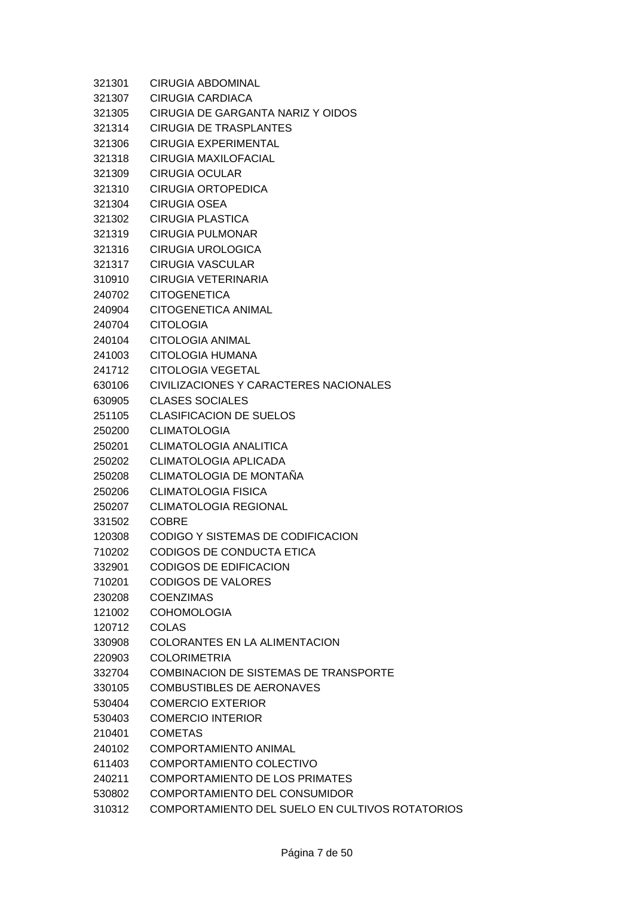| 321301 | <b>CIRUGIA ABDOMINAL</b>                        |
|--------|-------------------------------------------------|
| 321307 | CIRUGIA CARDIACA                                |
| 321305 | CIRUGIA DE GARGANTA NARIZ Y OIDOS               |
| 321314 | <b>CIRUGIA DE TRASPLANTES</b>                   |
| 321306 | <b>CIRUGIA EXPERIMENTAL</b>                     |
| 321318 | CIRUGIA MAXILOFACIAL                            |
| 321309 | <b>CIRUGIA OCULAR</b>                           |
| 321310 | <b>CIRUGIA ORTOPEDICA</b>                       |
| 321304 | <b>CIRUGIA OSEA</b>                             |
| 321302 | <b>CIRUGIA PLASTICA</b>                         |
| 321319 | <b>CIRUGIA PULMONAR</b>                         |
| 321316 | <b>CIRUGIA UROLOGICA</b>                        |
| 321317 | <b>CIRUGIA VASCULAR</b>                         |
| 310910 | <b>CIRUGIA VETERINARIA</b>                      |
| 240702 | <b>CITOGENETICA</b>                             |
| 240904 | <b>CITOGENETICA ANIMAL</b>                      |
| 240704 | <b>CITOLOGIA</b>                                |
| 240104 | <b>CITOLOGIA ANIMAL</b>                         |
| 241003 | CITOLOGIA HUMANA                                |
| 241712 | <b>CITOLOGIA VEGETAL</b>                        |
| 630106 | CIVILIZACIONES Y CARACTERES NACIONALES          |
| 630905 | <b>CLASES SOCIALES</b>                          |
| 251105 | <b>CLASIFICACION DE SUELOS</b>                  |
| 250200 | <b>CLIMATOLOGIA</b>                             |
| 250201 | <b>CLIMATOLOGIA ANALITICA</b>                   |
| 250202 | <b>CLIMATOLOGIA APLICADA</b>                    |
| 250208 | CLIMATOLOGIA DE MONTAÑA                         |
| 250206 | <b>CLIMATOLOGIA FISICA</b>                      |
| 250207 | <b>CLIMATOLOGIA REGIONAL</b>                    |
| 331502 | <b>COBRE</b>                                    |
| 120308 | CODIGO Y SISTEMAS DE CODIFICACION               |
| 710202 | CODIGOS DE CONDUCTA ETICA                       |
| 332901 | <b>CODIGOS DE EDIFICACION</b>                   |
| 710201 | <b>CODIGOS DE VALORES</b>                       |
| 230208 | <b>COENZIMAS</b>                                |
| 121002 | <b>COHOMOLOGIA</b>                              |
| 120712 | <b>COLAS</b>                                    |
| 330908 | COLORANTES EN LA ALIMENTACION                   |
| 220903 | <b>COLORIMETRIA</b>                             |
| 332704 | COMBINACION DE SISTEMAS DE TRANSPORTE           |
| 330105 | <b>COMBUSTIBLES DE AERONAVES</b>                |
| 530404 | <b>COMERCIO EXTERIOR</b>                        |
| 530403 | <b>COMERCIO INTERIOR</b>                        |
| 210401 | <b>COMETAS</b>                                  |
| 240102 | <b>COMPORTAMIENTO ANIMAL</b>                    |
| 611403 | COMPORTAMIENTO COLECTIVO                        |
| 240211 | <b>COMPORTAMIENTO DE LOS PRIMATES</b>           |
| 530802 | COMPORTAMIENTO DEL CONSUMIDOR                   |
| 310312 | COMPORTAMIENTO DEL SUELO EN CULTIVOS ROTATORIOS |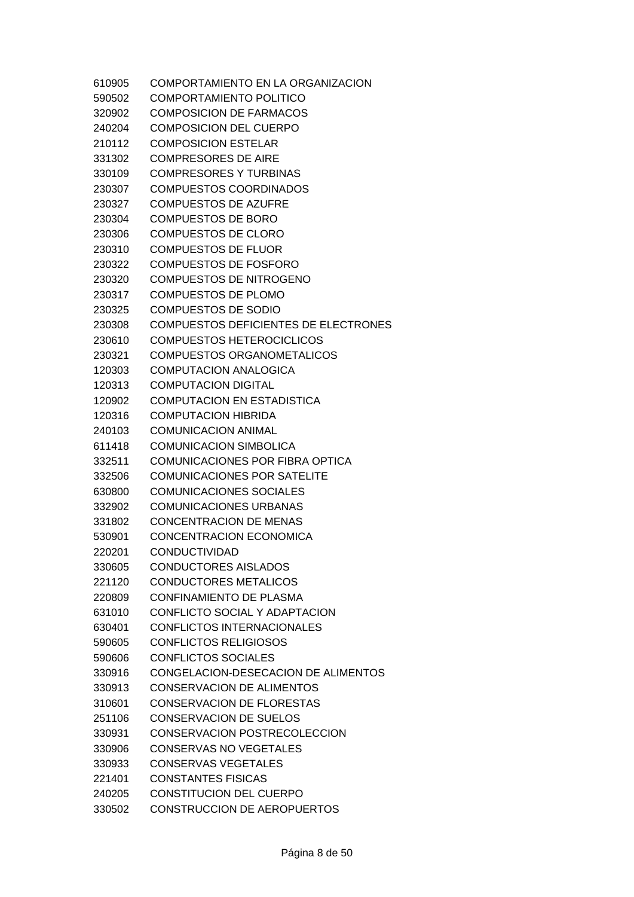| 610905 | COMPORTAMIENTO EN LA ORGANIZACION           |
|--------|---------------------------------------------|
| 590502 | COMPORTAMIENTO POLITICO                     |
| 320902 | COMPOSICION DE FARMACOS                     |
| 240204 | <b>COMPOSICION DEL CUERPO</b>               |
| 210112 | <b>COMPOSICION ESTELAR</b>                  |
| 331302 | <b>COMPRESORES DE AIRE</b>                  |
| 330109 | COMPRESORES Y TURBINAS                      |
| 230307 | <b>COMPUESTOS COORDINADOS</b>               |
| 230327 | <b>COMPUESTOS DE AZUFRE</b>                 |
| 230304 | <b>COMPUESTOS DE BORO</b>                   |
| 230306 | <b>COMPUESTOS DE CLORO</b>                  |
| 230310 | <b>COMPUESTOS DE FLUOR</b>                  |
| 230322 | <b>COMPUESTOS DE FOSFORO</b>                |
| 230320 | <b>COMPUESTOS DE NITROGENO</b>              |
| 230317 | <b>COMPUESTOS DE PLOMO</b>                  |
| 230325 | <b>COMPUESTOS DE SODIO</b>                  |
| 230308 | <b>COMPUESTOS DEFICIENTES DE ELECTRONES</b> |
| 230610 | <b>COMPUESTOS HETEROCICLICOS</b>            |
| 230321 | <b>COMPUESTOS ORGANOMETALICOS</b>           |
| 120303 | <b>COMPUTACION ANALOGICA</b>                |
| 120313 | <b>COMPUTACION DIGITAL</b>                  |
| 120902 | <b>COMPUTACION EN ESTADISTICA</b>           |
| 120316 | COMPUTACION HIBRIDA                         |
| 240103 | <b>COMUNICACION ANIMAL</b>                  |
| 611418 | <b>COMUNICACION SIMBOLICA</b>               |
| 332511 | COMUNICACIONES POR FIBRA OPTICA             |
| 332506 | <b>COMUNICACIONES POR SATELITE</b>          |
| 630800 | <b>COMUNICACIONES SOCIALES</b>              |
| 332902 | <b>COMUNICACIONES URBANAS</b>               |
| 331802 | <b>CONCENTRACION DE MENAS</b>               |
| 530901 | <b>CONCENTRACION ECONOMICA</b>              |
| 220201 | <b>CONDUCTIVIDAD</b>                        |
| 330605 | <b>CONDUCTORES AISLADOS</b>                 |
| 221120 | <b>CONDUCTORES METALICOS</b>                |
| 220809 | <b>CONFINAMIENTO DE PLASMA</b>              |
| 631010 | CONFLICTO SOCIAL Y ADAPTACION               |
| 630401 | <b>CONFLICTOS INTERNACIONALES</b>           |
| 590605 | <b>CONFLICTOS RELIGIOSOS</b>                |
| 590606 | <b>CONFLICTOS SOCIALES</b>                  |
| 330916 | CONGELACION-DESECACION DE ALIMENTOS         |
| 330913 | <b>CONSERVACION DE ALIMENTOS</b>            |
| 310601 | CONSERVACION DE FLORESTAS                   |
| 251106 | <b>CONSERVACION DE SUELOS</b>               |
| 330931 | CONSERVACION POSTRECOLECCION                |
| 330906 | CONSERVAS NO VEGETALES                      |
| 330933 | <b>CONSERVAS VEGETALES</b>                  |
| 221401 | <b>CONSTANTES FISICAS</b>                   |
| 240205 | CONSTITUCION DEL CUERPO                     |
| 330502 | <b>CONSTRUCCION DE AEROPUERTOS</b>          |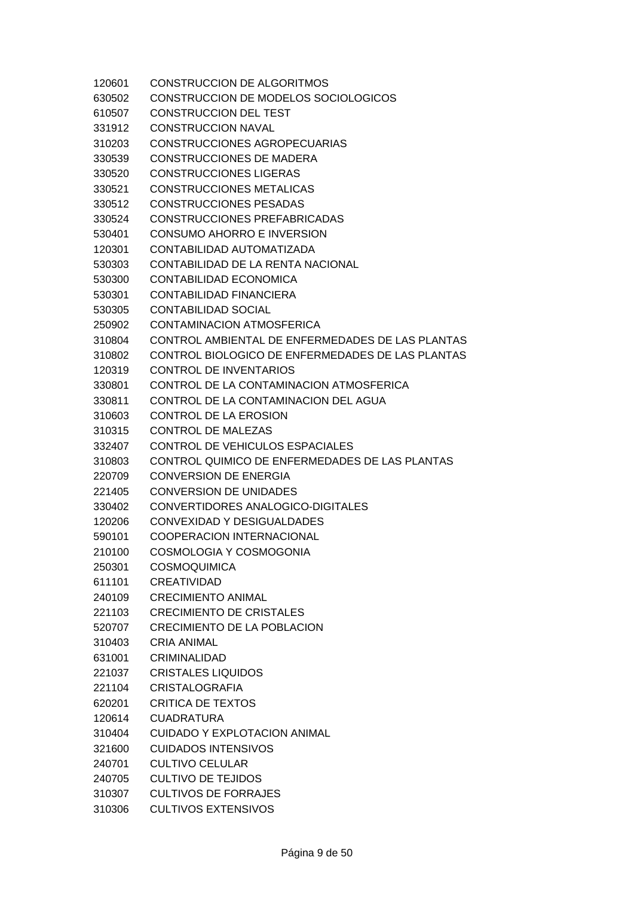| 120601 | <b>CONSTRUCCION DE ALGORITMOS</b>                |
|--------|--------------------------------------------------|
| 630502 | CONSTRUCCION DE MODELOS SOCIOLOGICOS             |
| 610507 | <b>CONSTRUCCION DEL TEST</b>                     |
| 331912 | <b>CONSTRUCCION NAVAL</b>                        |
| 310203 | CONSTRUCCIONES AGROPECUARIAS                     |
| 330539 | <b>CONSTRUCCIONES DE MADERA</b>                  |
| 330520 | <b>CONSTRUCCIONES LIGERAS</b>                    |
| 330521 | <b>CONSTRUCCIONES METALICAS</b>                  |
| 330512 | <b>CONSTRUCCIONES PESADAS</b>                    |
| 330524 | CONSTRUCCIONES PREFABRICADAS                     |
| 530401 | CONSUMO AHORRO E INVERSION                       |
| 120301 | CONTABILIDAD AUTOMATIZADA                        |
| 530303 | CONTABILIDAD DE LA RENTA NACIONAL                |
| 530300 | CONTABILIDAD ECONOMICA                           |
| 530301 | CONTABILIDAD FINANCIERA                          |
| 530305 | <b>CONTABILIDAD SOCIAL</b>                       |
| 250902 | CONTAMINACION ATMOSFERICA                        |
| 310804 | CONTROL AMBIENTAL DE ENFERMEDADES DE LAS PLANTAS |
| 310802 | CONTROL BIOLOGICO DE ENFERMEDADES DE LAS PLANTAS |
| 120319 | CONTROL DE INVENTARIOS                           |
| 330801 | CONTROL DE LA CONTAMINACION ATMOSFERICA          |
| 330811 | CONTROL DE LA CONTAMINACION DEL AGUA             |
| 310603 | CONTROL DE LA EROSION                            |
| 310315 | <b>CONTROL DE MALEZAS</b>                        |
| 332407 | CONTROL DE VEHICULOS ESPACIALES                  |
| 310803 | CONTROL QUIMICO DE ENFERMEDADES DE LAS PLANTAS   |
| 220709 | <b>CONVERSION DE ENERGIA</b>                     |
| 221405 | <b>CONVERSION DE UNIDADES</b>                    |
| 330402 | CONVERTIDORES ANALOGICO-DIGITALES                |
| 120206 | CONVEXIDAD Y DESIGUALDADES                       |
| 590101 | <b>COOPERACION INTERNACIONAL</b>                 |
| 210100 | COSMOLOGIA Y COSMOGONIA                          |
| 250301 | <b>COSMOQUIMICA</b>                              |
| 611101 | <b>CREATIVIDAD</b>                               |
| 240109 | <b>CRECIMIENTO ANIMAL</b>                        |
| 221103 | <b>CRECIMIENTO DE CRISTALES</b>                  |
| 520707 | <b>CRECIMIENTO DE LA POBLACION</b>               |
| 310403 | <b>CRIA ANIMAL</b>                               |
| 631001 | CRIMINALIDAD                                     |
| 221037 | <b>CRISTALES LIQUIDOS</b>                        |
| 221104 | <b>CRISTALOGRAFIA</b>                            |
| 620201 | <b>CRITICA DE TEXTOS</b>                         |
| 120614 | <b>CUADRATURA</b>                                |
| 310404 | <b>CUIDADO Y EXPLOTACION ANIMAL</b>              |
| 321600 | <b>CUIDADOS INTENSIVOS</b>                       |
| 240701 | <b>CULTIVO CELULAR</b>                           |
| 240705 | <b>CULTIVO DE TEJIDOS</b>                        |
| 310307 | <b>CULTIVOS DE FORRAJES</b>                      |
| 310306 | <b>CULTIVOS EXTENSIVOS</b>                       |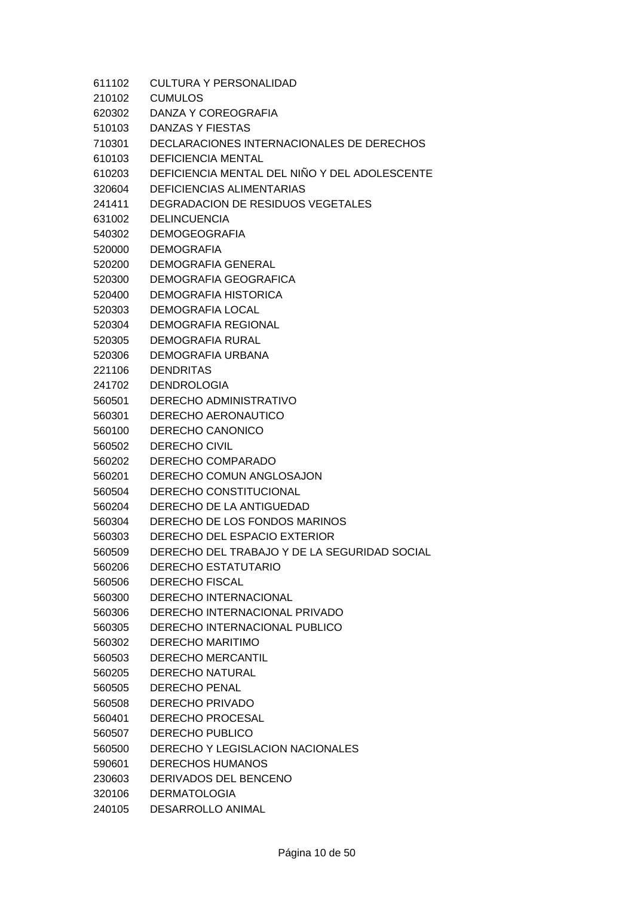| 611102 | CULTURA Y PERSONALIDAD                        |
|--------|-----------------------------------------------|
| 210102 | <b>CUMULOS</b>                                |
| 620302 | DANZA Y COREOGRAFIA                           |
| 510103 | DANZAS Y FIESTAS                              |
| 710301 | DECLARACIONES INTERNACIONALES DE DERECHOS     |
| 610103 | <b>DEFICIENCIA MENTAL</b>                     |
| 610203 | DEFICIENCIA MENTAL DEL NIÑO Y DEL ADOLESCENTE |
| 320604 | DEFICIENCIAS ALIMENTARIAS                     |
| 241411 | DEGRADACION DE RESIDUOS VEGETALES             |
| 631002 | <b>DELINCUENCIA</b>                           |
| 540302 | <b>DEMOGEOGRAFIA</b>                          |
| 520000 | <b>DEMOGRAFIA</b>                             |
| 520200 | <b>DEMOGRAFIA GENERAL</b>                     |
| 520300 | DEMOGRAFIA GEOGRAFICA                         |
| 520400 | DEMOGRAFIA HISTORICA                          |
| 520303 | <b>DEMOGRAFIA LOCAL</b>                       |
| 520304 | DEMOGRAFIA REGIONAL                           |
| 520305 | <b>DEMOGRAFIA RURAL</b>                       |
| 520306 | DEMOGRAFIA URBANA                             |
| 221106 | <b>DENDRITAS</b>                              |
| 241702 | <b>DENDROLOGIA</b>                            |
| 560501 | DERECHO ADMINISTRATIVO                        |
| 560301 | DERECHO AERONAUTICO                           |
| 560100 | DERECHO CANONICO                              |
| 560502 | <b>DERECHO CIVIL</b>                          |
| 560202 | DERECHO COMPARADO                             |
| 560201 | DERECHO COMUN ANGLOSAJON                      |
| 560504 | DERECHO CONSTITUCIONAL                        |
| 560204 | DERECHO DE LA ANTIGUEDAD                      |
| 560304 | DERECHO DE LOS FONDOS MARINOS                 |
| 560303 | DERECHO DEL ESPACIO EXTERIOR                  |
| 560509 | DERECHO DEL TRABAJO Y DE LA SEGURIDAD SOCIAL  |
| 560206 | <b>DERECHO ESTATUTARIO</b>                    |
| 560506 | <b>DERECHO FISCAL</b>                         |
| 560300 | <b>DERECHO INTERNACIONAL</b>                  |
| 560306 | DERECHO INTERNACIONAL PRIVADO                 |
| 560305 | DERECHO INTERNACIONAL PUBLICO                 |
| 560302 | <b>DERECHO MARITIMO</b>                       |
| 560503 | DERECHO MERCANTIL                             |
| 560205 | <b>DERECHO NATURAL</b>                        |
| 560505 | <b>DERECHO PENAL</b>                          |
| 560508 | <b>DERECHO PRIVADO</b>                        |
| 560401 | DERECHO PROCESAL                              |
|        | <b>DERECHO PUBLICO</b>                        |
| 560507 | <b>DERECHO Y LEGISLACION NACIONALES</b>       |
| 560500 |                                               |
| 590601 | <b>DERECHOS HUMANOS</b>                       |
| 230603 | DERIVADOS DEL BENCENO                         |
| 320106 | <b>DERMATOLOGIA</b>                           |

240105 DESARROLLO ANIMAL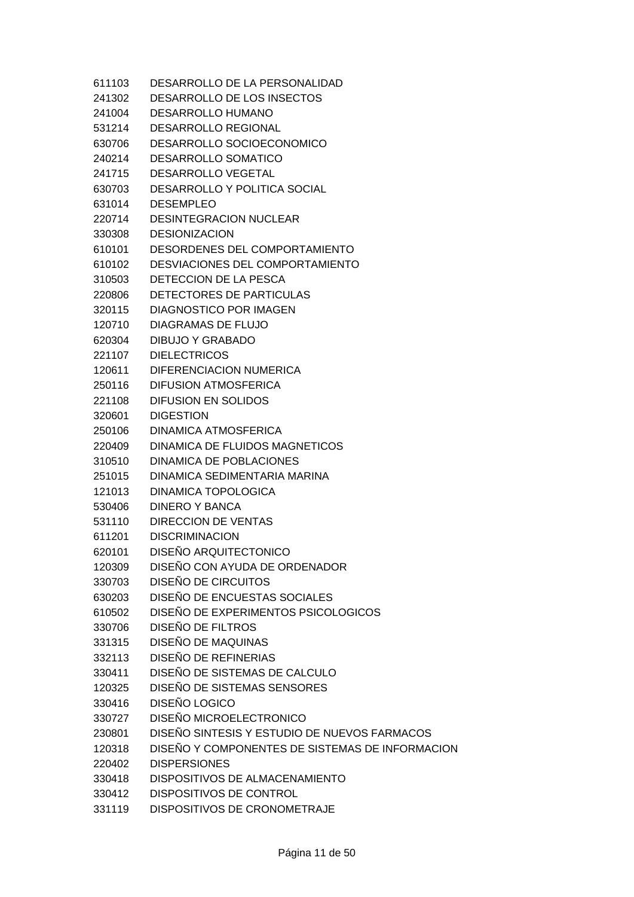| 611103 | DESARROLLO DE LA PERSONALIDAD                   |
|--------|-------------------------------------------------|
| 241302 | DESARROLLO DE LOS INSECTOS                      |
| 241004 | <b>DESARROLLO HUMANO</b>                        |
| 531214 | <b>DESARROLLO REGIONAL</b>                      |
| 630706 | DESARROLLO SOCIOECONOMICO                       |
| 240214 | <b>DESARROLLO SOMATICO</b>                      |
| 241715 | DESARROLLO VEGETAL                              |
| 630703 | <b>DESARROLLO Y POLITICA SOCIAL</b>             |
| 631014 | <b>DESEMPLEO</b>                                |
| 220714 | <b>DESINTEGRACION NUCLEAR</b>                   |
| 330308 | <b>DESIONIZACION</b>                            |
| 610101 | DESORDENES DEL COMPORTAMIENTO                   |
| 610102 | DESVIACIONES DEL COMPORTAMIENTO                 |
| 310503 | DETECCION DE LA PESCA                           |
| 220806 | DETECTORES DE PARTICULAS                        |
| 320115 | <b>DIAGNOSTICO POR IMAGEN</b>                   |
| 120710 | DIAGRAMAS DE FLUJO                              |
| 620304 | <b>DIBUJO Y GRABADO</b>                         |
| 221107 | <b>DIELECTRICOS</b>                             |
| 120611 | DIFERENCIACION NUMERICA                         |
| 250116 | <b>DIFUSION ATMOSFERICA</b>                     |
| 221108 | <b>DIFUSION EN SOLIDOS</b>                      |
| 320601 | <b>DIGESTION</b>                                |
| 250106 | <b>DINAMICA ATMOSFERICA</b>                     |
| 220409 | DINAMICA DE FLUIDOS MAGNETICOS                  |
| 310510 | DINAMICA DE POBLACIONES                         |
| 251015 | DINAMICA SEDIMENTARIA MARINA                    |
| 121013 | <b>DINAMICA TOPOLOGICA</b>                      |
| 530406 | DINERO Y BANCA                                  |
| 531110 | <b>DIRECCION DE VENTAS</b>                      |
| 611201 | <b>DISCRIMINACION</b>                           |
| 620101 | DISEÑO ARQUITECTONICO                           |
| 120309 | DISEÑO CON AYUDA DE ORDENADOR                   |
| 330703 | DISEÑO DE CIRCUITOS                             |
| 630203 | DISEÑO DE ENCUESTAS SOCIALES                    |
| 610502 | DISEÑO DE EXPERIMENTOS PSICOLOGICOS             |
| 330706 | DISEÑO DE FILTROS                               |
| 331315 | DISEÑO DE MAQUINAS                              |
| 332113 | DISEÑO DE REFINERIAS                            |
| 330411 | DISEÑO DE SISTEMAS DE CALCULO                   |
| 120325 | DISEÑO DE SISTEMAS SENSORES                     |
| 330416 | DISEÑO LOGICO                                   |
| 330727 | DISEÑO MICROELECTRONICO                         |
| 230801 | DISEÑO SINTESIS Y ESTUDIO DE NUEVOS FARMACOS    |
| 120318 | DISEÑO Y COMPONENTES DE SISTEMAS DE INFORMACION |
| 220402 | <b>DISPERSIONES</b>                             |
| 330418 | DISPOSITIVOS DE ALMACENAMIENTO                  |
| 330412 | DISPOSITIVOS DE CONTROL                         |
| 331119 | DISPOSITIVOS DE CRONOMETRAJE                    |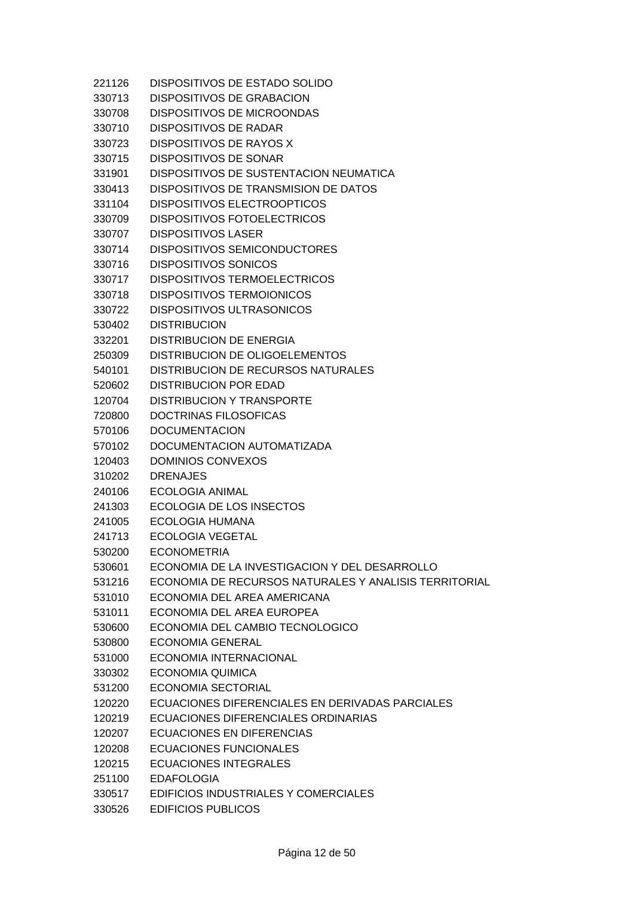| 221126 | DISPOSITIVOS DE ESTADO SOLIDO                         |
|--------|-------------------------------------------------------|
| 330713 | DISPOSITIVOS DE GRABACION                             |
| 330708 | <b>DISPOSITIVOS DE MICROONDAS</b>                     |
| 330710 | <b>DISPOSITIVOS DE RADAR</b>                          |
| 330723 | DISPOSITIVOS DE RAYOS X                               |
| 330715 | <b>DISPOSITIVOS DE SONAR</b>                          |
| 331901 | DISPOSITIVOS DE SUSTENTACION NEUMATICA                |
| 330413 | DISPOSITIVOS DE TRANSMISION DE DATOS                  |
| 331104 | <b>DISPOSITIVOS ELECTROOPTICOS</b>                    |
| 330709 | <b>DISPOSITIVOS FOTOELECTRICOS</b>                    |
| 330707 | <b>DISPOSITIVOS LASER</b>                             |
| 330714 | <b>DISPOSITIVOS SEMICONDUCTORES</b>                   |
| 330716 | <b>DISPOSITIVOS SONICOS</b>                           |
| 330717 | <b>DISPOSITIVOS TERMOELECTRICOS</b>                   |
| 330718 | <b>DISPOSITIVOS TERMOIONICOS</b>                      |
| 330722 | <b>DISPOSITIVOS ULTRASONICOS</b>                      |
| 530402 | <b>DISTRIBUCION</b>                                   |
| 332201 | <b>DISTRIBUCION DE ENERGIA</b>                        |
| 250309 | DISTRIBUCION DE OLIGOELEMENTOS                        |
| 540101 | <b>DISTRIBUCION DE RECURSOS NATURALES</b>             |
| 520602 | <b>DISTRIBUCION POR EDAD</b>                          |
| 120704 | <b>DISTRIBUCION Y TRANSPORTE</b>                      |
| 720800 | DOCTRINAS FILOSOFICAS                                 |
| 570106 | <b>DOCUMENTACION</b>                                  |
| 570102 | DOCUMENTACION AUTOMATIZADA                            |
| 120403 | <b>DOMINIOS CONVEXOS</b>                              |
| 310202 | <b>DRENAJES</b>                                       |
| 240106 | <b>ECOLOGIA ANIMAL</b>                                |
| 241303 | ECOLOGIA DE LOS INSECTOS                              |
| 241005 | <b>ECOLOGIA HUMANA</b>                                |
| 241713 | <b>ECOLOGIA VEGETAL</b>                               |
| 530200 | <b>ECONOMETRIA</b>                                    |
| 530601 | ECONOMIA DE LA INVESTIGACION Y DEL DESARROLLO         |
| 531216 | ECONOMIA DE RECURSOS NATURALES Y ANALISIS TERRITORIAL |
| 531010 | ECONOMIA DEL AREA AMERICANA                           |
| 531011 | ECONOMIA DEL AREA EUROPEA                             |
| 530600 | ECONOMIA DEL CAMBIO TECNOLOGICO                       |
| 530800 | <b>ECONOMIA GENERAL</b>                               |
| 531000 | ECONOMIA INTERNACIONAL                                |
| 330302 | ECONOMIA QUIMICA                                      |
| 531200 | <b>ECONOMIA SECTORIAL</b>                             |
| 120220 | ECUACIONES DIFERENCIALES EN DERIVADAS PARCIALES       |
| 120219 | ECUACIONES DIFERENCIALES ORDINARIAS                   |
| 120207 | ECUACIONES EN DIFERENCIAS                             |
| 120208 | <b>ECUACIONES FUNCIONALES</b>                         |
| 120215 | ECUACIONES INTEGRALES                                 |
| 251100 | <b>EDAFOLOGIA</b>                                     |
| 330517 | EDIFICIOS INDUSTRIALES Y COMERCIALES                  |
| 330526 | <b>EDIFICIOS PUBLICOS</b>                             |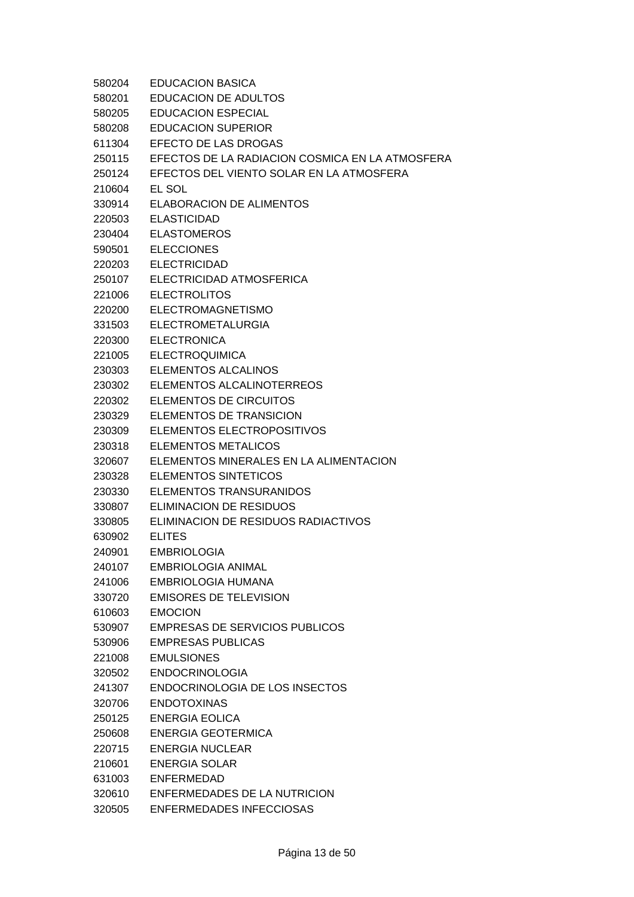| 580204 | <b>EDUCACION BASICA</b>                         |
|--------|-------------------------------------------------|
| 580201 | <b>EDUCACION DE ADULTOS</b>                     |
| 580205 | <b>EDUCACION ESPECIAL</b>                       |
| 580208 | <b>EDUCACION SUPERIOR</b>                       |
| 611304 | EFECTO DE LAS DROGAS                            |
| 250115 | EFECTOS DE LA RADIACION COSMICA EN LA ATMOSFERA |
| 250124 | EFECTOS DEL VIENTO SOLAR EN LA ATMOSFERA        |
| 210604 | EL SOL                                          |
| 330914 | <b>ELABORACION DE ALIMENTOS</b>                 |
| 220503 | <b>ELASTICIDAD</b>                              |
| 230404 | <b>ELASTOMEROS</b>                              |
| 590501 | <b>ELECCIONES</b>                               |
| 220203 | <b>ELECTRICIDAD</b>                             |
| 250107 | ELECTRICIDAD ATMOSFERICA                        |
| 221006 | <b>ELECTROLITOS</b>                             |
| 220200 | <b>ELECTROMAGNETISMO</b>                        |
| 331503 | <b>ELECTROMETALURGIA</b>                        |
| 220300 | <b>ELECTRONICA</b>                              |
| 221005 | <b>ELECTROQUIMICA</b>                           |
| 230303 | <b>ELEMENTOS ALCALINOS</b>                      |
| 230302 | ELEMENTOS ALCALINOTERREOS                       |
| 220302 | <b>ELEMENTOS DE CIRCUITOS</b>                   |
| 230329 | ELEMENTOS DE TRANSICION                         |
| 230309 | ELEMENTOS ELECTROPOSITIVOS                      |
| 230318 | <b>ELEMENTOS METALICOS</b>                      |
| 320607 | ELEMENTOS MINERALES EN LA ALIMENTACION          |
| 230328 | <b>ELEMENTOS SINTETICOS</b>                     |
| 230330 | ELEMENTOS TRANSURANIDOS                         |
| 330807 | <b>ELIMINACION DE RESIDUOS</b>                  |
| 330805 | ELIMINACION DE RESIDUOS RADIACTIVOS             |
| 630902 | <b>ELITES</b>                                   |
| 240901 | <b>EMBRIOLOGIA</b>                              |
| 240107 | EMBRIOLOGIA ANIMAL                              |
| 241006 | EMBRIOLOGIA HUMANA                              |
| 330720 | <b>EMISORES DE TELEVISION</b>                   |
| 610603 | <b>EMOCION</b>                                  |
| 530907 | <b>EMPRESAS DE SERVICIOS PUBLICOS</b>           |
| 530906 | <b>EMPRESAS PUBLICAS</b>                        |
| 221008 | <b>EMULSIONES</b>                               |
| 320502 | <b>ENDOCRINOLOGIA</b>                           |
| 241307 | ENDOCRINOLOGIA DE LOS INSECTOS                  |
| 320706 | <b>ENDOTOXINAS</b>                              |
| 250125 | <b>ENERGIA EOLICA</b>                           |
| 250608 | ENERGIA GEOTERMICA                              |
| 220715 | <b>ENERGIA NUCLEAR</b>                          |
| 210601 | <b>ENERGIA SOLAR</b>                            |
| 631003 | <b>ENFERMEDAD</b>                               |
| 320610 | ENFERMEDADES DE LA NUTRICION                    |
|        |                                                 |

320505 ENFERMEDADES INFECCIOSAS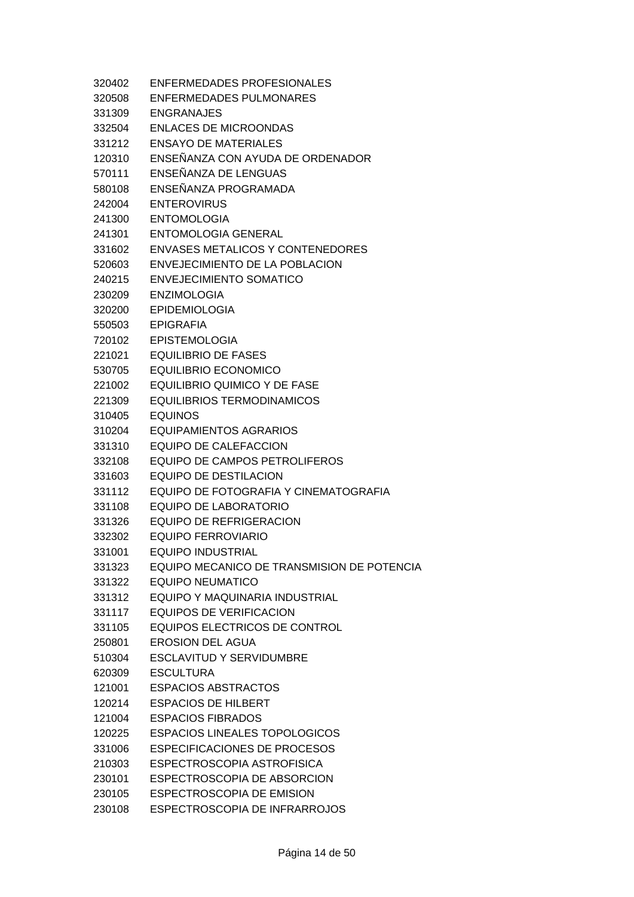| 320402 | ENFERMEDADES PROFESIONALES                 |
|--------|--------------------------------------------|
| 320508 | ENFERMEDADES PULMONARES                    |
| 331309 | <b>ENGRANAJES</b>                          |
| 332504 | <b>ENLACES DE MICROONDAS</b>               |
| 331212 | <b>ENSAYO DE MATERIALES</b>                |
| 120310 | ENSEÑANZA CON AYUDA DE ORDENADOR           |
| 570111 | ENSEÑANZA DE LENGUAS                       |
| 580108 | ENSEÑANZA PROGRAMADA                       |
| 242004 | <b>ENTEROVIRUS</b>                         |
| 241300 | <b>ENTOMOLOGIA</b>                         |
| 241301 | <b>ENTOMOLOGIA GENERAL</b>                 |
| 331602 | <b>ENVASES METALICOS Y CONTENEDORES</b>    |
| 520603 | ENVEJECIMIENTO DE LA POBLACION             |
| 240215 | <b>ENVEJECIMIENTO SOMATICO</b>             |
| 230209 | <b>ENZIMOLOGIA</b>                         |
| 320200 | <b>EPIDEMIOLOGIA</b>                       |
| 550503 | <b>EPIGRAFIA</b>                           |
| 720102 | <b>EPISTEMOLOGIA</b>                       |
| 221021 | <b>EQUILIBRIO DE FASES</b>                 |
| 530705 | <b>EQUILIBRIO ECONOMICO</b>                |
| 221002 | <b>EQUILIBRIO QUIMICO Y DE FASE</b>        |
| 221309 | <b>EQUILIBRIOS TERMODINAMICOS</b>          |
| 310405 | <b>EQUINOS</b>                             |
| 310204 | <b>EQUIPAMIENTOS AGRARIOS</b>              |
| 331310 | <b>EQUIPO DE CALEFACCION</b>               |
| 332108 | <b>EQUIPO DE CAMPOS PETROLIFEROS</b>       |
| 331603 | <b>EQUIPO DE DESTILACION</b>               |
| 331112 | EQUIPO DE FOTOGRAFIA Y CINEMATOGRAFIA      |
| 331108 | EQUIPO DE LABORATORIO                      |
| 331326 | EQUIPO DE REFRIGERACION                    |
| 332302 | <b>EQUIPO FERROVIARIO</b>                  |
| 331001 | <b>EQUIPO INDUSTRIAL</b>                   |
| 331323 | EQUIPO MECANICO DE TRANSMISION DE POTENCIA |
| 331322 | <b>EQUIPO NEUMATICO</b>                    |
| 331312 | EQUIPO Y MAQUINARIA INDUSTRIAL             |
| 331117 | <b>EQUIPOS DE VERIFICACION</b>             |
| 331105 | <b>EQUIPOS ELECTRICOS DE CONTROL</b>       |
| 250801 | EROSION DEL AGUA                           |
| 510304 | <b>ESCLAVITUD Y SERVIDUMBRE</b>            |
| 620309 | <b>ESCULTURA</b>                           |
| 121001 | <b>ESPACIOS ABSTRACTOS</b>                 |
| 120214 | <b>ESPACIOS DE HILBERT</b>                 |
| 121004 | <b>ESPACIOS FIBRADOS</b>                   |
| 120225 | <b>ESPACIOS LINEALES TOPOLOGICOS</b>       |
| 331006 | <b>ESPECIFICACIONES DE PROCESOS</b>        |
| 210303 | ESPECTROSCOPIA ASTROFISICA                 |
| 230101 | ESPECTROSCOPIA DE ABSORCION                |
| 230105 | ESPECTROSCOPIA DE EMISION                  |
| 230108 | ESPECTROSCOPIA DE INFRARROJOS              |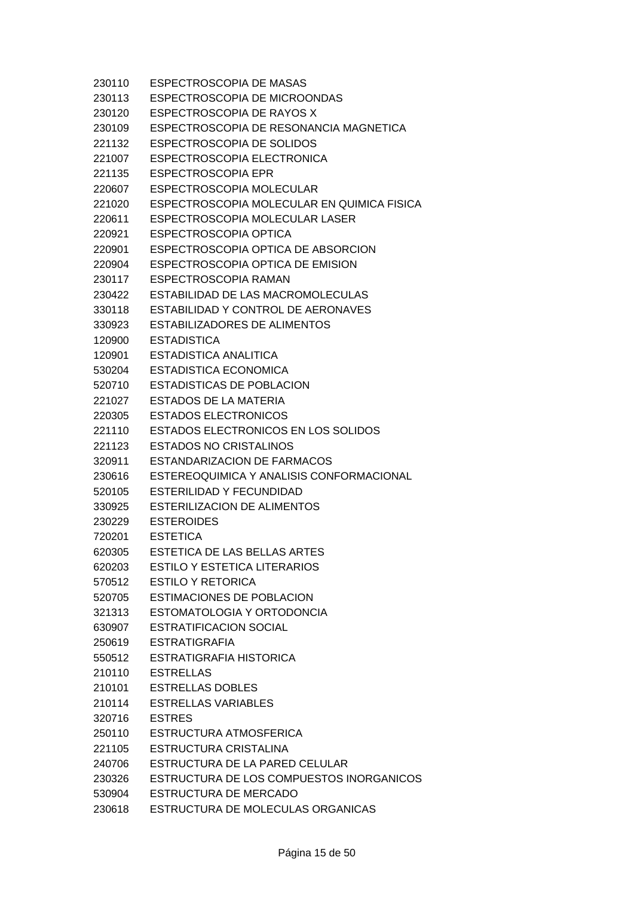| 230110 | <b>ESPECTROSCOPIA DE MASAS</b>             |
|--------|--------------------------------------------|
| 230113 | ESPECTROSCOPIA DE MICROONDAS               |
| 230120 | ESPECTROSCOPIA DE RAYOS X                  |
| 230109 | ESPECTROSCOPIA DE RESONANCIA MAGNETICA     |
| 221132 | ESPECTROSCOPIA DE SOLIDOS                  |
| 221007 | ESPECTROSCOPIA ELECTRONICA                 |
| 221135 | <b>ESPECTROSCOPIA EPR</b>                  |
| 220607 | ESPECTROSCOPIA MOLECULAR                   |
| 221020 | ESPECTROSCOPIA MOLECULAR EN QUIMICA FISICA |
| 220611 | ESPECTROSCOPIA MOLECULAR LASER             |
| 220921 | ESPECTROSCOPIA OPTICA                      |
| 220901 | ESPECTROSCOPIA OPTICA DE ABSORCION         |
| 220904 | ESPECTROSCOPIA OPTICA DE EMISION           |
| 230117 | ESPECTROSCOPIA RAMAN                       |
| 230422 | ESTABILIDAD DE LAS MACROMOLECULAS          |
| 330118 | ESTABILIDAD Y CONTROL DE AERONAVES         |
| 330923 | <b>ESTABILIZADORES DE ALIMENTOS</b>        |
| 120900 | <b>ESTADISTICA</b>                         |
| 120901 | ESTADISTICA ANALITICA                      |
| 530204 | <b>ESTADISTICA ECONOMICA</b>               |
| 520710 | <b>ESTADISTICAS DE POBLACION</b>           |
| 221027 | ESTADOS DE LA MATERIA                      |
| 220305 | ESTADOS ELECTRONICOS                       |
| 221110 | ESTADOS ELECTRONICOS EN LOS SOLIDOS        |
| 221123 | <b>ESTADOS NO CRISTALINOS</b>              |
| 320911 | ESTANDARIZACION DE FARMACOS                |
| 230616 | ESTEREOQUIMICA Y ANALISIS CONFORMACIONAL   |
| 520105 | ESTERILIDAD Y FECUNDIDAD                   |
| 330925 | <b>ESTERILIZACION DE ALIMENTOS</b>         |
| 230229 | <b>ESTEROIDES</b>                          |
| 720201 | <b>ESTETICA</b>                            |
| 620305 | ESTETICA DE LAS BELLAS ARTES               |
| 620203 | <b>ESTILO Y ESTETICA LITERARIOS</b>        |
| 570512 | ESTILO Y RETORICA                          |
| 520705 | <b>ESTIMACIONES DE POBLACION</b>           |
| 321313 | ESTOMATOLOGIA Y ORTODONCIA                 |
| 630907 | <b>ESTRATIFICACION SOCIAL</b>              |
| 250619 | <b>ESTRATIGRAFIA</b>                       |
| 550512 | ESTRATIGRAFIA HISTORICA                    |
| 210110 | <b>ESTRELLAS</b>                           |
| 210101 | <b>ESTRELLAS DOBLES</b>                    |
| 210114 | <b>ESTRELLAS VARIABLES</b>                 |
| 320716 | <b>ESTRES</b>                              |
| 250110 | ESTRUCTURA ATMOSFERICA                     |
| 221105 | ESTRUCTURA CRISTALINA                      |
| 240706 | ESTRUCTURA DE LA PARED CELULAR             |
| 230326 | ESTRUCTURA DE LOS COMPUESTOS INORGANICOS   |
| 530904 | ESTRUCTURA DE MERCADO                      |
| 230618 | ESTRUCTURA DE MOLECULAS ORGANICAS          |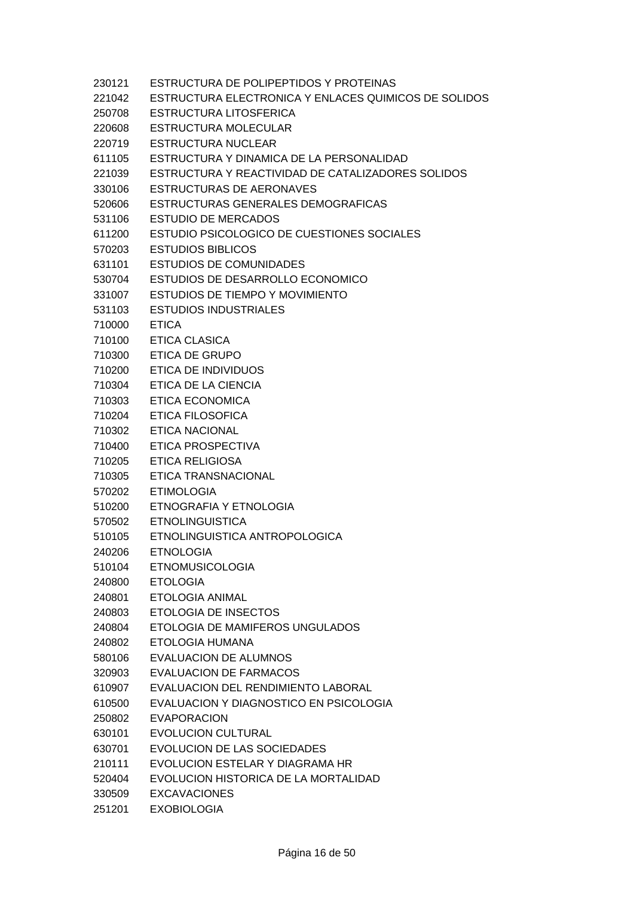| 230121 | ESTRUCTURA DE POLIPEPTIDOS Y PROTEINAS               |
|--------|------------------------------------------------------|
| 221042 | ESTRUCTURA ELECTRONICA Y ENLACES QUIMICOS DE SOLIDOS |
| 250708 | ESTRUCTURA LITOSFERICA                               |
| 220608 | <b>ESTRUCTURA MOLECULAR</b>                          |
| 220719 | <b>ESTRUCTURA NUCLEAR</b>                            |
| 611105 | ESTRUCTURA Y DINAMICA DE LA PERSONALIDAD             |
| 221039 | ESTRUCTURA Y REACTIVIDAD DE CATALIZADORES SOLIDOS    |
| 330106 | ESTRUCTURAS DE AERONAVES                             |
| 520606 | ESTRUCTURAS GENERALES DEMOGRAFICAS                   |
| 531106 | <b>ESTUDIO DE MERCADOS</b>                           |
| 611200 | ESTUDIO PSICOLOGICO DE CUESTIONES SOCIALES           |
| 570203 | <b>ESTUDIOS BIBLICOS</b>                             |
| 631101 | <b>ESTUDIOS DE COMUNIDADES</b>                       |
| 530704 | ESTUDIOS DE DESARROLLO ECONOMICO                     |
| 331007 | ESTUDIOS DE TIEMPO Y MOVIMIENTO                      |
| 531103 | <b>ESTUDIOS INDUSTRIALES</b>                         |
| 710000 | <b>ETICA</b>                                         |
| 710100 | ETICA CLASICA                                        |
| 710300 | <b>ETICA DE GRUPO</b>                                |
| 710200 | ETICA DE INDIVIDUOS                                  |
| 710304 | ETICA DE LA CIENCIA                                  |
| 710303 | <b>ETICA ECONOMICA</b>                               |
| 710204 | ETICA FILOSOFICA                                     |
| 710302 | <b>ETICA NACIONAL</b>                                |
| 710400 | ETICA PROSPECTIVA                                    |
| 710205 | <b>ETICA RELIGIOSA</b>                               |
| 710305 | ETICA TRANSNACIONAL                                  |
| 570202 | <b>ETIMOLOGIA</b>                                    |
| 510200 | ETNOGRAFIA Y ETNOLOGIA                               |
| 570502 | <b>ETNOLINGUISTICA</b>                               |
| 510105 | ETNOLINGUISTICA ANTROPOLOGICA                        |
| 240206 | <b>ETNOLOGIA</b>                                     |
| 510104 | <b>ETNOMUSICOLOGIA</b>                               |
| 240800 | <b>ETOLOGIA</b>                                      |
| 240801 | <b>ETOLOGIA ANIMAL</b>                               |
| 240803 | <b>ETOLOGIA DE INSECTOS</b>                          |
| 240804 | ETOLOGIA DE MAMIFEROS UNGULADOS                      |
| 240802 | ETOLOGIA HUMANA                                      |
| 580106 | EVALUACION DE ALUMNOS                                |
| 320903 | <b>EVALUACION DE FARMACOS</b>                        |
| 610907 | EVALUACION DEL RENDIMIENTO LABORAL                   |
| 610500 | EVALUACION Y DIAGNOSTICO EN PSICOLOGIA               |
| 250802 | <b>EVAPORACION</b>                                   |
| 630101 | <b>EVOLUCION CULTURAL</b>                            |
| 630701 | EVOLUCION DE LAS SOCIEDADES                          |
| 210111 | EVOLUCION ESTELAR Y DIAGRAMA HR                      |
| 520404 | EVOLUCION HISTORICA DE LA MORTALIDAD                 |
| 330509 | <b>EXCAVACIONES</b>                                  |
| 251201 | <b>EXOBIOLOGIA</b>                                   |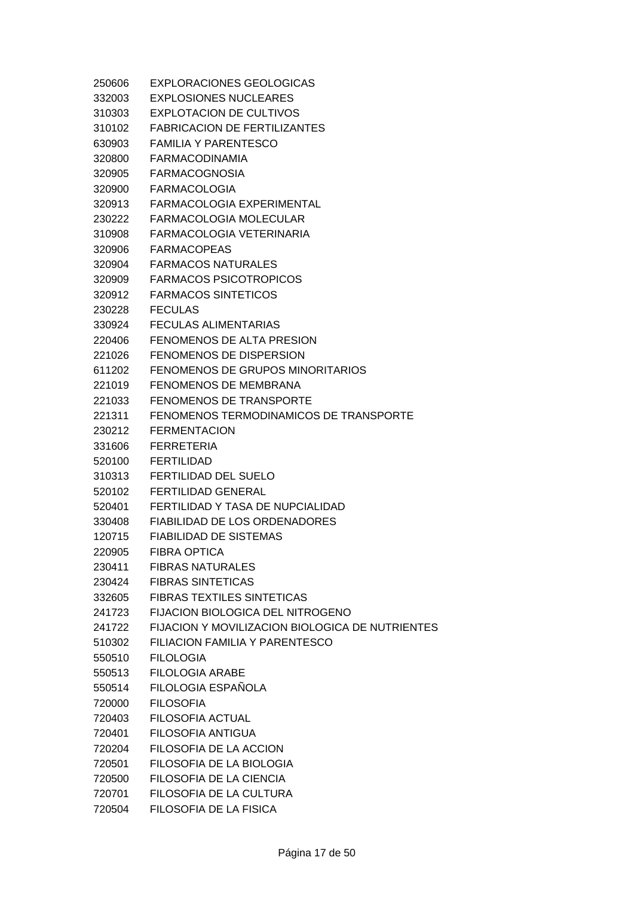| 250606 | <b>EXPLORACIONES GEOLOGICAS</b>                 |
|--------|-------------------------------------------------|
| 332003 | <b>EXPLOSIONES NUCLEARES</b>                    |
| 310303 | EXPLOTACION DE CULTIVOS                         |
| 310102 | <b>FABRICACION DE FERTILIZANTES</b>             |
| 630903 | <b>FAMILIA Y PARENTESCO</b>                     |
| 320800 | <b>FARMACODINAMIA</b>                           |
| 320905 | <b>FARMACOGNOSIA</b>                            |
| 320900 | <b>FARMACOLOGIA</b>                             |
| 320913 | FARMACOLOGIA EXPERIMENTAL                       |
| 230222 | FARMACOLOGIA MOLECULAR                          |
| 310908 | FARMACOLOGIA VETERINARIA                        |
| 320906 | <b>FARMACOPEAS</b>                              |
| 320904 | <b>FARMACOS NATURALES</b>                       |
| 320909 | <b>FARMACOS PSICOTROPICOS</b>                   |
| 320912 | <b>FARMACOS SINTETICOS</b>                      |
| 230228 | <b>FECULAS</b>                                  |
| 330924 | <b>FECULAS ALIMENTARIAS</b>                     |
| 220406 | <b>FENOMENOS DE ALTA PRESION</b>                |
| 221026 | FENOMENOS DE DISPERSION                         |
| 611202 | FENOMENOS DE GRUPOS MINORITARIOS                |
| 221019 | <b>FENOMENOS DE MEMBRANA</b>                    |
| 221033 | FENOMENOS DE TRANSPORTE                         |
| 221311 | FENOMENOS TERMODINAMICOS DE TRANSPORTE          |
| 230212 | <b>FERMENTACION</b>                             |
| 331606 | <b>FERRETERIA</b>                               |
| 520100 | <b>FERTILIDAD</b>                               |
| 310313 | FERTILIDAD DEL SUELO                            |
| 520102 | <b>FERTILIDAD GENERAL</b>                       |
| 520401 | FERTILIDAD Y TASA DE NUPCIALIDAD                |
| 330408 | <b>FIABILIDAD DE LOS ORDENADORES</b>            |
| 120715 | <b>FIABILIDAD DE SISTEMAS</b>                   |
| 220905 | <b>FIBRA OPTICA</b>                             |
| 230411 | <b>FIBRAS NATURALES</b>                         |
| 230424 | <b>FIBRAS SINTETICAS</b>                        |
| 332605 | <b>FIBRAS TEXTILES SINTETICAS</b>               |
| 241723 | <b>FIJACION BIOLOGICA DEL NITROGENO</b>         |
| 241722 | FIJACION Y MOVILIZACION BIOLOGICA DE NUTRIENTES |
| 510302 | FILIACION FAMILIA Y PARENTESCO                  |
| 550510 | <b>FILOLOGIA</b>                                |
| 550513 | <b>FILOLOGIA ARABE</b>                          |
| 550514 | FILOLOGIA ESPAÑOLA                              |
| 720000 | <b>FILOSOFIA</b>                                |
| 720403 | FILOSOFIA ACTUAL                                |
| 720401 | FILOSOFIA ANTIGUA                               |
| 720204 | FILOSOFIA DE LA ACCION                          |
| 720501 | FILOSOFIA DE LA BIOLOGIA                        |
| 720500 | FILOSOFIA DE LA CIENCIA                         |
| 720701 | FILOSOFIA DE LA CULTURA                         |
| 720504 | FILOSOFIA DE LA FISICA                          |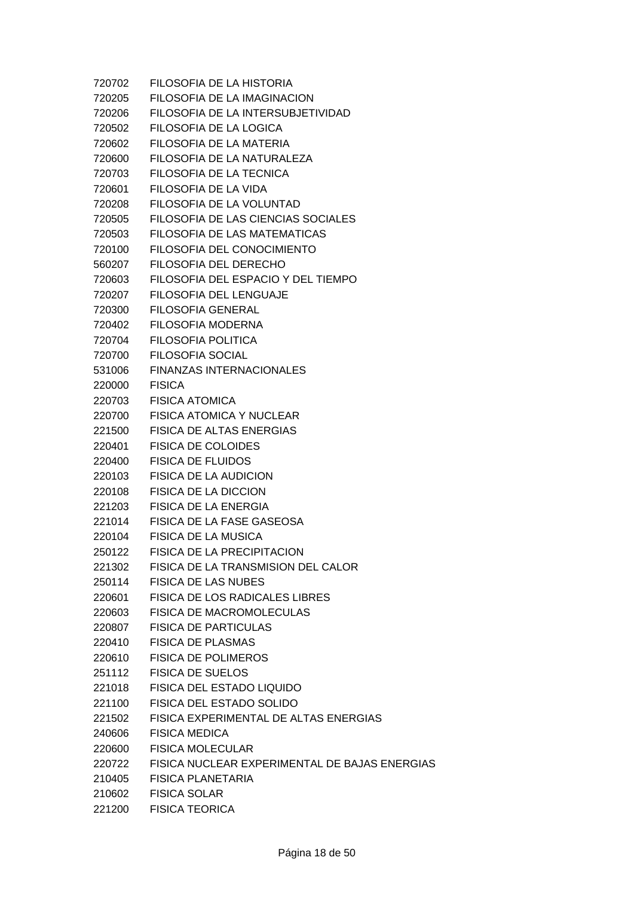| 720702 | FILOSOFIA DE LA HISTORIA                      |
|--------|-----------------------------------------------|
| 720205 | FILOSOFIA DE LA IMAGINACION                   |
| 720206 | FILOSOFIA DE LA INTERSUBJETIVIDAD             |
| 720502 | FILOSOFIA DE LA LOGICA                        |
| 720602 | FILOSOFIA DE LA MATERIA                       |
| 720600 | FILOSOFIA DE LA NATURALEZA                    |
| 720703 | FILOSOFIA DE LA TECNICA                       |
| 720601 | FILOSOFIA DE LA VIDA                          |
| 720208 | FILOSOFIA DE LA VOLUNTAD                      |
| 720505 | FILOSOFIA DE LAS CIENCIAS SOCIALES            |
| 720503 | FILOSOFIA DE LAS MATEMATICAS                  |
| 720100 | FILOSOFIA DEL CONOCIMIENTO                    |
| 560207 | FILOSOFIA DEL DERECHO                         |
| 720603 | FILOSOFIA DEL ESPACIO Y DEL TIEMPO            |
| 720207 | FILOSOFIA DEL LENGUAJE                        |
| 720300 | <b>FILOSOFIA GENERAL</b>                      |
| 720402 | <b>FILOSOFIA MODERNA</b>                      |
| 720704 | FILOSOFIA POLITICA                            |
| 720700 | <b>FILOSOFIA SOCIAL</b>                       |
| 531006 | <b>FINANZAS INTERNACIONALES</b>               |
| 220000 | <b>FISICA</b>                                 |
| 220703 | <b>FISICA ATOMICA</b>                         |
| 220700 | <b>FISICA ATOMICA Y NUCLEAR</b>               |
| 221500 | FISICA DE ALTAS ENERGIAS                      |
| 220401 | <b>FISICA DE COLOIDES</b>                     |
| 220400 | <b>FISICA DE FLUIDOS</b>                      |
| 220103 | <b>FISICA DE LA AUDICION</b>                  |
| 220108 | <b>FISICA DE LA DICCION</b>                   |
| 221203 | <b>FISICA DE LA ENERGIA</b>                   |
| 221014 | FISICA DE LA FASE GASEOSA                     |
| 220104 | FISICA DE LA MUSICA                           |
| 250122 | <b>FISICA DE LA PRECIPITACION</b>             |
| 221302 | FISICA DE LA TRANSMISION DEL CALOR            |
| 250114 | <b>FISICA DE LAS NUBES</b>                    |
| 220601 | <b>FISICA DE LOS RADICALES LIBRES</b>         |
| 220603 | FISICA DE MACROMOLECULAS                      |
| 220807 | <b>FISICA DE PARTICULAS</b>                   |
| 220410 | <b>FISICA DE PLASMAS</b>                      |
| 220610 | <b>FISICA DE POLIMEROS</b>                    |
| 251112 | <b>FISICA DE SUELOS</b>                       |
| 221018 | <b>FISICA DEL ESTADO LIQUIDO</b>              |
| 221100 | FISICA DEL ESTADO SOLIDO                      |
| 221502 | FISICA EXPERIMENTAL DE ALTAS ENERGIAS         |
| 240606 | <b>FISICA MEDICA</b>                          |
| 220600 | <b>FISICA MOLECULAR</b>                       |
| 220722 | FISICA NUCLEAR EXPERIMENTAL DE BAJAS ENERGIAS |
| 210405 | <b>FISICA PLANETARIA</b>                      |
| 210602 | <b>FISICA SOLAR</b>                           |
| 221200 | <b>FISICA TEORICA</b>                         |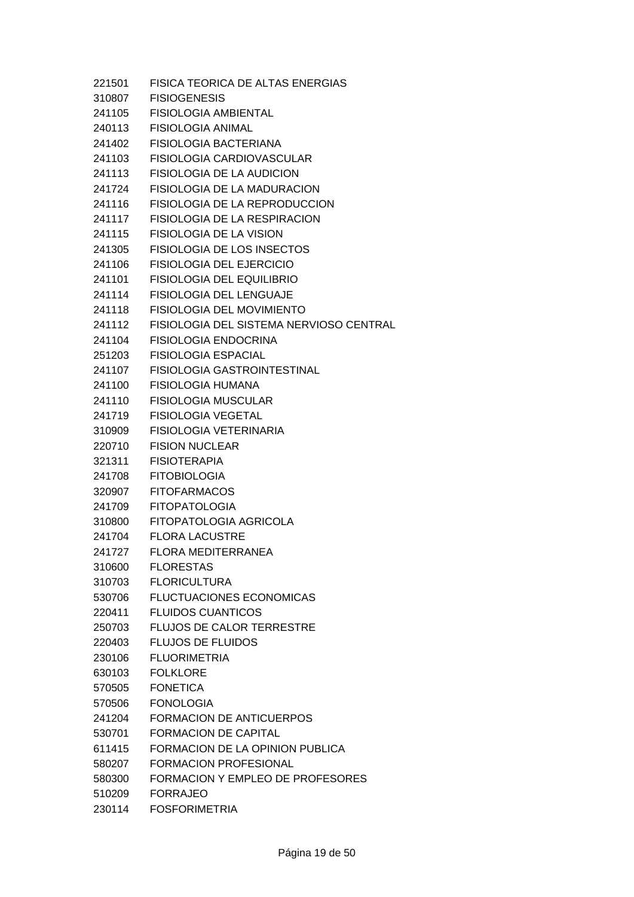| 221501 | FISICA TEORICA DE ALTAS ENERGIAS        |
|--------|-----------------------------------------|
| 310807 | <b>FISIOGENESIS</b>                     |
| 241105 | <b>FISIOLOGIA AMBIENTAL</b>             |
| 240113 | <b>FISIOLOGIA ANIMAL</b>                |
| 241402 | <b>FISIOLOGIA BACTERIANA</b>            |
| 241103 | FISIOLOGIA CARDIOVASCULAR               |
| 241113 | <b>FISIOLOGIA DE LA AUDICION</b>        |
| 241724 | <b>FISIOLOGIA DE LA MADURACION</b>      |
| 241116 | <b>FISIOLOGIA DE LA REPRODUCCION</b>    |
| 241117 | <b>FISIOLOGIA DE LA RESPIRACION</b>     |
| 241115 | <b>FISIOLOGIA DE LA VISION</b>          |
| 241305 | <b>FISIOLOGIA DE LOS INSECTOS</b>       |
| 241106 | <b>FISIOLOGIA DEL EJERCICIO</b>         |
| 241101 | <b>FISIOLOGIA DEL EQUILIBRIO</b>        |
| 241114 | FISIOLOGIA DEL LENGUAJE                 |
| 241118 | <b>FISIOLOGIA DEL MOVIMIENTO</b>        |
| 241112 | FISIOLOGIA DEL SISTEMA NERVIOSO CENTRAL |
| 241104 | <b>FISIOLOGIA ENDOCRINA</b>             |
| 251203 | <b>FISIOLOGIA ESPACIAL</b>              |
| 241107 | <b>FISIOLOGIA GASTROINTESTINAL</b>      |
| 241100 | <b>FISIOLOGIA HUMANA</b>                |
| 241110 | <b>FISIOLOGIA MUSCULAR</b>              |
| 241719 | FISIOLOGIA VEGETAL                      |
| 310909 | FISIOLOGIA VETERINARIA                  |
| 220710 | <b>FISION NUCLEAR</b>                   |
| 321311 | <b>FISIOTERAPIA</b>                     |
| 241708 | <b>FITOBIOLOGIA</b>                     |
| 320907 | <b>FITOFARMACOS</b>                     |
| 241709 | <b>FITOPATOLOGIA</b>                    |
| 310800 | <b>FITOPATOLOGIA AGRICOLA</b>           |
| 241704 | <b>FLORA LACUSTRE</b>                   |
| 241727 | <b>FLORA MEDITERRANEA</b>               |
| 310600 | <b>FLORESTAS</b>                        |
| 310703 | <b>FLORICULTURA</b>                     |
| 530706 | <b>FLUCTUACIONES ECONOMICAS</b>         |
| 220411 | <b>FLUIDOS CUANTICOS</b>                |
| 250703 | <b>FLUJOS DE CALOR TERRESTRE</b>        |
| 220403 | <b>FLUJOS DE FLUIDOS</b>                |
| 230106 | <b>FLUORIMETRIA</b>                     |
| 630103 | <b>FOLKLORE</b>                         |
| 570505 | <b>FONETICA</b>                         |
| 570506 | <b>FONOLOGIA</b>                        |
| 241204 | <b>FORMACION DE ANTICUERPOS</b>         |
| 530701 | <b>FORMACION DE CAPITAL</b>             |
| 611415 | FORMACION DE LA OPINION PUBLICA         |
| 580207 | FORMACION PROFESIONAL                   |
| 580300 | FORMACION Y EMPLEO DE PROFESORES        |
| 510209 | <b>FORRAJEO</b>                         |
| 230114 | <b>FOSFORIMETRIA</b>                    |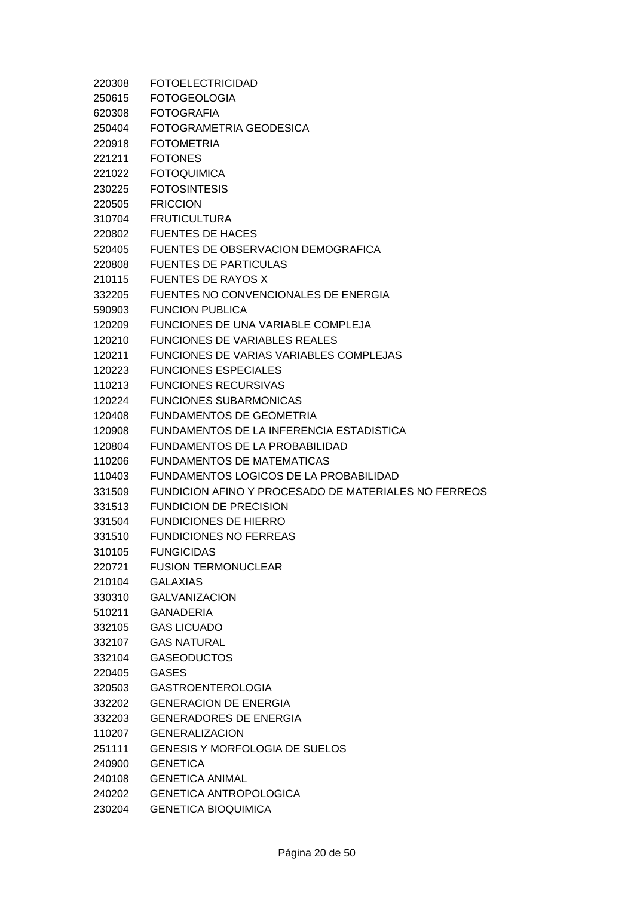| 220308 | <b>FOTOELECTRICIDAD</b>                              |
|--------|------------------------------------------------------|
| 250615 | <b>FOTOGEOLOGIA</b>                                  |
| 620308 | <b>FOTOGRAFIA</b>                                    |
| 250404 | FOTOGRAMETRIA GEODESICA                              |
| 220918 | <b>FOTOMETRIA</b>                                    |
| 221211 | <b>FOTONES</b>                                       |
| 221022 | <b>FOTOQUIMICA</b>                                   |
| 230225 | <b>FOTOSINTESIS</b>                                  |
| 220505 | <b>FRICCION</b>                                      |
| 310704 | <b>FRUTICULTURA</b>                                  |
| 220802 | <b>FUENTES DE HACES</b>                              |
| 520405 | FUENTES DE OBSERVACION DEMOGRAFICA                   |
| 220808 | <b>FUENTES DE PARTICULAS</b>                         |
| 210115 | <b>FUENTES DE RAYOS X</b>                            |
| 332205 | FUENTES NO CONVENCIONALES DE ENERGIA                 |
| 590903 | <b>FUNCION PUBLICA</b>                               |
| 120209 | FUNCIONES DE UNA VARIABLE COMPLEJA                   |
| 120210 | <b>FUNCIONES DE VARIABLES REALES</b>                 |
| 120211 | FUNCIONES DE VARIAS VARIABLES COMPLEJAS              |
| 120223 | <b>FUNCIONES ESPECIALES</b>                          |
| 110213 | <b>FUNCIONES RECURSIVAS</b>                          |
| 120224 | <b>FUNCIONES SUBARMONICAS</b>                        |
| 120408 | <b>FUNDAMENTOS DE GEOMETRIA</b>                      |
| 120908 | FUNDAMENTOS DE LA INFERENCIA ESTADISTICA             |
| 120804 | FUNDAMENTOS DE LA PROBABILIDAD                       |
| 110206 | <b>FUNDAMENTOS DE MATEMATICAS</b>                    |
| 110403 | FUNDAMENTOS LOGICOS DE LA PROBABILIDAD               |
| 331509 | FUNDICION AFINO Y PROCESADO DE MATERIALES NO FERREOS |
| 331513 | <b>FUNDICION DE PRECISION</b>                        |
| 331504 | <b>FUNDICIONES DE HIERRO</b>                         |
| 331510 | <b>FUNDICIONES NO FERREAS</b>                        |
| 310105 | <b>FUNGICIDAS</b>                                    |
| 220721 | <b>FUSION TERMONUCLEAR</b>                           |
| 210104 | <b>GALAXIAS</b>                                      |
| 330310 | <b>GALVANIZACION</b>                                 |
| 510211 | <b>GANADERIA</b>                                     |
| 332105 | <b>GAS LICUADO</b>                                   |
| 332107 | <b>GAS NATURAL</b>                                   |
| 332104 | <b>GASEODUCTOS</b>                                   |
| 220405 | <b>GASES</b>                                         |
| 320503 | <b>GASTROENTEROLOGIA</b>                             |
| 332202 | <b>GENERACION DE ENERGIA</b>                         |
| 332203 | <b>GENERADORES DE ENERGIA</b>                        |
| 110207 | <b>GENERALIZACION</b>                                |
| 251111 | GENESIS Y MORFOLOGIA DE SUELOS                       |
| 240900 | <b>GENETICA</b>                                      |
| 240108 | <b>GENETICA ANIMAL</b>                               |
| 240202 | <b>GENETICA ANTROPOLOGICA</b>                        |
| 230204 | <b>GENETICA BIOQUIMICA</b>                           |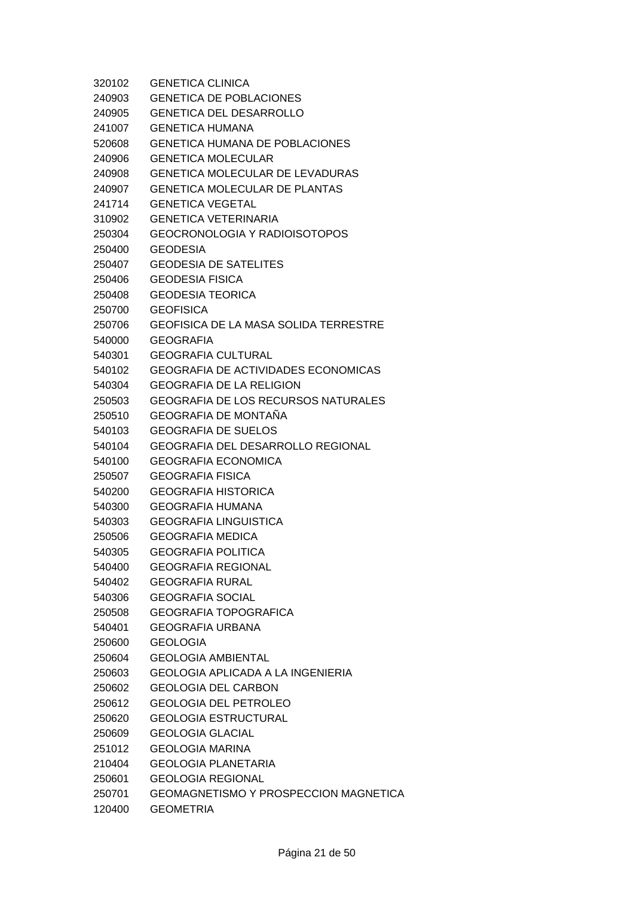| 320102 | <b>GENETICA CLINICA</b>                      |
|--------|----------------------------------------------|
| 240903 | <b>GENETICA DE POBLACIONES</b>               |
| 240905 | <b>GENETICA DEL DESARROLLO</b>               |
| 241007 | <b>GENETICA HUMANA</b>                       |
| 520608 | <b>GENETICA HUMANA DE POBLACIONES</b>        |
| 240906 | <b>GENETICA MOLECULAR</b>                    |
| 240908 | <b>GENETICA MOLECULAR DE LEVADURAS</b>       |
| 240907 | <b>GENETICA MOLECULAR DE PLANTAS</b>         |
| 241714 | <b>GENETICA VEGETAL</b>                      |
| 310902 | <b>GENETICA VETERINARIA</b>                  |
| 250304 | GEOCRONOLOGIA Y RADIOISOTOPOS                |
| 250400 | <b>GEODESIA</b>                              |
| 250407 | <b>GEODESIA DE SATELITES</b>                 |
| 250406 | <b>GEODESIA FISICA</b>                       |
| 250408 | <b>GEODESIA TEORICA</b>                      |
| 250700 | <b>GEOFISICA</b>                             |
| 250706 | <b>GEOFISICA DE LA MASA SOLIDA TERRESTRE</b> |
| 540000 | GEOGRAFIA                                    |
| 540301 | <b>GEOGRAFIA CULTURAL</b>                    |
| 540102 | <b>GEOGRAFIA DE ACTIVIDADES ECONOMICAS</b>   |
| 540304 | GEOGRAFIA DE LA RELIGION                     |
| 250503 | <b>GEOGRAFIA DE LOS RECURSOS NATURALES</b>   |
| 250510 | <b>GEOGRAFIA DE MONTAÑA</b>                  |
| 540103 | <b>GEOGRAFIA DE SUELOS</b>                   |
| 540104 | GEOGRAFIA DEL DESARROLLO REGIONAL            |
| 540100 | <b>GEOGRAFIA ECONOMICA</b>                   |
| 250507 | <b>GEOGRAFIA FISICA</b>                      |
| 540200 | <b>GEOGRAFIA HISTORICA</b>                   |
| 540300 | <b>GEOGRAFIA HUMANA</b>                      |
| 540303 | <b>GEOGRAFIA LINGUISTICA</b>                 |
| 250506 | <b>GEOGRAFIA MEDICA</b>                      |
| 540305 | <b>GEOGRAFIA POLITICA</b>                    |
| 540400 | <b>GEOGRAFIA REGIONAL</b>                    |
| 540402 | <b>GEOGRAFIA RURAL</b>                       |
| 540306 | <b>GEOGRAFIA SOCIAL</b>                      |
| 250508 | <b>GEOGRAFIA TOPOGRAFICA</b>                 |
| 540401 | <b>GEOGRAFIA URBANA</b>                      |
| 250600 | <b>GEOLOGIA</b>                              |
| 250604 | <b>GEOLOGIA AMBIENTAL</b>                    |
| 250603 | GEOLOGIA APLICADA A LA INGENIERIA            |
| 250602 | <b>GEOLOGIA DEL CARBON</b>                   |
| 250612 | <b>GEOLOGIA DEL PETROLEO</b>                 |
| 250620 | <b>GEOLOGIA ESTRUCTURAL</b>                  |
| 250609 | <b>GEOLOGIA GLACIAL</b>                      |
| 251012 | <b>GEOLOGIA MARINA</b>                       |
| 210404 | <b>GEOLOGIA PLANETARIA</b>                   |
| 250601 | <b>GEOLOGIA REGIONAL</b>                     |
| 250701 | <b>GEOMAGNETISMO Y PROSPECCION MAGNETICA</b> |
| 120400 | <b>GEOMETRIA</b>                             |

Página 21 de 50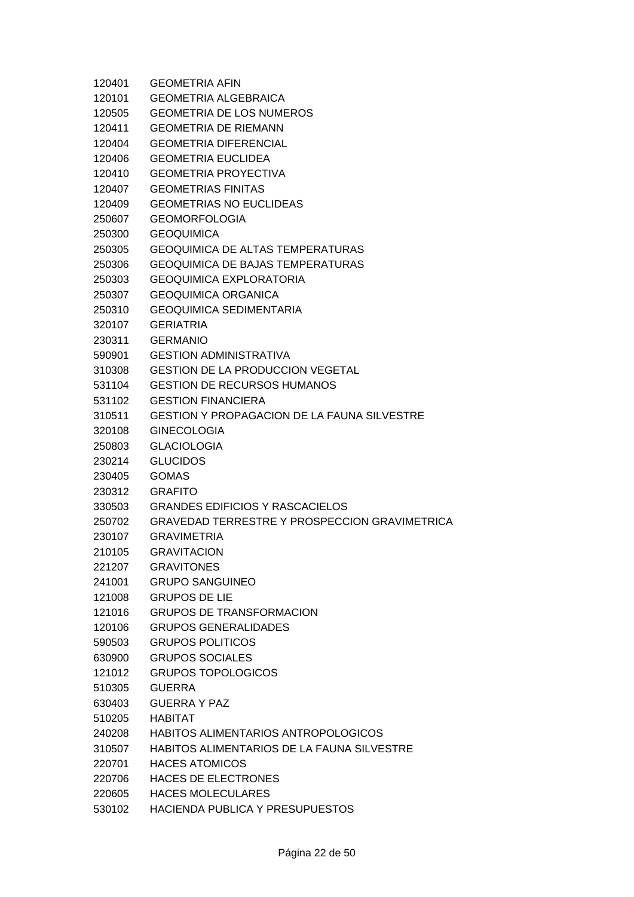| 120401 | <b>GEOMETRIA AFIN</b>                                |
|--------|------------------------------------------------------|
| 120101 | <b>GEOMETRIA ALGEBRAICA</b>                          |
| 120505 | <b>GEOMETRIA DE LOS NUMEROS</b>                      |
| 120411 | <b>GEOMETRIA DE RIEMANN</b>                          |
| 120404 | <b>GEOMETRIA DIFERENCIAL</b>                         |
| 120406 | <b>GEOMETRIA EUCLIDEA</b>                            |
| 120410 | <b>GEOMETRIA PROYECTIVA</b>                          |
| 120407 | <b>GEOMETRIAS FINITAS</b>                            |
| 120409 | <b>GEOMETRIAS NO EUCLIDEAS</b>                       |
| 250607 | <b>GEOMORFOLOGIA</b>                                 |
| 250300 | <b>GEOQUIMICA</b>                                    |
| 250305 | <b>GEOQUIMICA DE ALTAS TEMPERATURAS</b>              |
| 250306 | <b>GEOQUIMICA DE BAJAS TEMPERATURAS</b>              |
| 250303 | <b>GEOQUIMICA EXPLORATORIA</b>                       |
| 250307 | <b>GEOQUIMICA ORGANICA</b>                           |
| 250310 | <b>GEOQUIMICA SEDIMENTARIA</b>                       |
| 320107 | <b>GERIATRIA</b>                                     |
| 230311 | <b>GERMANIO</b>                                      |
| 590901 | <b>GESTION ADMINISTRATIVA</b>                        |
| 310308 | <b>GESTION DE LA PRODUCCION VEGETAL</b>              |
| 531104 | <b>GESTION DE RECURSOS HUMANOS</b>                   |
| 531102 | <b>GESTION FINANCIERA</b>                            |
| 310511 | <b>GESTION Y PROPAGACION DE LA FAUNA SILVESTRE</b>   |
| 320108 | <b>GINECOLOGIA</b>                                   |
| 250803 | <b>GLACIOLOGIA</b>                                   |
| 230214 | <b>GLUCIDOS</b>                                      |
| 230405 | <b>GOMAS</b>                                         |
| 230312 | <b>GRAFITO</b>                                       |
| 330503 | <b>GRANDES EDIFICIOS Y RASCACIELOS</b>               |
| 250702 | <b>GRAVEDAD TERRESTRE Y PROSPECCION GRAVIMETRICA</b> |
| 230107 | <b>GRAVIMETRIA</b>                                   |
| 210105 | <b>GRAVITACION</b>                                   |
| 221207 | <b>GRAVITONES</b>                                    |
| 241001 | <b>GRUPO SANGUINEO</b>                               |
| 121008 | <b>GRUPOS DE LIE</b>                                 |
| 121016 | <b>GRUPOS DE TRANSFORMACION</b>                      |
| 120106 | <b>GRUPOS GENERALIDADES</b>                          |
| 590503 | <b>GRUPOS POLITICOS</b>                              |
| 630900 | <b>GRUPOS SOCIALES</b>                               |
| 121012 | <b>GRUPOS TOPOLOGICOS</b>                            |
| 510305 | GUERRA                                               |
| 630403 | <b>GUERRA Y PAZ</b>                                  |
| 510205 | HABITAT                                              |
| 240208 | <b>HABITOS ALIMENTARIOS ANTROPOLOGICOS</b>           |
| 310507 | HABITOS ALIMENTARIOS DE LA FAUNA SILVESTRE           |
| 220701 | <b>HACES ATOMICOS</b>                                |
| 220706 | HACES DE ELECTRONES                                  |
| 220605 | <b>HACES MOLECULARES</b>                             |
| 530102 | HACIENDA PUBLICA Y PRESUPUESTOS                      |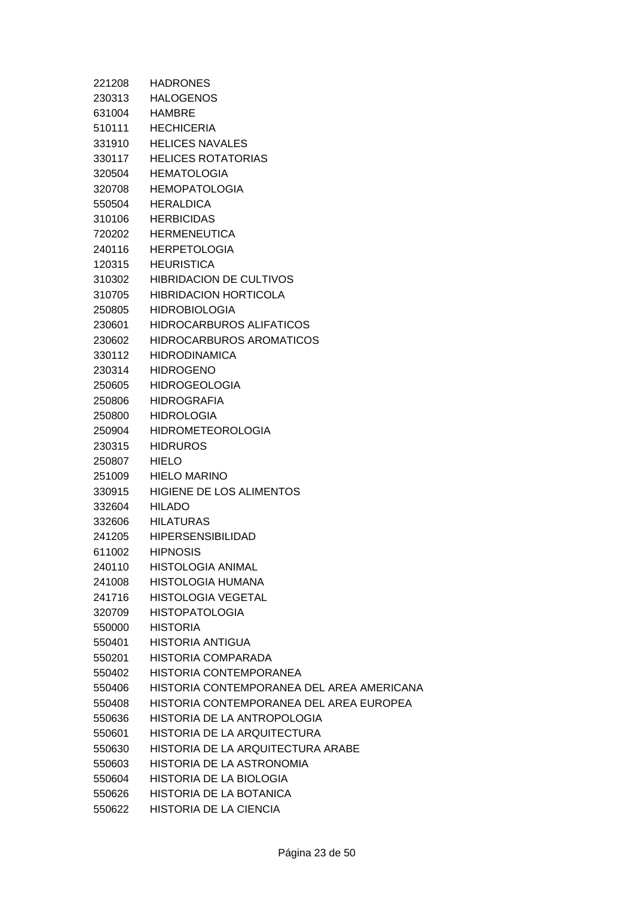| 221208 | <b>HADRONES</b>                           |
|--------|-------------------------------------------|
| 230313 | <b>HALOGENOS</b>                          |
| 631004 | <b>HAMBRE</b>                             |
| 510111 | <b>HECHICERIA</b>                         |
| 331910 | <b>HELICES NAVALES</b>                    |
| 330117 | <b>HELICES ROTATORIAS</b>                 |
| 320504 | <b>HEMATOLOGIA</b>                        |
| 320708 | <b>HEMOPATOLOGIA</b>                      |
| 550504 | <b>HERALDICA</b>                          |
| 310106 | <b>HERBICIDAS</b>                         |
| 720202 | <b>HERMENEUTICA</b>                       |
| 240116 | <b>HERPETOLOGIA</b>                       |
| 120315 | <b>HEURISTICA</b>                         |
| 310302 | <b>HIBRIDACION DE CULTIVOS</b>            |
| 310705 | <b>HIBRIDACION HORTICOLA</b>              |
| 250805 | <b>HIDROBIOLOGIA</b>                      |
| 230601 | <b>HIDROCARBUROS ALIFATICOS</b>           |
| 230602 | <b>HIDROCARBUROS AROMATICOS</b>           |
| 330112 | <b>HIDRODINAMICA</b>                      |
| 230314 | <b>HIDROGENO</b>                          |
| 250605 | <b>HIDROGEOLOGIA</b>                      |
| 250806 | <b>HIDROGRAFIA</b>                        |
| 250800 | <b>HIDROLOGIA</b>                         |
| 250904 | <b>HIDROMETEOROLOGIA</b>                  |
| 230315 | <b>HIDRUROS</b>                           |
| 250807 | <b>HIELO</b>                              |
| 251009 | <b>HIELO MARINO</b>                       |
| 330915 | HIGIENE DE LOS ALIMENTOS                  |
| 332604 | HILADO                                    |
| 332606 | <b>HILATURAS</b>                          |
| 241205 | <b>HIPERSENSIBILIDAD</b>                  |
| 611002 | <b>HIPNOSIS</b>                           |
| 240110 | <b>HISTOLOGIA ANIMAL</b>                  |
| 241008 | HISTOLOGIA HUMANA                         |
| 241716 | <b>HISTOLOGIA VEGETAL</b>                 |
| 320709 | <b>HISTOPATOLOGIA</b>                     |
| 550000 | <b>HISTORIA</b>                           |
| 550401 | HISTORIA ANTIGUA                          |
| 550201 | HISTORIA COMPARADA                        |
| 550402 | <b>HISTORIA CONTEMPORANEA</b>             |
| 550406 | HISTORIA CONTEMPORANEA DEL AREA AMERICANA |
| 550408 | HISTORIA CONTEMPORANEA DEL AREA EUROPEA   |
| 550636 | HISTORIA DE LA ANTROPOLOGIA               |
| 550601 | HISTORIA DE LA ARQUITECTURA               |
| 550630 | HISTORIA DE LA ARQUITECTURA ARABE         |
| 550603 | HISTORIA DE LA ASTRONOMIA                 |
| 550604 | HISTORIA DE LA BIOLOGIA                   |
| 550626 | HISTORIA DE LA BOTANICA                   |
| 550622 | HISTORIA DE LA CIENCIA                    |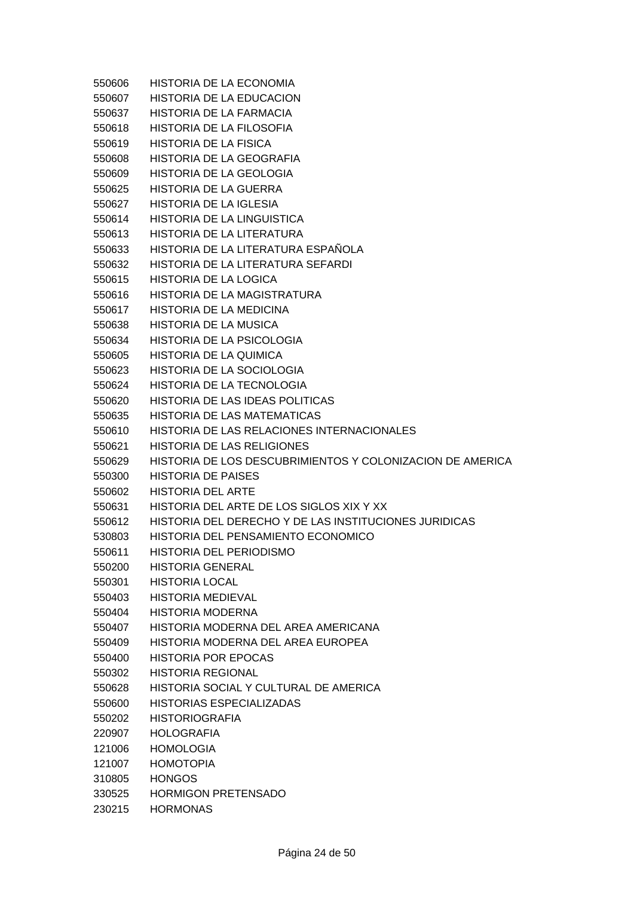550606 HISTORIA DE LA ECONOMIA 550607 HISTORIA DE LA EDUCACION 550637 HISTORIA DE LA FARMACIA 550618 HISTORIA DE LA FILOSOFIA 550619 HISTORIA DE LA FISICA 550608 HISTORIA DE LA GEOGRAFIA 550609 HISTORIA DE LA GEOLOGIA 550625 HISTORIA DE LA GUERRA 550627 HISTORIA DE LA IGLESIA 550614 HISTORIA DE LA LINGUISTICA 550613 HISTORIA DE LA LITERATURA 550633 HISTORIA DE LA LITERATURA ESPAÑOLA 550632 HISTORIA DE LA LITERATURA SEFARDI 550615 HISTORIA DE LA LOGICA 550616 HISTORIA DE LA MAGISTRATURA 550617 HISTORIA DE LA MEDICINA 550638 HISTORIA DE LA MUSICA 550634 HISTORIA DE LA PSICOLOGIA 550605 HISTORIA DE LA QUIMICA 550623 HISTORIA DE LA SOCIOLOGIA 550624 HISTORIA DE LA TECNOLOGIA 550620 HISTORIA DE LAS IDEAS POLITICAS 550635 HISTORIA DE LAS MATEMATICAS 550610 HISTORIA DE LAS RELACIONES INTERNACIONALES 550621 HISTORIA DE LAS RELIGIONES 550629 HISTORIA DE LOS DESCUBRIMIENTOS Y COLONIZACION DE AMERICA 550300 HISTORIA DE PAISES 550602 HISTORIA DEL ARTE 550631 HISTORIA DEL ARTE DE LOS SIGLOS XIX Y XX 550612 HISTORIA DEL DERECHO Y DE LAS INSTITUCIONES JURIDICAS 530803 HISTORIA DEL PENSAMIENTO ECONOMICO 550611 HISTORIA DEL PERIODISMO 550200 HISTORIA GENERAL 550301 HISTORIA LOCAL 550403 HISTORIA MEDIEVAL 550404 HISTORIA MODERNA 550407 HISTORIA MODERNA DEL AREA AMERICANA 550409 HISTORIA MODERNA DEL AREA EUROPEA 550400 HISTORIA POR EPOCAS 550302 HISTORIA REGIONAL 550628 HISTORIA SOCIAL Y CULTURAL DE AMERICA 550600 HISTORIAS ESPECIALIZADAS 550202 HISTORIOGRAFIA 220907 HOLOGRAFIA 121006 HOMOLOGIA 121007 HOMOTOPIA 310805 HONGOS 330525 HORMIGON PRETENSADO 230215 HORMONAS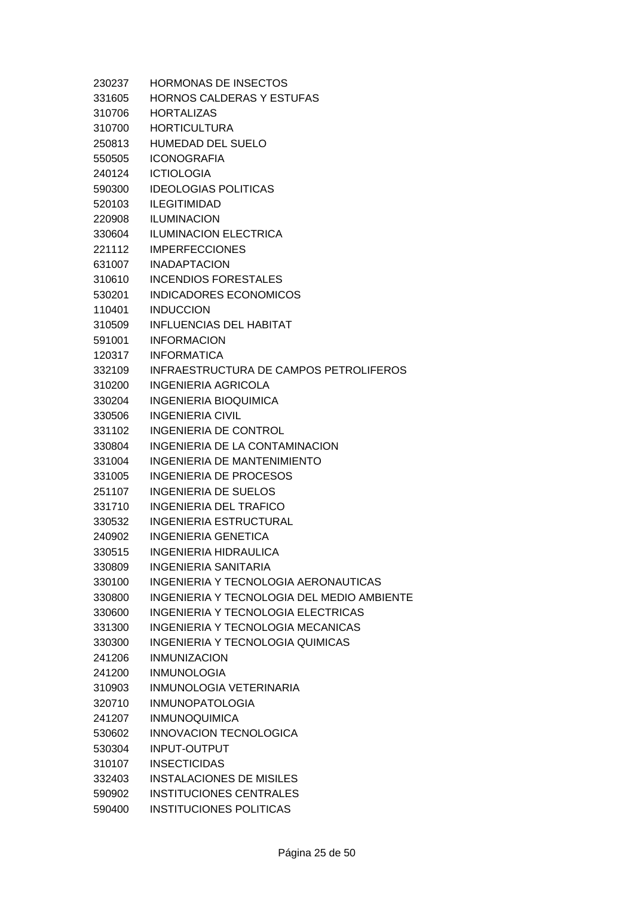| 230237 | <b>HORMONAS DE INSECTOS</b>                   |
|--------|-----------------------------------------------|
| 331605 | <b>HORNOS CALDERAS Y ESTUFAS</b>              |
| 310706 | <b>HORTALIZAS</b>                             |
| 310700 | <b>HORTICULTURA</b>                           |
| 250813 | HUMEDAD DEL SUELO                             |
| 550505 | <b>ICONOGRAFIA</b>                            |
| 240124 | <b>ICTIOLOGIA</b>                             |
| 590300 | <b>IDEOLOGIAS POLITICAS</b>                   |
| 520103 | <b>ILEGITIMIDAD</b>                           |
| 220908 | <b>ILUMINACION</b>                            |
| 330604 | <b>ILUMINACION ELECTRICA</b>                  |
| 221112 | <b>IMPERFECCIONES</b>                         |
| 631007 | <b>INADAPTACION</b>                           |
| 310610 | <b>INCENDIOS FORESTALES</b>                   |
| 530201 | INDICADORES ECONOMICOS                        |
| 110401 | <b>INDUCCION</b>                              |
| 310509 | <b>INFLUENCIAS DEL HABITAT</b>                |
| 591001 | <b>INFORMACION</b>                            |
| 120317 | <b>INFORMATICA</b>                            |
| 332109 | <b>INFRAESTRUCTURA DE CAMPOS PETROLIFEROS</b> |
| 310200 | INGENIERIA AGRICOLA                           |
| 330204 | <b>INGENIERIA BIOQUIMICA</b>                  |
| 330506 | <b>INGENIERIA CIVIL</b>                       |
| 331102 | <b>INGENIERIA DE CONTROL</b>                  |
| 330804 | INGENIERIA DE LA CONTAMINACION                |
| 331004 | INGENIERIA DE MANTENIMIENTO                   |
| 331005 | INGENIERIA DE PROCESOS                        |
| 251107 | INGENIERIA DE SUELOS                          |
| 331710 | INGENIERIA DEL TRAFICO                        |
| 330532 | <b>INGENIERIA ESTRUCTURAL</b>                 |
| 240902 | <b>INGENIERIA GENETICA</b>                    |
| 330515 | <b>INGENIERIA HIDRAULICA</b>                  |
| 330809 | <b>INGENIERIA SANITARIA</b>                   |
| 330100 | INGENIERIA Y TECNOLOGIA AERONAUTICAS          |
| 330800 | INGENIERIA Y TECNOLOGIA DEL MEDIO AMBIENTE    |
| 330600 | <b>INGENIERIA Y TECNOLOGIA ELECTRICAS</b>     |
| 331300 | <b>INGENIERIA Y TECNOLOGIA MECANICAS</b>      |
| 330300 | <b>INGENIERIA Y TECNOLOGIA QUIMICAS</b>       |
| 241206 | <b>INMUNIZACION</b>                           |
| 241200 | <b>INMUNOLOGIA</b>                            |
| 310903 | INMUNOLOGIA VETERINARIA                       |
| 320710 | <b>INMUNOPATOLOGIA</b>                        |
| 241207 | <b>INMUNOQUIMICA</b>                          |
| 530602 | INNOVACION TECNOLOGICA                        |
| 530304 | <b>INPUT-OUTPUT</b>                           |
| 310107 | <b>INSECTICIDAS</b>                           |
| 332403 | <b>INSTALACIONES DE MISILES</b>               |
| 590902 | <b>INSTITUCIONES CENTRALES</b>                |
| 590400 | <b>INSTITUCIONES POLITICAS</b>                |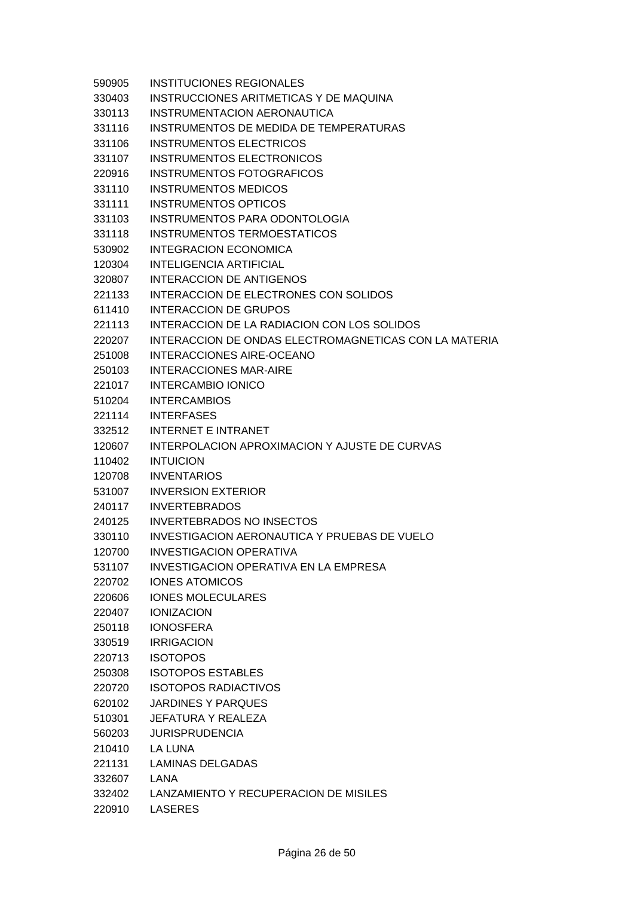| 590905 | <b>INSTITUCIONES REGIONALES</b>                       |
|--------|-------------------------------------------------------|
| 330403 | INSTRUCCIONES ARITMETICAS Y DE MAQUINA                |
| 330113 | INSTRUMENTACION AERONAUTICA                           |
| 331116 | INSTRUMENTOS DE MEDIDA DE TEMPERATURAS                |
| 331106 | <b>INSTRUMENTOS ELECTRICOS</b>                        |
| 331107 | <b>INSTRUMENTOS ELECTRONICOS</b>                      |
| 220916 | <b>INSTRUMENTOS FOTOGRAFICOS</b>                      |
| 331110 | <b>INSTRUMENTOS MEDICOS</b>                           |
| 331111 | <b>INSTRUMENTOS OPTICOS</b>                           |
| 331103 | INSTRUMENTOS PARA ODONTOLOGIA                         |
| 331118 | <b>INSTRUMENTOS TERMOESTATICOS</b>                    |
| 530902 | <b>INTEGRACION ECONOMICA</b>                          |
| 120304 | <b>INTELIGENCIA ARTIFICIAL</b>                        |
| 320807 | <b>INTERACCION DE ANTIGENOS</b>                       |
| 221133 | INTERACCION DE ELECTRONES CON SOLIDOS                 |
| 611410 | <b>INTERACCION DE GRUPOS</b>                          |
| 221113 | INTERACCION DE LA RADIACION CON LOS SOLIDOS           |
| 220207 | INTERACCION DE ONDAS ELECTROMAGNETICAS CON LA MATERIA |
| 251008 | <b>INTERACCIONES AIRE-OCEANO</b>                      |
| 250103 | <b>INTERACCIONES MAR-AIRE</b>                         |
| 221017 | <b>INTERCAMBIO IONICO</b>                             |
| 510204 | <b>INTERCAMBIOS</b>                                   |
| 221114 | <b>INTERFASES</b>                                     |
| 332512 | <b>INTERNET E INTRANET</b>                            |
| 120607 | INTERPOLACION APROXIMACION Y AJUSTE DE CURVAS         |
| 110402 | <b>INTUICION</b>                                      |
| 120708 | <b>INVENTARIOS</b>                                    |
| 531007 | <b>INVERSION EXTERIOR</b>                             |
| 240117 | <b>INVERTEBRADOS</b>                                  |
| 240125 | <b>INVERTEBRADOS NO INSECTOS</b>                      |
| 330110 | <b>INVESTIGACION AERONAUTICA Y PRUEBAS DE VUELO</b>   |
| 120700 | INVESTIGACION OPERATIVA                               |
| 531107 | INVESTIGACION OPERATIVA EN LA EMPRESA                 |
| 220702 | <b>IONES ATOMICOS</b>                                 |
| 220606 | <b>IONES MOLECULARES</b>                              |
| 220407 | <b>IONIZACION</b>                                     |
| 250118 | <b>IONOSFERA</b>                                      |
| 330519 | <b>IRRIGACION</b>                                     |
| 220713 | <b>ISOTOPOS</b>                                       |
| 250308 | <b>ISOTOPOS ESTABLES</b>                              |
| 220720 | <b>ISOTOPOS RADIACTIVOS</b>                           |
| 620102 | <b>JARDINES Y PARQUES</b>                             |
| 510301 | <b>JEFATURA Y REALEZA</b>                             |
| 560203 | <b>JURISPRUDENCIA</b>                                 |
| 210410 | LA LUNA                                               |
| 221131 | <b>LAMINAS DELGADAS</b>                               |
| 332607 | LANA                                                  |
| 332402 | LANZAMIENTO Y RECUPERACION DE MISILES                 |
| 220910 | LASERES                                               |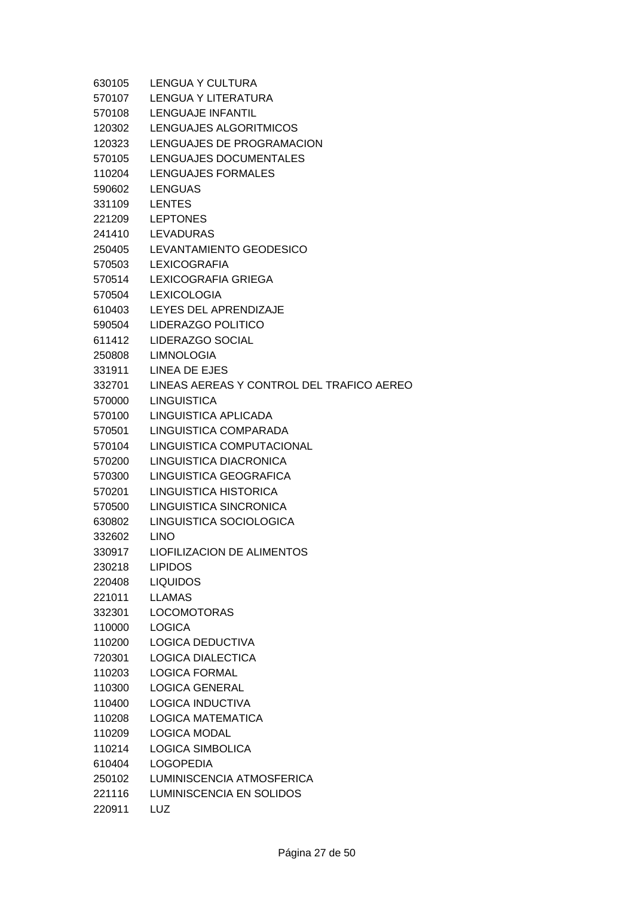| 630105 | LENGUA Y CULTURA                          |
|--------|-------------------------------------------|
| 570107 | LENGUA Y LITERATURA                       |
| 570108 | <b>LENGUAJE INFANTIL</b>                  |
| 120302 | LENGUAJES ALGORITMICOS                    |
| 120323 | LENGUAJES DE PROGRAMACION                 |
| 570105 | LENGUAJES DOCUMENTALES                    |
| 110204 | LENGUAJES FORMALES                        |
| 590602 | <b>LENGUAS</b>                            |
| 331109 | <b>LENTES</b>                             |
| 221209 | <b>LEPTONES</b>                           |
| 241410 | <b>LEVADURAS</b>                          |
| 250405 | LEVANTAMIENTO GEODESICO                   |
| 570503 | <b>LEXICOGRAFIA</b>                       |
| 570514 | <b>LEXICOGRAFIA GRIEGA</b>                |
| 570504 | <b>LEXICOLOGIA</b>                        |
| 610403 | LEYES DEL APRENDIZAJE                     |
| 590504 | LIDERAZGO POLITICO                        |
| 611412 | LIDERAZGO SOCIAL                          |
| 250808 | <b>LIMNOLOGIA</b>                         |
| 331911 | LINEA DE EJES                             |
| 332701 | LINEAS AEREAS Y CONTROL DEL TRAFICO AEREO |
| 570000 | <b>LINGUISTICA</b>                        |
| 570100 | LINGUISTICA APLICADA                      |
| 570501 | LINGUISTICA COMPARADA                     |
| 570104 | LINGUISTICA COMPUTACIONAL                 |
| 570200 | LINGUISTICA DIACRONICA                    |
| 570300 | LINGUISTICA GEOGRAFICA                    |
| 570201 | LINGUISTICA HISTORICA                     |
| 570500 | LINGUISTICA SINCRONICA                    |
| 630802 | LINGUISTICA SOCIOLOGICA                   |
| 332602 | <b>LINO</b>                               |
| 330917 | <b>LIOFILIZACION DE ALIMENTOS</b>         |
| 230218 | <b>LIPIDOS</b>                            |
| 220408 | <b>LIQUIDOS</b>                           |
| 221011 | <b>LLAMAS</b>                             |
| 332301 | <b>LOCOMOTORAS</b>                        |
| 110000 | <b>LOGICA</b>                             |
| 110200 | LOGICA DEDUCTIVA                          |
| 720301 | <b>LOGICA DIALECTICA</b>                  |
| 110203 | <b>LOGICA FORMAL</b>                      |
| 110300 | LOGICA GENERAL                            |
| 110400 | <b>LOGICA INDUCTIVA</b>                   |
| 110208 | <b>LOGICA MATEMATICA</b>                  |
| 110209 | <b>LOGICA MODAL</b>                       |
| 110214 | <b>LOGICA SIMBOLICA</b>                   |
| 610404 | <b>LOGOPEDIA</b>                          |
| 250102 | LUMINISCENCIA ATMOSFERICA                 |
| 221116 | <b>LUMINISCENCIA EN SOLIDOS</b>           |
| 220911 | LUZ                                       |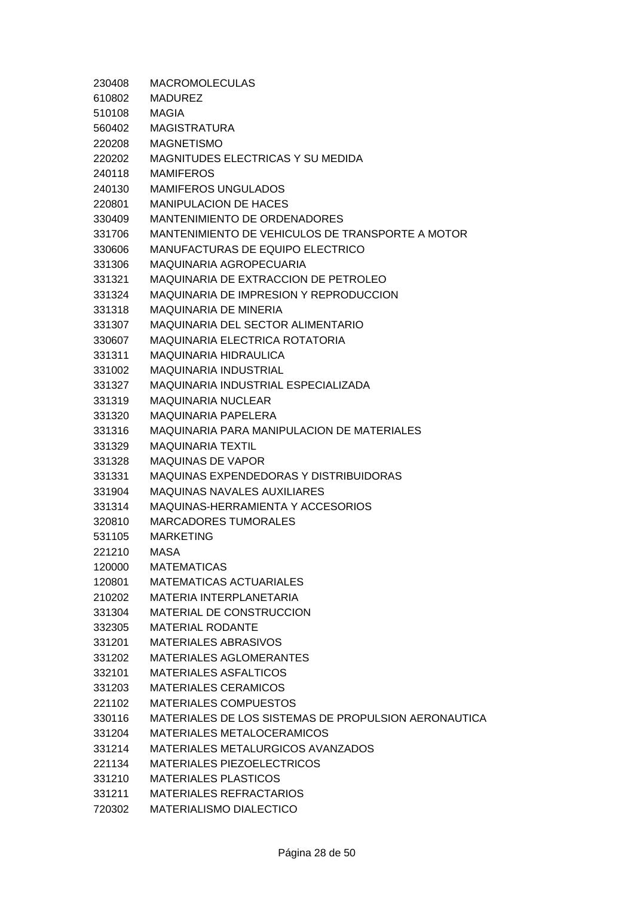| 230408 | <b>MACROMOLECULAS</b>                                |
|--------|------------------------------------------------------|
| 610802 | <b>MADUREZ</b>                                       |
| 510108 | <b>MAGIA</b>                                         |
| 560402 | <b>MAGISTRATURA</b>                                  |
| 220208 | <b>MAGNETISMO</b>                                    |
| 220202 | MAGNITUDES ELECTRICAS Y SU MEDIDA                    |
| 240118 | <b>MAMIFEROS</b>                                     |
| 240130 | <b>MAMIFEROS UNGULADOS</b>                           |
| 220801 | <b>MANIPULACION DE HACES</b>                         |
| 330409 | <b>MANTENIMIENTO DE ORDENADORES</b>                  |
| 331706 | MANTENIMIENTO DE VEHICULOS DE TRANSPORTE A MOTOR     |
| 330606 | MANUFACTURAS DE EQUIPO ELECTRICO                     |
| 331306 | MAQUINARIA AGROPECUARIA                              |
| 331321 | MAQUINARIA DE EXTRACCION DE PETROLEO                 |
| 331324 | MAQUINARIA DE IMPRESION Y REPRODUCCION               |
| 331318 | <b>MAQUINARIA DE MINERIA</b>                         |
| 331307 | MAQUINARIA DEL SECTOR ALIMENTARIO                    |
| 330607 | MAQUINARIA ELECTRICA ROTATORIA                       |
| 331311 | <b>MAQUINARIA HIDRAULICA</b>                         |
| 331002 | <b>MAQUINARIA INDUSTRIAL</b>                         |
| 331327 | MAQUINARIA INDUSTRIAL ESPECIALIZADA                  |
| 331319 | <b>MAQUINARIA NUCLEAR</b>                            |
| 331320 | <b>MAQUINARIA PAPELERA</b>                           |
| 331316 | <b>MAQUINARIA PARA MANIPULACION DE MATERIALES</b>    |
| 331329 | <b>MAQUINARIA TEXTIL</b>                             |
| 331328 | <b>MAQUINAS DE VAPOR</b>                             |
| 331331 | <b>MAQUINAS EXPENDEDORAS Y DISTRIBUIDORAS</b>        |
| 331904 | <b>MAQUINAS NAVALES AUXILIARES</b>                   |
| 331314 | MAQUINAS-HERRAMIENTA Y ACCESORIOS                    |
| 320810 | <b>MARCADORES TUMORALES</b>                          |
| 531105 | <b>MARKETING</b>                                     |
| 221210 | <b>MASA</b>                                          |
| 120000 | <b>MATEMATICAS</b>                                   |
| 120801 | <b>MATEMATICAS ACTUARIALES</b>                       |
| 210202 | <b>MATERIA INTERPLANETARIA</b>                       |
| 331304 | MATERIAL DE CONSTRUCCION                             |
| 332305 | <b>MATERIAL RODANTE</b>                              |
| 331201 | <b>MATERIALES ABRASIVOS</b>                          |
| 331202 | <b>MATERIALES AGLOMERANTES</b>                       |
| 332101 | <b>MATERIALES ASFALTICOS</b>                         |
| 331203 | <b>MATERIALES CERAMICOS</b>                          |
| 221102 | <b>MATERIALES COMPUESTOS</b>                         |
| 330116 | MATERIALES DE LOS SISTEMAS DE PROPULSION AERONAUTICA |
| 331204 | <b>MATERIALES METALOCERAMICOS</b>                    |
| 331214 | MATERIALES METALURGICOS AVANZADOS                    |
| 221134 | MATERIALES PIEZOELECTRICOS                           |
| 331210 | <b>MATERIALES PLASTICOS</b>                          |
| 331211 | <b>MATERIALES REFRACTARIOS</b>                       |
| 720302 | MATERIALISMO DIALECTICO                              |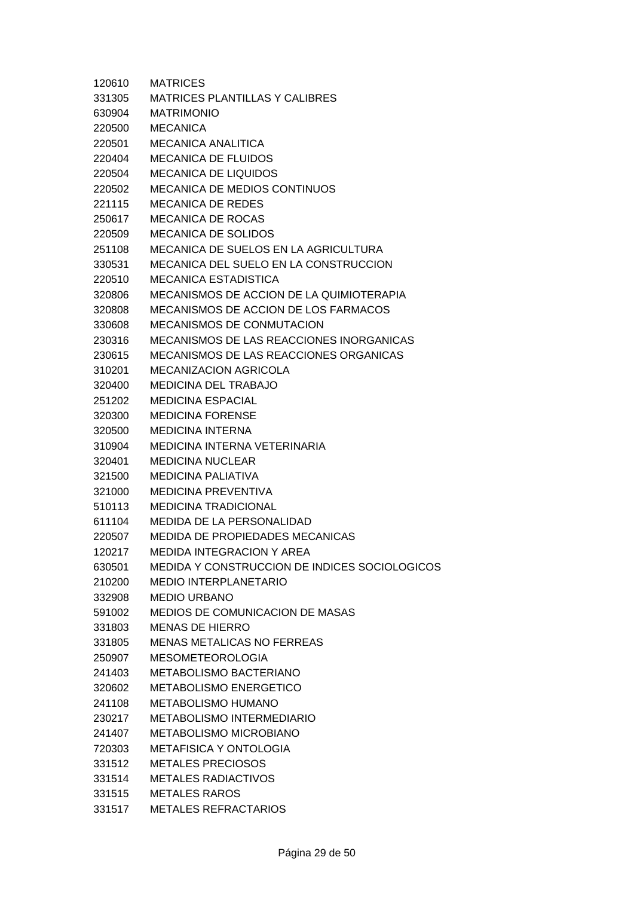| 120610 | <b>MATRICES</b>                               |
|--------|-----------------------------------------------|
| 331305 | <b>MATRICES PLANTILLAS Y CALIBRES</b>         |
| 630904 | <b>MATRIMONIO</b>                             |
| 220500 | <b>MECANICA</b>                               |
| 220501 | MECANICA ANALITICA                            |
| 220404 | <b>MECANICA DE FLUIDOS</b>                    |
| 220504 | <b>MECANICA DE LIQUIDOS</b>                   |
| 220502 | <b>MECANICA DE MEDIOS CONTINUOS</b>           |
| 221115 | <b>MECANICA DE REDES</b>                      |
| 250617 | <b>MECANICA DE ROCAS</b>                      |
| 220509 | <b>MECANICA DE SOLIDOS</b>                    |
| 251108 | <b>MECANICA DE SUELOS EN LA AGRICULTURA</b>   |
| 330531 | <b>MECANICA DEL SUELO EN LA CONSTRUCCION</b>  |
| 220510 | <b>MECANICA ESTADISTICA</b>                   |
| 320806 | MECANISMOS DE ACCION DE LA QUIMIOTERAPIA      |
| 320808 | MECANISMOS DE ACCION DE LOS FARMACOS          |
| 330608 | <b>MECANISMOS DE CONMUTACION</b>              |
| 230316 | MECANISMOS DE LAS REACCIONES INORGANICAS      |
| 230615 | <b>MECANISMOS DE LAS REACCIONES ORGANICAS</b> |
| 310201 | <b>MECANIZACION AGRICOLA</b>                  |
| 320400 | <b>MEDICINA DEL TRABAJO</b>                   |
| 251202 | <b>MEDICINA ESPACIAL</b>                      |
| 320300 | <b>MEDICINA FORENSE</b>                       |
| 320500 | <b>MEDICINA INTERNA</b>                       |
| 310904 | MEDICINA INTERNA VETERINARIA                  |
| 320401 | <b>MEDICINA NUCLEAR</b>                       |
| 321500 | <b>MEDICINA PALIATIVA</b>                     |
| 321000 | <b>MEDICINA PREVENTIVA</b>                    |
| 510113 | <b>MEDICINA TRADICIONAL</b>                   |
| 611104 | <b>MEDIDA DE LA PERSONALIDAD</b>              |
| 220507 | <b>MEDIDA DE PROPIEDADES MECANICAS</b>        |
| 120217 | <b>MEDIDA INTEGRACION Y AREA</b>              |
| 630501 | MEDIDA Y CONSTRUCCION DE INDICES SOCIOLOGICOS |
| 210200 | <b>MEDIO INTERPLANETARIO</b>                  |
| 332908 | <b>MEDIO URBANO</b>                           |
| 591002 | <b>MEDIOS DE COMUNICACION DE MASAS</b>        |
| 331803 | <b>MENAS DE HIERRO</b>                        |
| 331805 | <b>MENAS METALICAS NO FERREAS</b>             |
| 250907 | <b>MESOMETEOROLOGIA</b>                       |
| 241403 | METABOLISMO BACTERIANO                        |
| 320602 | <b>METABOLISMO ENERGETICO</b>                 |
| 241108 | METABOLISMO HUMANO                            |
| 230217 | <b>METABOLISMO INTERMEDIARIO</b>              |
| 241407 | <b>METABOLISMO MICROBIANO</b>                 |
| 720303 | <b>METAFISICA Y ONTOLOGIA</b>                 |
| 331512 | <b>METALES PRECIOSOS</b>                      |
| 331514 | <b>METALES RADIACTIVOS</b>                    |
| 331515 | <b>METALES RAROS</b>                          |
| 331517 | <b>METALES REFRACTARIOS</b>                   |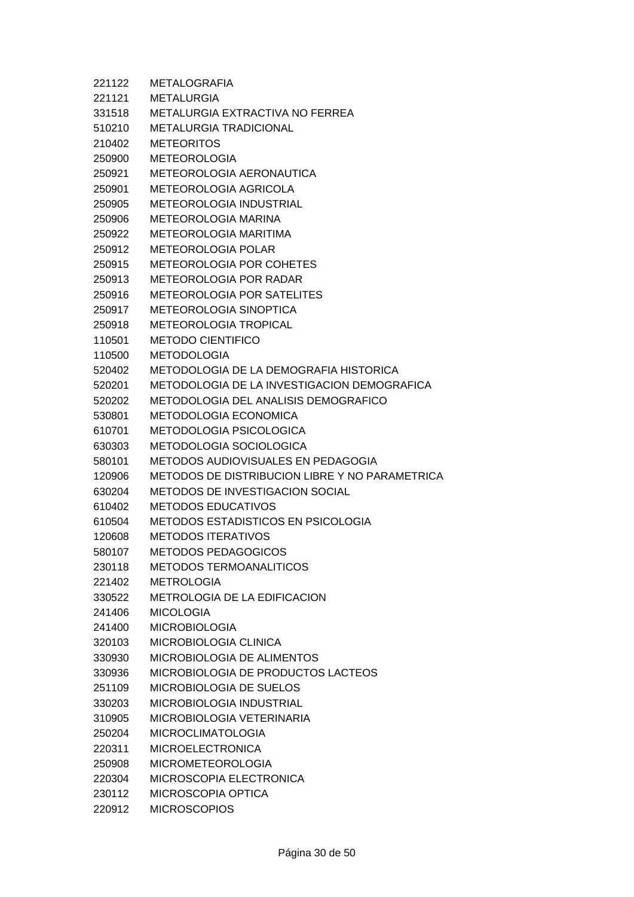| 221122 | <b>METALOGRAFIA</b>                            |
|--------|------------------------------------------------|
| 221121 | <b>METALURGIA</b>                              |
| 331518 | <b>METALURGIA EXTRACTIVA NO FERREA</b>         |
| 510210 | <b>METALURGIA TRADICIONAL</b>                  |
| 210402 | METEORITOS                                     |
| 250900 | <b>METEOROLOGIA</b>                            |
| 250921 | <b>METEOROLOGIA AERONAUTICA</b>                |
| 250901 | <b>METEOROLOGIA AGRICOLA</b>                   |
| 250905 | <b>METEOROLOGIA INDUSTRIAL</b>                 |
| 250906 | <b>METEOROLOGIA MARINA</b>                     |
| 250922 | <b>METEOROLOGIA MARITIMA</b>                   |
| 250912 | METEOROLOGIA POLAR                             |
| 250915 | <b>METEOROLOGIA POR COHETES</b>                |
| 250913 | METEOROLOGIA POR RADAR                         |
| 250916 | <b>METEOROLOGIA POR SATELITES</b>              |
| 250917 | METEOROLOGIA SINOPTICA                         |
| 250918 | <b>METEOROLOGIA TROPICAL</b>                   |
| 110501 | <b>METODO CIENTIFICO</b>                       |
| 110500 | <b>METODOLOGIA</b>                             |
| 520402 | METODOLOGIA DE LA DEMOGRAFIA HISTORICA         |
| 520201 | METODOLOGIA DE LA INVESTIGACION DEMOGRAFICA    |
| 520202 | METODOLOGIA DEL ANALISIS DEMOGRAFICO           |
| 530801 | <b>METODOLOGIA ECONOMICA</b>                   |
| 610701 | <b>METODOLOGIA PSICOLOGICA</b>                 |
| 630303 | <b>METODOLOGIA SOCIOLOGICA</b>                 |
| 580101 | <b>METODOS AUDIOVISUALES EN PEDAGOGIA</b>      |
| 120906 | METODOS DE DISTRIBUCION LIBRE Y NO PARAMETRICA |
| 630204 | <b>METODOS DE INVESTIGACION SOCIAL</b>         |
| 610402 | <b>METODOS EDUCATIVOS</b>                      |
| 610504 | <b>METODOS ESTADISTICOS EN PSICOLOGIA</b>      |
| 120608 | <b>METODOS ITERATIVOS</b>                      |
| 580107 | <b>METODOS PEDAGOGICOS</b>                     |
| 230118 | <b>METODOS TERMOANALITICOS</b>                 |
| 221402 | <b>METROLOGIA</b>                              |
| 330522 | <b>METROLOGIA DE LA EDIFICACION</b>            |
| 241406 | <b>MICOLOGIA</b>                               |
| 241400 | <b>MICROBIOLOGIA</b>                           |
| 320103 | MICROBIOLOGIA CLINICA                          |
| 330930 | MICROBIOLOGIA DE ALIMENTOS                     |
| 330936 | MICROBIOLOGIA DE PRODUCTOS LACTEOS             |
| 251109 | MICROBIOLOGIA DE SUELOS                        |
| 330203 | MICROBIOLOGIA INDUSTRIAL                       |
| 310905 | MICROBIOLOGIA VETERINARIA                      |
| 250204 | <b>MICROCLIMATOLOGIA</b>                       |
| 220311 | <b>MICROELECTRONICA</b>                        |
| 250908 | <b>MICROMETEOROLOGIA</b>                       |
| 220304 | MICROSCOPIA ELECTRONICA                        |
| 230112 | MICROSCOPIA OPTICA                             |
| 220912 | <b>MICROSCOPIOS</b>                            |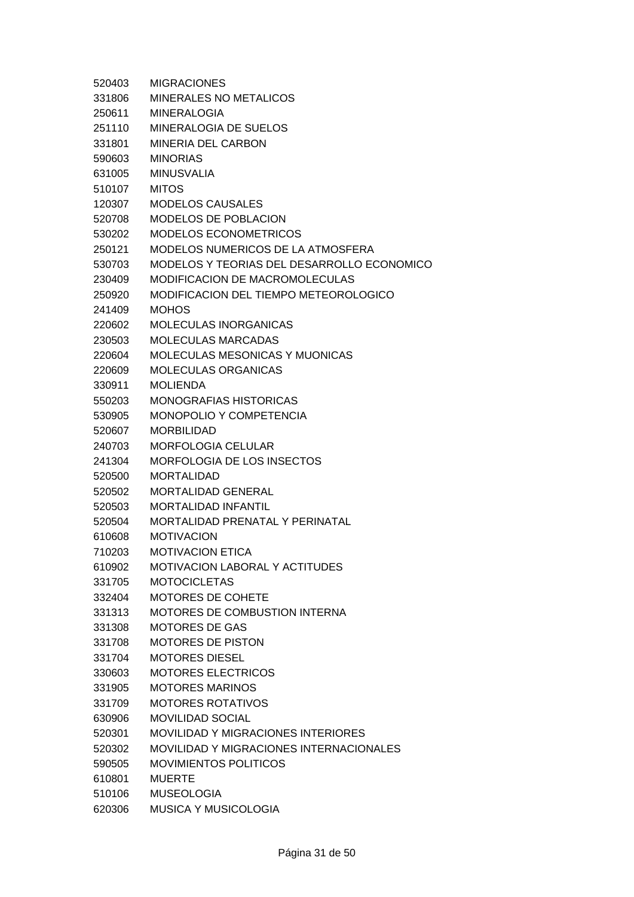| 520403 | <b>MIGRACIONES</b>                             |
|--------|------------------------------------------------|
| 331806 | MINERALES NO METALICOS                         |
| 250611 | <b>MINERALOGIA</b>                             |
| 251110 | MINERALOGIA DE SUELOS                          |
| 331801 | MINERIA DEL CARBON                             |
| 590603 | <b>MINORIAS</b>                                |
| 631005 | <b>MINUSVALIA</b>                              |
| 510107 | <b>MITOS</b>                                   |
| 120307 | <b>MODELOS CAUSALES</b>                        |
| 520708 | MODELOS DE POBLACION                           |
| 530202 | <b>MODELOS ECONOMETRICOS</b>                   |
| 250121 | MODELOS NUMERICOS DE LA ATMOSFERA              |
| 530703 | MODELOS Y TEORIAS DEL DESARROLLO ECONOMICO     |
| 230409 | <b>MODIFICACION DE MACROMOLECULAS</b>          |
| 250920 | MODIFICACION DEL TIEMPO METEOROLOGICO          |
| 241409 | <b>MOHOS</b>                                   |
| 220602 | <b>MOLECULAS INORGANICAS</b>                   |
| 230503 | <b>MOLECULAS MARCADAS</b>                      |
| 220604 | <b>MOLECULAS MESONICAS Y MUONICAS</b>          |
| 220609 | <b>MOLECULAS ORGANICAS</b>                     |
| 330911 | <b>MOLIENDA</b>                                |
| 550203 | <b>MONOGRAFIAS HISTORICAS</b>                  |
| 530905 | MONOPOLIO Y COMPETENCIA                        |
| 520607 | <b>MORBILIDAD</b>                              |
| 240703 | <b>MORFOLOGIA CELULAR</b>                      |
| 241304 | MORFOLOGIA DE LOS INSECTOS                     |
| 520500 | <b>MORTALIDAD</b>                              |
| 520502 | <b>MORTALIDAD GENERAL</b>                      |
| 520503 | <b>MORTALIDAD INFANTIL</b>                     |
| 520504 | MORTALIDAD PRENATAL Y PERINATAL                |
| 610608 | <b>MOTIVACION</b>                              |
| 710203 | <b>MOTIVACION ETICA</b>                        |
| 610902 | <b>MOTIVACION LABORAL Y ACTITUDES</b>          |
| 331705 | <b>MOTOCICLETAS</b>                            |
| 332404 | MOTORES DE COHETE                              |
| 331313 | MOTORES DE COMBUSTION INTERNA                  |
| 331308 | <b>MOTORES DE GAS</b>                          |
| 331708 | <b>MOTORES DE PISTON</b>                       |
| 331704 | <b>MOTORES DIESEL</b>                          |
| 330603 | <b>MOTORES ELECTRICOS</b>                      |
| 331905 | <b>MOTORES MARINOS</b>                         |
| 331709 | <b>MOTORES ROTATIVOS</b>                       |
| 630906 | <b>MOVILIDAD SOCIAL</b>                        |
| 520301 | <b>MOVILIDAD Y MIGRACIONES INTERIORES</b>      |
| 520302 | <b>MOVILIDAD Y MIGRACIONES INTERNACIONALES</b> |
| 590505 | <b>MOVIMIENTOS POLITICOS</b>                   |
| 610801 | <b>MUERTE</b>                                  |
| 510106 | <b>MUSEOLOGIA</b>                              |
| 620306 | <b>MUSICA Y MUSICOLOGIA</b>                    |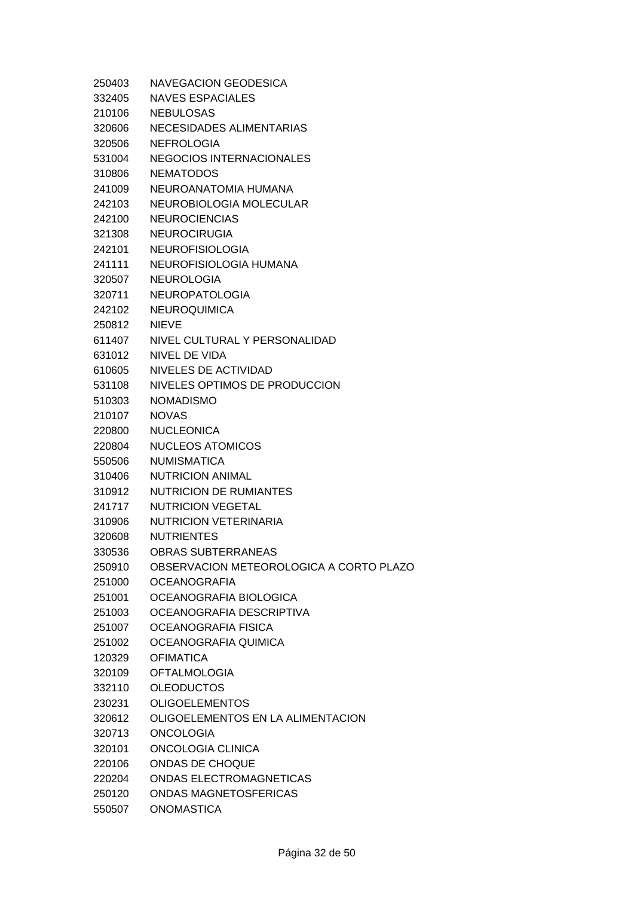| 250403 | <b>NAVEGACION GEODESICA</b>             |
|--------|-----------------------------------------|
| 332405 | <b>NAVES ESPACIALES</b>                 |
| 210106 | <b>NEBULOSAS</b>                        |
| 320606 | NECESIDADES ALIMENTARIAS                |
| 320506 | <b>NEFROLOGIA</b>                       |
| 531004 | <b>NEGOCIOS INTERNACIONALES</b>         |
| 310806 | <b>NEMATODOS</b>                        |
| 241009 | NEUROANATOMIA HUMANA                    |
| 242103 | NEUROBIOLOGIA MOLECULAR                 |
| 242100 | <b>NEUROCIENCIAS</b>                    |
| 321308 | <b>NEUROCIRUGIA</b>                     |
| 242101 | <b>NEUROFISIOLOGIA</b>                  |
| 241111 | NEUROFISIOLOGIA HUMANA                  |
| 320507 | <b>NEUROLOGIA</b>                       |
| 320711 | <b>NEUROPATOLOGIA</b>                   |
| 242102 | <b>NEUROQUIMICA</b>                     |
| 250812 | <b>NIEVE</b>                            |
| 611407 | NIVEL CULTURAL Y PERSONALIDAD           |
| 631012 | NIVEL DE VIDA                           |
| 610605 | NIVELES DE ACTIVIDAD                    |
| 531108 | NIVELES OPTIMOS DE PRODUCCION           |
| 510303 | <b>NOMADISMO</b>                        |
| 210107 | <b>NOVAS</b>                            |
| 220800 | <b>NUCLEONICA</b>                       |
| 220804 | <b>NUCLEOS ATOMICOS</b>                 |
| 550506 | <b>NUMISMATICA</b>                      |
| 310406 | <b>NUTRICION ANIMAL</b>                 |
| 310912 | <b>NUTRICION DE RUMIANTES</b>           |
| 241717 | <b>NUTRICION VEGETAL</b>                |
| 310906 | <b>NUTRICION VETERINARIA</b>            |
| 320608 | <b>NUTRIENTES</b>                       |
| 330536 | <b>OBRAS SUBTERRANEAS</b>               |
| 250910 | OBSERVACION METEOROLOGICA A CORTO PLAZO |
| 251000 | <b>OCEANOGRAFIA</b>                     |
| 251001 | OCEANOGRAFIA BIOLOGICA                  |
| 251003 | OCEANOGRAFIA DESCRIPTIVA                |
| 251007 | OCEANOGRAFIA FISICA                     |
| 251002 | OCEANOGRAFIA QUIMICA                    |
| 120329 | <b>OFIMATICA</b>                        |
| 320109 | <b>OFTALMOLOGIA</b>                     |
| 332110 | <b>OLEODUCTOS</b>                       |
| 230231 | <b>OLIGOELEMENTOS</b>                   |
| 320612 | OLIGOELEMENTOS EN LA ALIMENTACION       |
| 320713 | <b>ONCOLOGIA</b>                        |
| 320101 | ONCOLOGIA CLINICA                       |
| 220106 | <b>ONDAS DE CHOQUE</b>                  |
| 220204 | ONDAS ELECTROMAGNETICAS                 |
| 250120 | <b>ONDAS MAGNETOSFERICAS</b>            |
| 550507 | <b>ONOMASTICA</b>                       |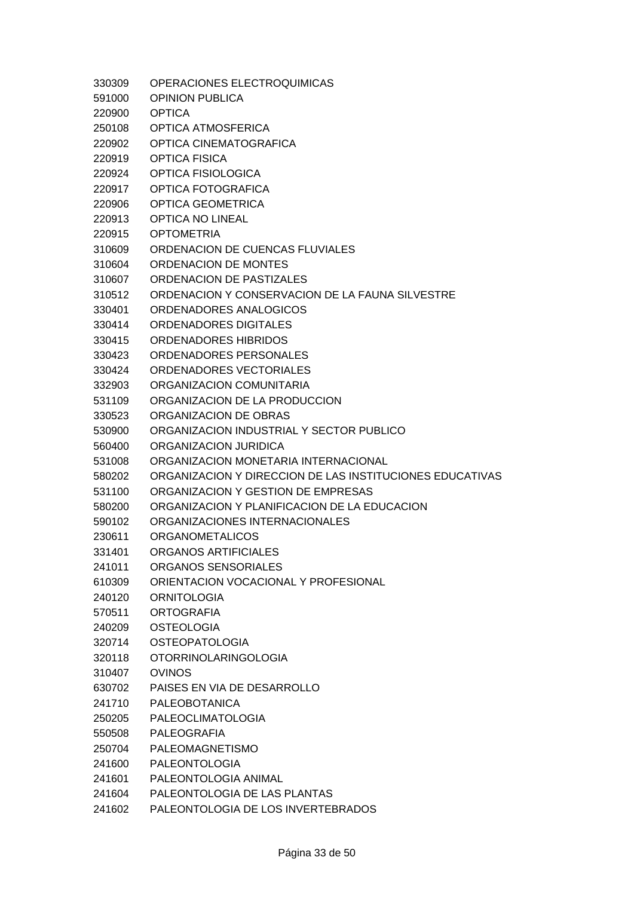| 330309 | OPERACIONES ELECTROQUIMICAS                              |
|--------|----------------------------------------------------------|
| 591000 | <b>OPINION PUBLICA</b>                                   |
| 220900 | <b>OPTICA</b>                                            |
| 250108 | OPTICA ATMOSFERICA                                       |
| 220902 | OPTICA CINEMATOGRAFICA                                   |
| 220919 | <b>OPTICA FISICA</b>                                     |
| 220924 | OPTICA FISIOLOGICA                                       |
| 220917 | OPTICA FOTOGRAFICA                                       |
| 220906 | OPTICA GEOMETRICA                                        |
| 220913 | <b>OPTICA NO LINEAL</b>                                  |
| 220915 | <b>OPTOMETRIA</b>                                        |
| 310609 | ORDENACION DE CUENCAS FLUVIALES                          |
| 310604 | ORDENACION DE MONTES                                     |
| 310607 | ORDENACION DE PASTIZALES                                 |
| 310512 | ORDENACION Y CONSERVACION DE LA FAUNA SILVESTRE          |
| 330401 | ORDENADORES ANALOGICOS                                   |
| 330414 | ORDENADORES DIGITALES                                    |
| 330415 | ORDENADORES HIBRIDOS                                     |
| 330423 | ORDENADORES PERSONALES                                   |
| 330424 | ORDENADORES VECTORIALES                                  |
| 332903 | ORGANIZACION COMUNITARIA                                 |
| 531109 | ORGANIZACION DE LA PRODUCCION                            |
| 330523 | ORGANIZACION DE OBRAS                                    |
| 530900 | ORGANIZACION INDUSTRIAL Y SECTOR PUBLICO                 |
| 560400 | ORGANIZACION JURIDICA                                    |
|        |                                                          |
| 531008 | ORGANIZACION MONETARIA INTERNACIONAL                     |
| 580202 | ORGANIZACION Y DIRECCION DE LAS INSTITUCIONES EDUCATIVAS |
| 531100 | ORGANIZACION Y GESTION DE EMPRESAS                       |
| 580200 | ORGANIZACION Y PLANIFICACION DE LA EDUCACION             |
| 590102 | ORGANIZACIONES INTERNACIONALES                           |
| 230611 | <b>ORGANOMETALICOS</b>                                   |
| 331401 | ORGANOS ARTIFICIALES                                     |
| 241011 | ORGANOS SENSORIALES                                      |
| 610309 | ORIENTACION VOCACIONAL Y PROFESIONAL                     |
| 240120 | <b>ORNITOLOGIA</b>                                       |
| 570511 | <b>ORTOGRAFIA</b>                                        |
| 240209 | <b>OSTEOLOGIA</b>                                        |
| 320714 | <b>OSTEOPATOLOGIA</b>                                    |
| 320118 | <b>OTORRINOLARINGOLOGIA</b>                              |
| 310407 | <b>OVINOS</b>                                            |
| 630702 | PAISES EN VIA DE DESARROLLO                              |
| 241710 | <b>PALEOBOTANICA</b>                                     |
| 250205 | <b>PALEOCLIMATOLOGIA</b>                                 |
| 550508 | <b>PALEOGRAFIA</b>                                       |
| 250704 | PALEOMAGNETISMO                                          |
| 241600 | <b>PALEONTOLOGIA</b>                                     |
| 241601 | PALEONTOLOGIA ANIMAL                                     |
| 241604 | PALEONTOLOGIA DE LAS PLANTAS                             |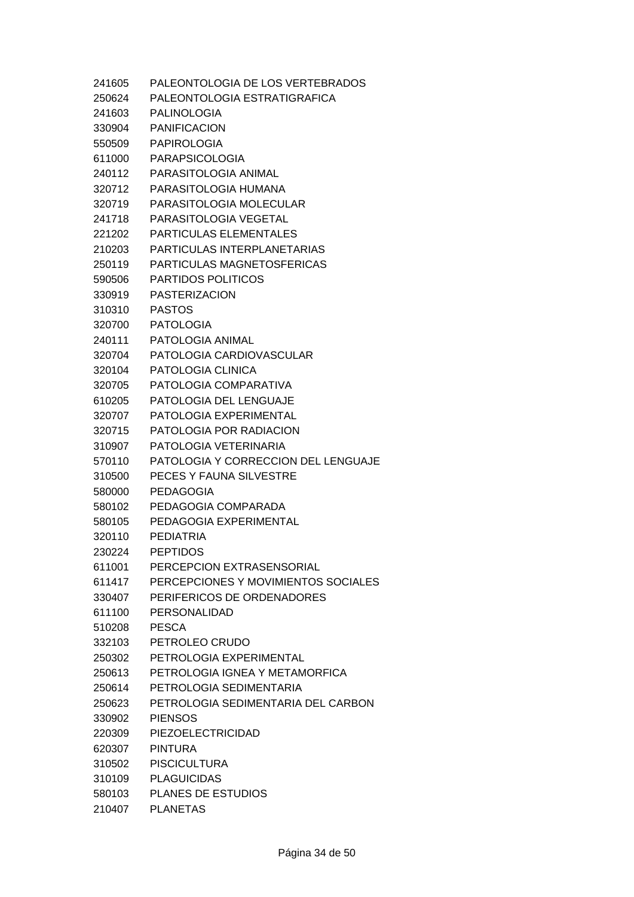| 241605 | PALEONTOLOGIA DE LOS VERTEBRADOS    |
|--------|-------------------------------------|
| 250624 | PALEONTOLOGIA ESTRATIGRAFICA        |
|        | 241603 PALINOLOGIA                  |
| 330904 | PANIFICACION                        |
| 550509 | PAPIROLOGIA                         |
|        | 611000 PARAPSICOLOGIA               |
| 240112 | PARASITOLOGIA ANIMAL                |
| 320712 | PARASITOLOGIA HUMANA                |
| 320719 | PARASITOLOGIA MOLECULAR             |
| 241718 | PARASITOLOGIA VEGETAL               |
| 221202 | <b>PARTICULAS ELEMENTALES</b>       |
| 210203 | PARTICULAS INTERPLANETARIAS         |
| 250119 | PARTICULAS MAGNETOSFERICAS          |
| 590506 | <b>PARTIDOS POLITICOS</b>           |
| 330919 | <b>PASTERIZACION</b>                |
| 310310 | PASTOS                              |
|        | 320700 PATOLOGIA                    |
| 240111 | PATOLOGIA ANIMAL                    |
|        | 320704 PATOLOGIA CARDIOVASCULAR     |
| 320104 | PATOLOGIA CLINICA                   |
| 320705 | PATOLOGIA COMPARATIVA               |
| 610205 | PATOLOGIA DEL LENGUAJE              |
| 320707 | PATOLOGIA EXPERIMENTAL              |
| 320715 | PATOLOGIA POR RADIACION             |
| 310907 | PATOLOGIA VETERINARIA               |
| 570110 | PATOLOGIA Y CORRECCION DEL LENGUAJE |
| 310500 | PECES Y FAUNA SILVESTRE             |
| 580000 | <b>PEDAGOGIA</b>                    |
| 580102 | PEDAGOGIA COMPARADA                 |
| 580105 | PEDAGOGIA EXPERIMENTAL              |
| 320110 | PEDIATRIA                           |
| 230224 | <b>PEPTIDOS</b>                     |
| 611001 | PERCEPCION EXTRASENSORIAL           |
| 611417 | PERCEPCIONES Y MOVIMIENTOS SOCIALES |
| 330407 | PERIFERICOS DE ORDENADORES          |
| 611100 | PERSONALIDAD                        |
| 510208 | <b>PESCA</b>                        |
| 332103 | PETROLEO CRUDO                      |
| 250302 | PETROLOGIA EXPERIMENTAL             |
| 250613 | PETROLOGIA IGNEA Y METAMORFICA      |
| 250614 | PETROLOGIA SEDIMENTARIA             |
| 250623 | PETROLOGIA SEDIMENTARIA DEL CARBON  |
| 330902 | <b>PIENSOS</b>                      |
| 220309 | PIEZOELECTRICIDAD                   |
| 620307 | <b>PINTURA</b>                      |
| 310502 | <b>PISCICULTURA</b>                 |
| 310109 | <b>PLAGUICIDAS</b>                  |
| 580103 | <b>PLANES DE ESTUDIOS</b>           |
| 210407 | <b>PLANETAS</b>                     |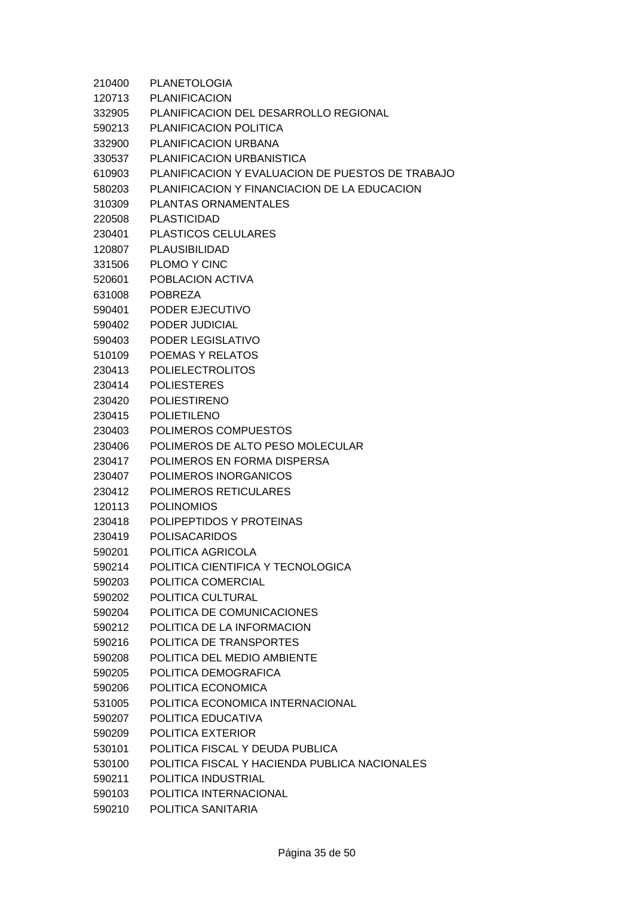| 210400 | <b>PLANETOLOGIA</b>                              |
|--------|--------------------------------------------------|
| 120713 | <b>PLANIFICACION</b>                             |
| 332905 | PLANIFICACION DEL DESARROLLO REGIONAL            |
| 590213 | PLANIFICACION POLITICA                           |
| 332900 | PLANIFICACION URBANA                             |
| 330537 | PLANIFICACION URBANISTICA                        |
| 610903 | PLANIFICACION Y EVALUACION DE PUESTOS DE TRABAJO |
| 580203 | PLANIFICACION Y FINANCIACION DE LA EDUCACION     |
| 310309 | PLANTAS ORNAMENTALES                             |
| 220508 | PLASTICIDAD                                      |
| 230401 | <b>PLASTICOS CELULARES</b>                       |
| 120807 | <b>PLAUSIBILIDAD</b>                             |
| 331506 | PLOMO Y CINC                                     |
| 520601 | POBLACION ACTIVA                                 |
| 631008 | <b>POBREZA</b>                                   |
| 590401 | PODER EJECUTIVO                                  |
| 590402 | PODER JUDICIAL                                   |
| 590403 | PODER LEGISLATIVO                                |
| 510109 | POEMAS Y RELATOS                                 |
| 230413 | <b>POLIELECTROLITOS</b>                          |
| 230414 | <b>POLIESTERES</b>                               |
| 230420 | <b>POLIESTIRENO</b>                              |
| 230415 | <b>POLIETILENO</b>                               |
| 230403 | POLIMEROS COMPUESTOS                             |
| 230406 | POLIMEROS DE ALTO PESO MOLECULAR                 |
| 230417 | POLIMEROS EN FORMA DISPERSA                      |
| 230407 | POLIMEROS INORGANICOS                            |
| 230412 | <b>POLIMEROS RETICULARES</b>                     |
| 120113 | <b>POLINOMIOS</b>                                |
| 230418 | POLIPEPTIDOS Y PROTEINAS                         |
| 230419 | <b>POLISACARIDOS</b>                             |
| 590201 | POLITICA AGRICOLA                                |
| 590214 | POLITICA CIENTIFICA Y TECNOLOGICA                |
| 590203 | POLITICA COMERCIAL                               |
| 590202 | POLITICA CULTURAL                                |
| 590204 | POLITICA DE COMUNICACIONES                       |
| 590212 | POLITICA DE LA INFORMACION                       |
| 590216 | POLITICA DE TRANSPORTES                          |
| 590208 | POLITICA DEL MEDIO AMBIENTE                      |
| 590205 | POLITICA DEMOGRAFICA                             |
| 590206 | POLITICA ECONOMICA                               |
| 531005 | POLITICA ECONOMICA INTERNACIONAL                 |
| 590207 | POLITICA EDUCATIVA                               |
| 590209 | POLITICA EXTERIOR                                |
| 530101 | POLITICA FISCAL Y DEUDA PUBLICA                  |
| 530100 | POLITICA FISCAL Y HACIENDA PUBLICA NACIONALES    |
| 590211 | POLITICA INDUSTRIAL                              |
| 590103 | POLITICA INTERNACIONAL                           |
| 590210 | POLITICA SANITARIA                               |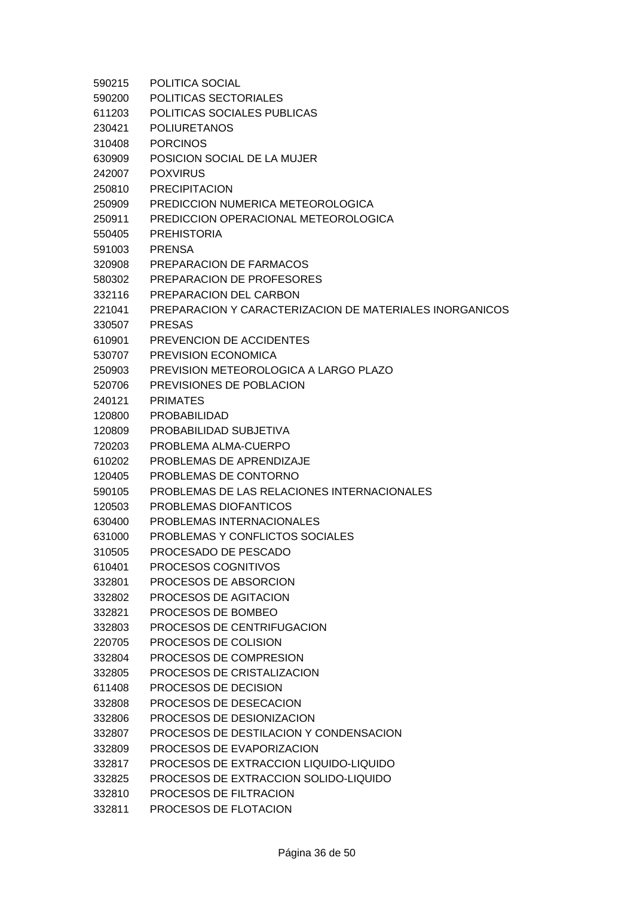| 590215 | POLITICA SOCIAL                                         |
|--------|---------------------------------------------------------|
| 590200 | POLITICAS SECTORIALES                                   |
| 611203 | POLITICAS SOCIALES PUBLICAS                             |
| 230421 | <b>POLIURETANOS</b>                                     |
| 310408 | <b>PORCINOS</b>                                         |
| 630909 | POSICION SOCIAL DE LA MUJER                             |
| 242007 | <b>POXVIRUS</b>                                         |
| 250810 | <b>PRECIPITACION</b>                                    |
| 250909 | PREDICCION NUMERICA METEOROLOGICA                       |
| 250911 | PREDICCION OPERACIONAL METEOROLOGICA                    |
| 550405 | <b>PREHISTORIA</b>                                      |
| 591003 | <b>PRENSA</b>                                           |
| 320908 | PREPARACION DE FARMACOS                                 |
| 580302 | PREPARACION DE PROFESORES                               |
| 332116 | PREPARACION DEL CARBON                                  |
| 221041 | PREPARACION Y CARACTERIZACION DE MATERIALES INORGANICOS |
| 330507 | <b>PRESAS</b>                                           |
| 610901 | PREVENCION DE ACCIDENTES                                |
| 530707 | PREVISION ECONOMICA                                     |
| 250903 | PREVISION METEOROLOGICA A LARGO PLAZO                   |
| 520706 | PREVISIONES DE POBLACION                                |
| 240121 | <b>PRIMATES</b>                                         |
| 120800 | <b>PROBABILIDAD</b>                                     |
| 120809 | PROBABILIDAD SUBJETIVA                                  |
| 720203 | PROBLEMA ALMA-CUERPO                                    |
| 610202 | PROBLEMAS DE APRENDIZAJE                                |
| 120405 | PROBLEMAS DE CONTORNO                                   |
| 590105 | PROBLEMAS DE LAS RELACIONES INTERNACIONALES             |
| 120503 | PROBLEMAS DIOFANTICOS                                   |
| 630400 | PROBLEMAS INTERNACIONALES                               |
| 631000 | PROBLEMAS Y CONFLICTOS SOCIALES                         |
| 310505 | PROCESADO DE PESCADO                                    |
| 610401 | <b>PROCESOS COGNITIVOS</b>                              |
| 332801 | PROCESOS DE ABSORCION                                   |
| 332802 | PROCESOS DE AGITACION                                   |
| 332821 | PROCESOS DE BOMBEO                                      |
| 332803 | PROCESOS DE CENTRIFUGACION                              |
| 220705 | PROCESOS DE COLISION                                    |
| 332804 | PROCESOS DE COMPRESION                                  |
| 332805 | PROCESOS DE CRISTALIZACION                              |
| 611408 | PROCESOS DE DECISION                                    |
| 332808 | PROCESOS DE DESECACION                                  |
| 332806 | PROCESOS DE DESIONIZACION                               |
| 332807 | PROCESOS DE DESTILACION Y CONDENSACION                  |
| 332809 | PROCESOS DE EVAPORIZACION                               |
| 332817 | PROCESOS DE EXTRACCION LIQUIDO-LIQUIDO                  |
| 332825 | PROCESOS DE EXTRACCION SOLIDO-LIQUIDO                   |
| 332810 | PROCESOS DE FILTRACION                                  |
| 332811 | PROCESOS DE FLOTACION                                   |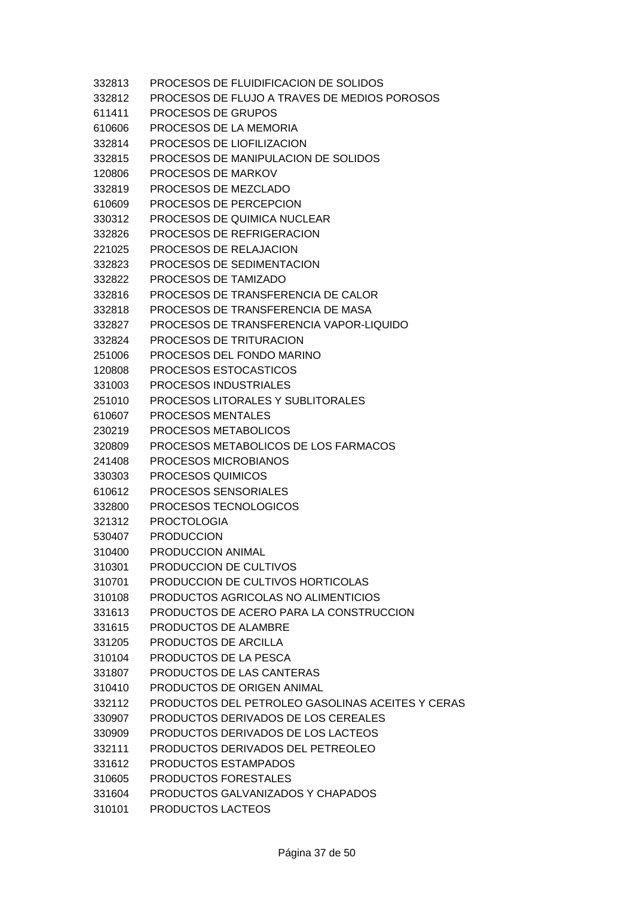| 332813 | PROCESOS DE FLUIDIFICACION DE SOLIDOS            |
|--------|--------------------------------------------------|
| 332812 | PROCESOS DE FLUJO A TRAVES DE MEDIOS POROSOS     |
| 611411 | PROCESOS DE GRUPOS                               |
| 610606 | PROCESOS DE LA MEMORIA                           |
| 332814 | PROCESOS DE LIOFILIZACION                        |
| 332815 | PROCESOS DE MANIPULACION DE SOLIDOS              |
| 120806 | <b>PROCESOS DE MARKOV</b>                        |
| 332819 | PROCESOS DE MEZCLADO                             |
| 610609 | PROCESOS DE PERCEPCION                           |
| 330312 | PROCESOS DE QUIMICA NUCLEAR                      |
| 332826 | PROCESOS DE REFRIGERACION                        |
| 221025 | PROCESOS DE RELAJACION                           |
| 332823 | PROCESOS DE SEDIMENTACION                        |
| 332822 | PROCESOS DE TAMIZADO                             |
| 332816 | PROCESOS DE TRANSFERENCIA DE CALOR               |
| 332818 | PROCESOS DE TRANSFERENCIA DE MASA                |
| 332827 | PROCESOS DE TRANSFERENCIA VAPOR-LIQUIDO          |
| 332824 | PROCESOS DE TRITURACION                          |
| 251006 | PROCESOS DEL FONDO MARINO                        |
| 120808 | PROCESOS ESTOCASTICOS                            |
| 331003 | PROCESOS INDUSTRIALES                            |
| 251010 | PROCESOS LITORALES Y SUBLITORALES                |
| 610607 | <b>PROCESOS MENTALES</b>                         |
| 230219 | PROCESOS METABOLICOS                             |
| 320809 | PROCESOS METABOLICOS DE LOS FARMACOS             |
| 241408 | PROCESOS MICROBIANOS                             |
| 330303 | PROCESOS QUIMICOS                                |
| 610612 | PROCESOS SENSORIALES                             |
| 332800 | PROCESOS TECNOLOGICOS                            |
| 321312 | <b>PROCTOLOGIA</b>                               |
| 530407 | <b>PRODUCCION</b>                                |
| 310400 | <b>PRODUCCION ANIMAL</b>                         |
| 310301 | PRODUCCION DE CULTIVOS                           |
| 310701 | PRODUCCION DE CULTIVOS HORTICOLAS                |
| 310108 | PRODUCTOS AGRICOLAS NO ALIMENTICIOS              |
| 331613 | PRODUCTOS DE ACERO PARA LA CONSTRUCCION          |
| 331615 | PRODUCTOS DE ALAMBRE                             |
| 331205 | PRODUCTOS DE ARCILLA                             |
| 310104 | PRODUCTOS DE LA PESCA                            |
| 331807 | PRODUCTOS DE LAS CANTERAS                        |
| 310410 | PRODUCTOS DE ORIGEN ANIMAL                       |
| 332112 | PRODUCTOS DEL PETROLEO GASOLINAS ACEITES Y CERAS |
| 330907 | PRODUCTOS DERIVADOS DE LOS CEREALES              |
| 330909 | PRODUCTOS DERIVADOS DE LOS LACTEOS               |
| 332111 | PRODUCTOS DERIVADOS DEL PETREOLEO                |
| 331612 | PRODUCTOS ESTAMPADOS                             |
| 310605 | PRODUCTOS FORESTALES                             |
| 331604 | PRODUCTOS GALVANIZADOS Y CHAPADOS                |
| 310101 | PRODUCTOS LACTEOS                                |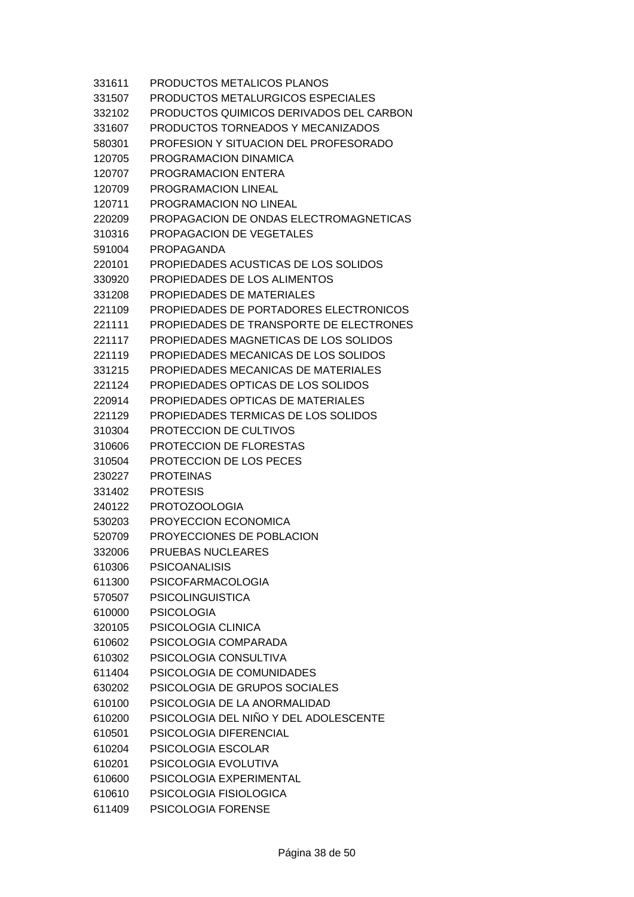| 331611 | PRODUCTOS METALICOS PLANOS              |
|--------|-----------------------------------------|
| 331507 | PRODUCTOS METALURGICOS ESPECIALES       |
| 332102 | PRODUCTOS QUIMICOS DERIVADOS DEL CARBON |
| 331607 | PRODUCTOS TORNEADOS Y MECANIZADOS       |
| 580301 | PROFESION Y SITUACION DEL PROFESORADO   |
| 120705 | PROGRAMACION DINAMICA                   |
| 120707 | PROGRAMACION ENTERA                     |
| 120709 | PROGRAMACION LINEAL                     |
| 120711 | PROGRAMACION NO LINEAL                  |
| 220209 | PROPAGACION DE ONDAS ELECTROMAGNETICAS  |
| 310316 | PROPAGACION DE VEGETALES                |
| 591004 | PROPAGANDA                              |
| 220101 | PROPIEDADES ACUSTICAS DE LOS SOLIDOS    |
| 330920 | PROPIEDADES DE LOS ALIMENTOS            |
| 331208 | PROPIEDADES DE MATERIALES               |
| 221109 | PROPIEDADES DE PORTADORES ELECTRONICOS  |
| 221111 | PROPIEDADES DE TRANSPORTE DE ELECTRONES |
| 221117 | PROPIEDADES MAGNETICAS DE LOS SOLIDOS   |
| 221119 | PROPIEDADES MECANICAS DE LOS SOLIDOS    |
| 331215 | PROPIEDADES MECANICAS DE MATERIALES     |
| 221124 | PROPIEDADES OPTICAS DE LOS SOLIDOS      |
| 220914 | PROPIEDADES OPTICAS DE MATERIALES       |
| 221129 | PROPIEDADES TERMICAS DE LOS SOLIDOS     |
| 310304 | PROTECCION DE CULTIVOS                  |
| 310606 | <b>PROTECCION DE FLORESTAS</b>          |
| 310504 | <b>PROTECCION DE LOS PECES</b>          |
| 230227 | <b>PROTEINAS</b>                        |
| 331402 | <b>PROTESIS</b>                         |
| 240122 | PROTOZOOLOGIA                           |
| 530203 | PROYECCION ECONOMICA                    |
| 520709 | PROYECCIONES DE POBLACION               |
| 332006 | PRUEBAS NUCLEARES                       |
| 610306 | <b>PSICOANALISIS</b>                    |
| 611300 | <b>PSICOFARMACOLOGIA</b>                |
| 570507 | <b>PSICOLINGUISTICA</b>                 |
| 610000 | <b>PSICOLOGIA</b>                       |
| 320105 | PSICOLOGIA CLINICA                      |
| 610602 | PSICOLOGIA COMPARADA                    |
| 610302 | PSICOLOGIA CONSULTIVA                   |
| 611404 | PSICOLOGIA DE COMUNIDADES               |
| 630202 | PSICOLOGIA DE GRUPOS SOCIALES           |
| 610100 | PSICOLOGIA DE LA ANORMALIDAD            |
| 610200 | PSICOLOGIA DEL NIÑO Y DEL ADOLESCENTE   |
| 610501 | PSICOLOGIA DIFERENCIAL                  |
| 610204 | PSICOLOGIA ESCOLAR                      |
| 610201 | PSICOLOGIA EVOLUTIVA                    |
| 610600 | PSICOLOGIA EXPERIMENTAL                 |
| 610610 | PSICOLOGIA FISIOLOGICA                  |
| 611409 | PSICOLOGIA FORENSE                      |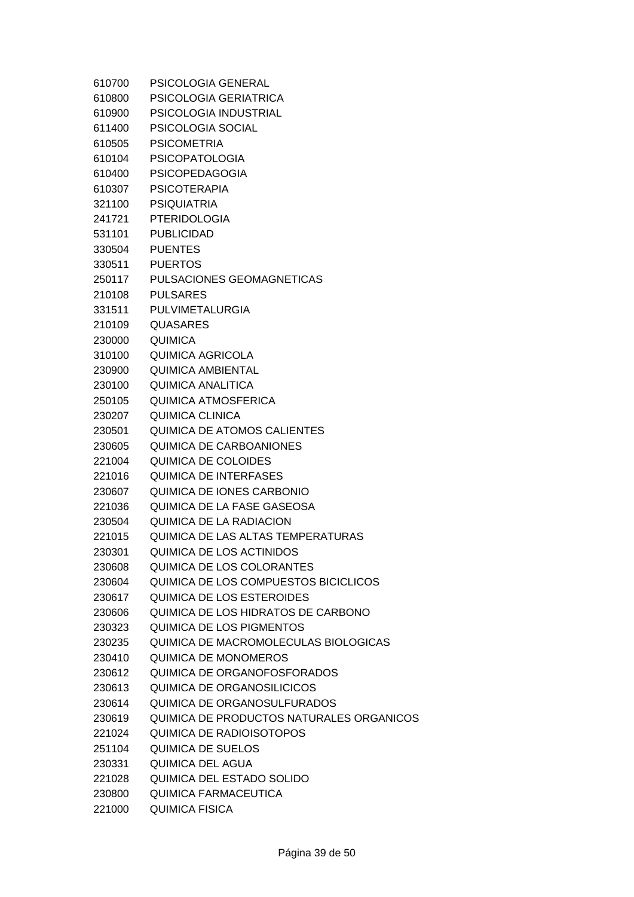| 610700 | <b>PSICOLOGIA GENERAL</b>                |
|--------|------------------------------------------|
| 610800 | PSICOLOGIA GERIATRICA                    |
| 610900 | PSICOLOGIA INDUSTRIAL                    |
| 611400 | PSICOLOGIA SOCIAL                        |
| 610505 | <b>PSICOMETRIA</b>                       |
| 610104 | <b>PSICOPATOLOGIA</b>                    |
| 610400 | <b>PSICOPEDAGOGIA</b>                    |
| 610307 | <b>PSICOTERAPIA</b>                      |
| 321100 | <b>PSIQUIATRIA</b>                       |
| 241721 | <b>PTERIDOLOGIA</b>                      |
| 531101 | <b>PUBLICIDAD</b>                        |
| 330504 | <b>PUENTES</b>                           |
| 330511 | <b>PUERTOS</b>                           |
| 250117 | PULSACIONES GEOMAGNETICAS                |
| 210108 | <b>PULSARES</b>                          |
| 331511 | PULVIMETALURGIA                          |
| 210109 | <b>QUASARES</b>                          |
| 230000 | <b>QUIMICA</b>                           |
| 310100 | QUIMICA AGRICOLA                         |
| 230900 | <b>QUIMICA AMBIENTAL</b>                 |
| 230100 | <b>QUIMICA ANALITICA</b>                 |
| 250105 | <b>QUIMICA ATMOSFERICA</b>               |
| 230207 | QUIMICA CLINICA                          |
| 230501 | <b>QUIMICA DE ATOMOS CALIENTES</b>       |
| 230605 | <b>QUIMICA DE CARBOANIONES</b>           |
| 221004 | QUIMICA DE COLOIDES                      |
| 221016 | <b>QUIMICA DE INTERFASES</b>             |
| 230607 | QUIMICA DE IONES CARBONIO                |
| 221036 | QUIMICA DE LA FASE GASEOSA               |
| 230504 | QUIMICA DE LA RADIACION                  |
| 221015 | QUIMICA DE LAS ALTAS TEMPERATURAS        |
| 230301 | QUIMICA DE LOS ACTINIDOS                 |
| 230608 | QUIMICA DE LOS COLORANTES                |
| 230604 | QUIMICA DE LOS COMPUESTOS BICICLICOS     |
| 230617 | <b>QUIMICA DE LOS ESTEROIDES</b>         |
| 230606 | QUIMICA DE LOS HIDRATOS DE CARBONO       |
| 230323 | <b>QUIMICA DE LOS PIGMENTOS</b>          |
| 230235 | QUIMICA DE MACROMOLECULAS BIOLOGICAS     |
| 230410 | QUIMICA DE MONOMEROS                     |
| 230612 | QUIMICA DE ORGANOFOSFORADOS              |
| 230613 | QUIMICA DE ORGANOSILICICOS               |
| 230614 | QUIMICA DE ORGANOSULFURADOS              |
| 230619 | QUIMICA DE PRODUCTOS NATURALES ORGANICOS |
| 221024 | <b>QUIMICA DE RADIOISOTOPOS</b>          |
| 251104 | <b>QUIMICA DE SUELOS</b>                 |
| 230331 | QUIMICA DEL AGUA                         |
| 221028 | QUIMICA DEL ESTADO SOLIDO                |
| 230800 | <b>QUIMICA FARMACEUTICA</b>              |
| 221000 | <b>QUIMICA FISICA</b>                    |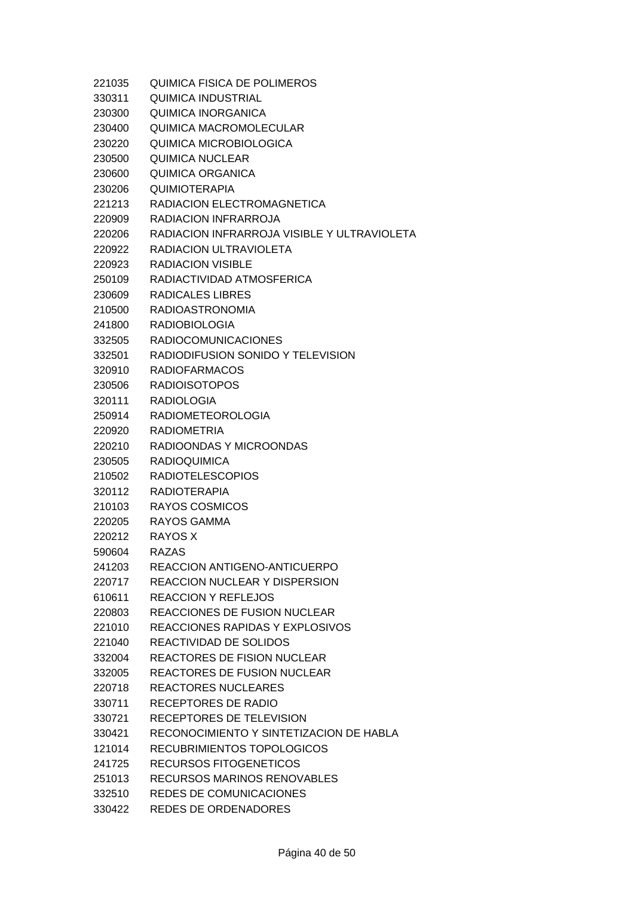| 221035 | QUIMICA FISICA DE POLIMEROS                 |
|--------|---------------------------------------------|
| 330311 | QUIMICA INDUSTRIAL                          |
| 230300 | <b>QUIMICA INORGANICA</b>                   |
| 230400 | <b>QUIMICA MACROMOLECULAR</b>               |
| 230220 | QUIMICA MICROBIOLOGICA                      |
| 230500 | <b>QUIMICA NUCLEAR</b>                      |
| 230600 | QUIMICA ORGANICA                            |
| 230206 | <b>QUIMIOTERAPIA</b>                        |
| 221213 | RADIACION ELECTROMAGNETICA                  |
| 220909 | RADIACION INFRARROJA                        |
| 220206 | RADIACION INFRARROJA VISIBLE Y ULTRAVIOLETA |
| 220922 | RADIACION ULTRAVIOLETA                      |
| 220923 | <b>RADIACION VISIBLE</b>                    |
| 250109 | RADIACTIVIDAD ATMOSFERICA                   |
| 230609 | RADICALES LIBRES                            |
| 210500 | <b>RADIOASTRONOMIA</b>                      |
| 241800 | <b>RADIOBIOLOGIA</b>                        |
| 332505 | <b>RADIOCOMUNICACIONES</b>                  |
| 332501 | RADIODIFUSION SONIDO Y TELEVISION           |
| 320910 | <b>RADIOFARMACOS</b>                        |
| 230506 | <b>RADIOISOTOPOS</b>                        |
| 320111 | <b>RADIOLOGIA</b>                           |
| 250914 | <b>RADIOMETEOROLOGIA</b>                    |
| 220920 | <b>RADIOMETRIA</b>                          |
| 220210 | RADIOONDAS Y MICROONDAS                     |
| 230505 | <b>RADIOQUIMICA</b>                         |
| 210502 | <b>RADIOTELESCOPIOS</b>                     |
| 320112 | <b>RADIOTERAPIA</b>                         |
| 210103 | RAYOS COSMICOS                              |
| 220205 | RAYOS GAMMA                                 |
| 220212 | <b>RAYOS X</b>                              |
| 590604 | <b>RAZAS</b>                                |
| 241203 | REACCION ANTIGENO-ANTICUERPO                |
| 220717 | <b>REACCION NUCLEAR Y DISPERSION</b>        |
| 610611 | <b>REACCION Y REFLEJOS</b>                  |
| 220803 | <b>REACCIONES DE FUSION NUCLEAR</b>         |
| 221010 | REACCIONES RAPIDAS Y EXPLOSIVOS             |
| 221040 | REACTIVIDAD DE SOLIDOS                      |
| 332004 | <b>REACTORES DE FISION NUCLEAR</b>          |
| 332005 | <b>REACTORES DE FUSION NUCLEAR</b>          |
| 220718 | REACTORES NUCLEARES                         |
| 330711 | <b>RECEPTORES DE RADIO</b>                  |
| 330721 | RECEPTORES DE TELEVISION                    |
| 330421 | RECONOCIMIENTO Y SINTETIZACION DE HABLA     |
| 121014 | RECUBRIMIENTOS TOPOLOGICOS                  |
| 241725 | RECURSOS FITOGENETICOS                      |
| 251013 | RECURSOS MARINOS RENOVABLES                 |
| 332510 | <b>REDES DE COMUNICACIONES</b>              |
| 330422 | <b>REDES DE ORDENADORES</b>                 |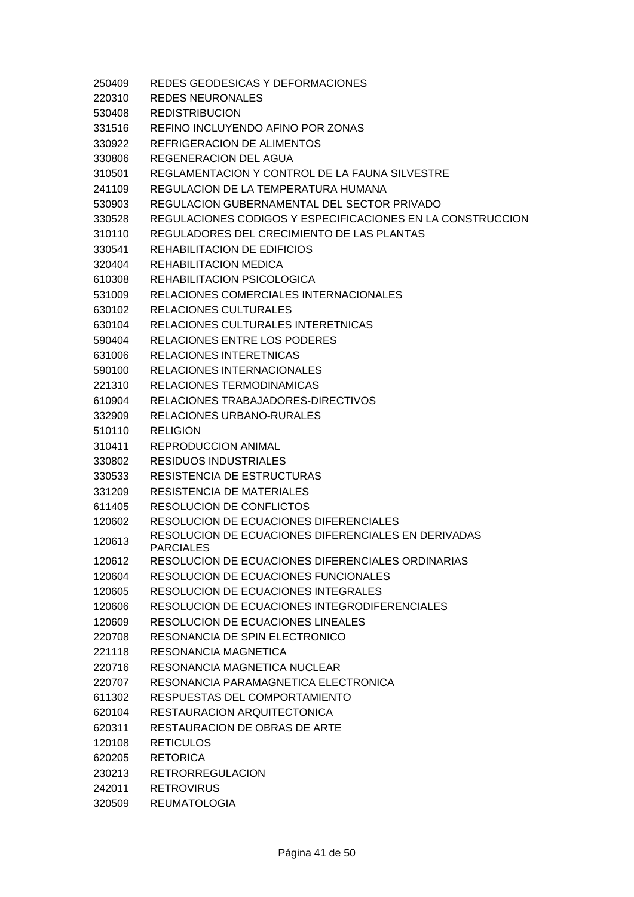| 250409 | REDES GEODESICAS Y DEFORMACIONES                                        |
|--------|-------------------------------------------------------------------------|
| 220310 | REDES NEURONALES                                                        |
| 530408 | <b>REDISTRIBUCION</b>                                                   |
| 331516 | REFINO INCLUYENDO AFINO POR ZONAS                                       |
| 330922 | REFRIGERACION DE ALIMENTOS                                              |
| 330806 | <b>REGENERACION DEL AGUA</b>                                            |
| 310501 | REGLAMENTACION Y CONTROL DE LA FAUNA SILVESTRE                          |
| 241109 | REGULACION DE LA TEMPERATURA HUMANA                                     |
| 530903 | REGULACION GUBERNAMENTAL DEL SECTOR PRIVADO                             |
| 330528 | REGULACIONES CODIGOS Y ESPECIFICACIONES EN LA CONSTRUCCION              |
| 310110 | REGULADORES DEL CRECIMIENTO DE LAS PLANTAS                              |
| 330541 | REHABILITACION DE EDIFICIOS                                             |
| 320404 | REHABILITACION MEDICA                                                   |
| 610308 | REHABILITACION PSICOLOGICA                                              |
| 531009 | RELACIONES COMERCIALES INTERNACIONALES                                  |
| 630102 | <b>RELACIONES CULTURALES</b>                                            |
| 630104 | RELACIONES CULTURALES INTERETNICAS                                      |
| 590404 | RELACIONES ENTRE LOS PODERES                                            |
| 631006 | <b>RELACIONES INTERETNICAS</b>                                          |
| 590100 | RELACIONES INTERNACIONALES                                              |
| 221310 | RELACIONES TERMODINAMICAS                                               |
| 610904 | RELACIONES TRABAJADORES-DIRECTIVOS                                      |
| 332909 | RELACIONES URBANO-RURALES                                               |
| 510110 | <b>RELIGION</b>                                                         |
| 310411 | <b>REPRODUCCION ANIMAL</b>                                              |
| 330802 | <b>RESIDUOS INDUSTRIALES</b>                                            |
| 330533 | RESISTENCIA DE ESTRUCTURAS                                              |
| 331209 | RESISTENCIA DE MATERIALES                                               |
| 611405 | <b>RESOLUCION DE CONFLICTOS</b>                                         |
| 120602 | RESOLUCION DE ECUACIONES DIFERENCIALES                                  |
| 120613 | RESOLUCION DE ECUACIONES DIFERENCIALES EN DERIVADAS<br><b>PARCIALES</b> |
| 120612 | RESOLUCION DE ECUACIONES DIFERENCIALES ORDINARIAS                       |
| 120604 | <b>RESOLUCION DE ECUACIONES FUNCIONALES</b>                             |
| 120605 | RESOLUCION DE ECUACIONES INTEGRALES                                     |
| 120606 | RESOLUCION DE ECUACIONES INTEGRODIFERENCIALES                           |
| 120609 | <b>RESOLUCION DE ECUACIONES LINEALES</b>                                |
| 220708 | RESONANCIA DE SPIN ELECTRONICO                                          |
| 221118 | RESONANCIA MAGNETICA                                                    |
| 220716 | RESONANCIA MAGNETICA NUCLEAR                                            |
| 220707 | RESONANCIA PARAMAGNETICA ELECTRONICA                                    |
| 611302 | RESPUESTAS DEL COMPORTAMIENTO                                           |
| 620104 | RESTAURACION ARQUITECTONICA                                             |
| 620311 | RESTAURACION DE OBRAS DE ARTE                                           |
| 120108 | <b>RETICULOS</b>                                                        |
| 620205 | <b>RETORICA</b>                                                         |
| 230213 | <b>RETRORREGULACION</b>                                                 |
| 242011 | <b>RETROVIRUS</b>                                                       |
| 320509 | <b>REUMATOLOGIA</b>                                                     |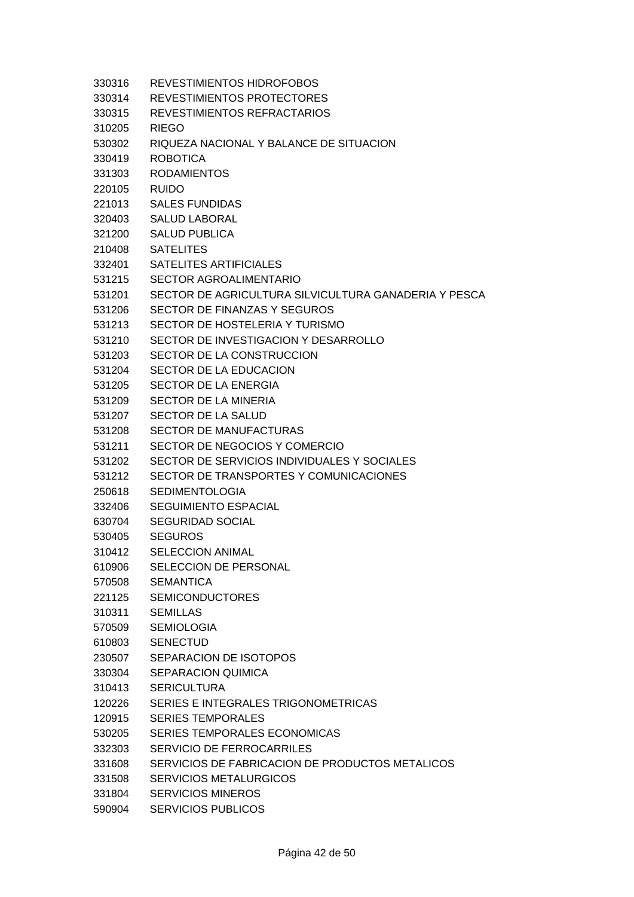| 330316           | REVESTIMIENTOS HIDROFOBOS                            |
|------------------|------------------------------------------------------|
| 330314           | REVESTIMIENTOS PROTECTORES                           |
| 330315           | REVESTIMIENTOS REFRACTARIOS                          |
| 310205           | RIEGO                                                |
| 530302           | RIQUEZA NACIONAL Y BALANCE DE SITUACION              |
| 330419           | <b>ROBOTICA</b>                                      |
| 331303           | <b>RODAMIENTOS</b>                                   |
| 220105           | <b>RUIDO</b>                                         |
| 221013           | <b>SALES FUNDIDAS</b>                                |
| 320403           | <b>SALUD LABORAL</b>                                 |
| 321200           | <b>SALUD PUBLICA</b>                                 |
| 210408           | <b>SATELITES</b>                                     |
| 332401           | SATELITES ARTIFICIALES                               |
| 531215           | <b>SECTOR AGROALIMENTARIO</b>                        |
| 531201           | SECTOR DE AGRICULTURA SILVICULTURA GANADERIA Y PESCA |
| 531206           | SECTOR DE FINANZAS Y SEGUROS                         |
| 531213           | SECTOR DE HOSTELERIA Y TURISMO                       |
| 531210           | SECTOR DE INVESTIGACION Y DESARROLLO                 |
| 531203           | SECTOR DE LA CONSTRUCCION                            |
| 531204           | SECTOR DE LA EDUCACION                               |
| 531205           | <b>SECTOR DE LA ENERGIA</b>                          |
| 531209           | <b>SECTOR DE LA MINERIA</b>                          |
| 531207           | SECTOR DE LA SALUD                                   |
| 531208           | <b>SECTOR DE MANUFACTURAS</b>                        |
| 531211           | SECTOR DE NEGOCIOS Y COMERCIO                        |
| 531202           | SECTOR DE SERVICIOS INDIVIDUALES Y SOCIALES          |
| 531212           | SECTOR DE TRANSPORTES Y COMUNICACIONES               |
| 250618           | <b>SEDIMENTOLOGIA</b>                                |
|                  | <b>SEGUIMIENTO ESPACIAL</b>                          |
| 332406<br>630704 |                                                      |
|                  | <b>SEGURIDAD SOCIAL</b>                              |
| 530405           | <b>SEGUROS</b>                                       |
| 310412           | SELECCION ANIMAL                                     |
| 610906           | SELECCION DE PERSONAL                                |
| 570508           | <b>SEMANTICA</b>                                     |
| 221125           | <b>SEMICONDUCTORES</b>                               |
| 310311           | <b>SEMILLAS</b>                                      |
| 570509           | <b>SEMIOLOGIA</b>                                    |
| 610803           | <b>SENECTUD</b>                                      |
| 230507           | SEPARACION DE ISOTOPOS                               |
| 330304           | <b>SEPARACION QUIMICA</b>                            |
| 310413           | <b>SERICULTURA</b>                                   |
| 120226           | SERIES E INTEGRALES TRIGONOMETRICAS                  |
| 120915           | <b>SERIES TEMPORALES</b>                             |
| 530205           | <b>SERIES TEMPORALES ECONOMICAS</b>                  |
| 332303           | SERVICIO DE FERROCARRILES                            |
| 331608           | SERVICIOS DE FABRICACION DE PRODUCTOS METALICOS      |
| 331508           | <b>SERVICIOS METALURGICOS</b>                        |
| 331804           | <b>SERVICIOS MINEROS</b>                             |

590904 SERVICIOS PUBLICOS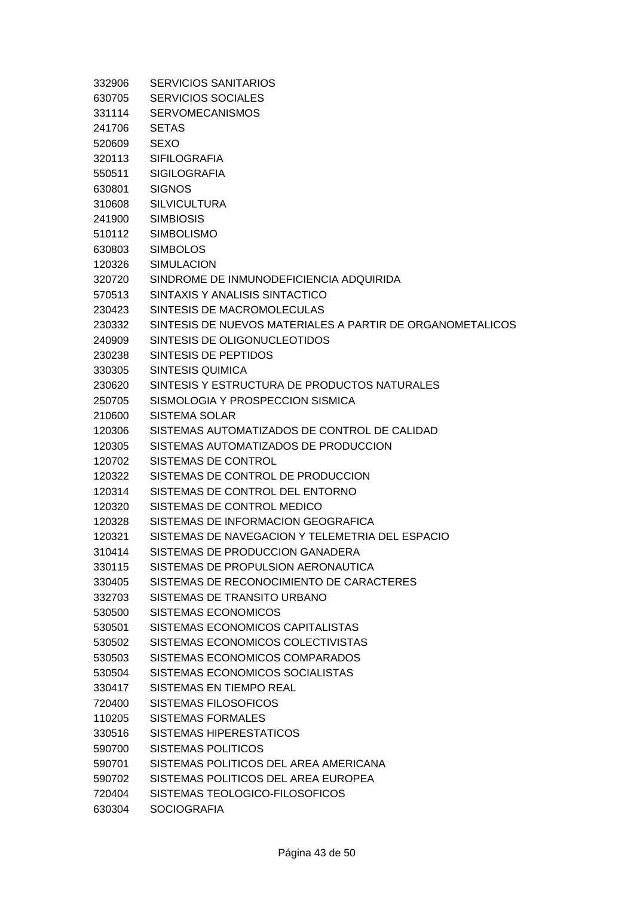| 332906 | <b>SERVICIOS SANITARIOS</b>                               |
|--------|-----------------------------------------------------------|
| 630705 | <b>SERVICIOS SOCIALES</b>                                 |
| 331114 | <b>SERVOMECANISMOS</b>                                    |
| 241706 | <b>SETAS</b>                                              |
| 520609 | <b>SEXO</b>                                               |
| 320113 | <b>SIFILOGRAFIA</b>                                       |
| 550511 | <b>SIGILOGRAFIA</b>                                       |
| 630801 | <b>SIGNOS</b>                                             |
| 310608 | <b>SILVICULTURA</b>                                       |
| 241900 | <b>SIMBIOSIS</b>                                          |
| 510112 | <b>SIMBOLISMO</b>                                         |
| 630803 | <b>SIMBOLOS</b>                                           |
| 120326 | <b>SIMULACION</b>                                         |
| 320720 | SINDROME DE INMUNODEFICIENCIA ADQUIRIDA                   |
| 570513 | SINTAXIS Y ANALISIS SINTACTICO                            |
| 230423 | SINTESIS DE MACROMOLECULAS                                |
| 230332 | SINTESIS DE NUEVOS MATERIALES A PARTIR DE ORGANOMETALICOS |
| 240909 | SINTESIS DE OLIGONUCLEOTIDOS                              |
| 230238 | SINTESIS DE PEPTIDOS                                      |
| 330305 | <b>SINTESIS QUIMICA</b>                                   |
| 230620 | SINTESIS Y ESTRUCTURA DE PRODUCTOS NATURALES              |
| 250705 | SISMOLOGIA Y PROSPECCION SISMICA                          |
| 210600 | <b>SISTEMA SOLAR</b>                                      |
| 120306 | SISTEMAS AUTOMATIZADOS DE CONTROL DE CALIDAD              |
| 120305 | SISTEMAS AUTOMATIZADOS DE PRODUCCION                      |
| 120702 | SISTEMAS DE CONTROL                                       |
| 120322 | SISTEMAS DE CONTROL DE PRODUCCION                         |
| 120314 | SISTEMAS DE CONTROL DEL ENTORNO                           |
| 120320 | SISTEMAS DE CONTROL MEDICO                                |
| 120328 | SISTEMAS DE INFORMACION GEOGRAFICA                        |
| 120321 | SISTEMAS DE NAVEGACION Y TELEMETRIA DEL ESPACIO           |
| 310414 | SISTEMAS DE PRODUCCION GANADERA                           |
| 330115 | SISTEMAS DE PROPULSION AERONAUTICA                        |
| 330405 | SISTEMAS DE RECONOCIMIENTO DE CARACTERES                  |
| 332703 | SISTEMAS DE TRANSITO URBANO                               |
| 530500 | SISTEMAS ECONOMICOS                                       |
| 530501 | SISTEMAS ECONOMICOS CAPITALISTAS                          |
| 530502 | SISTEMAS ECONOMICOS COLECTIVISTAS                         |
| 530503 | SISTEMAS ECONOMICOS COMPARADOS                            |
| 530504 | SISTEMAS ECONOMICOS SOCIALISTAS                           |
| 330417 | SISTEMAS EN TIEMPO REAL                                   |
| 720400 | SISTEMAS FILOSOFICOS                                      |
| 110205 | SISTEMAS FORMALES                                         |
| 330516 | SISTEMAS HIPERESTATICOS                                   |
| 590700 | <b>SISTEMAS POLITICOS</b>                                 |
| 590701 | SISTEMAS POLITICOS DEL AREA AMERICANA                     |
| 590702 | SISTEMAS POLITICOS DEL AREA EUROPEA                       |
| 720404 | SISTEMAS TEOLOGICO-FILOSOFICOS                            |
| 630304 | <b>SOCIOGRAFIA</b>                                        |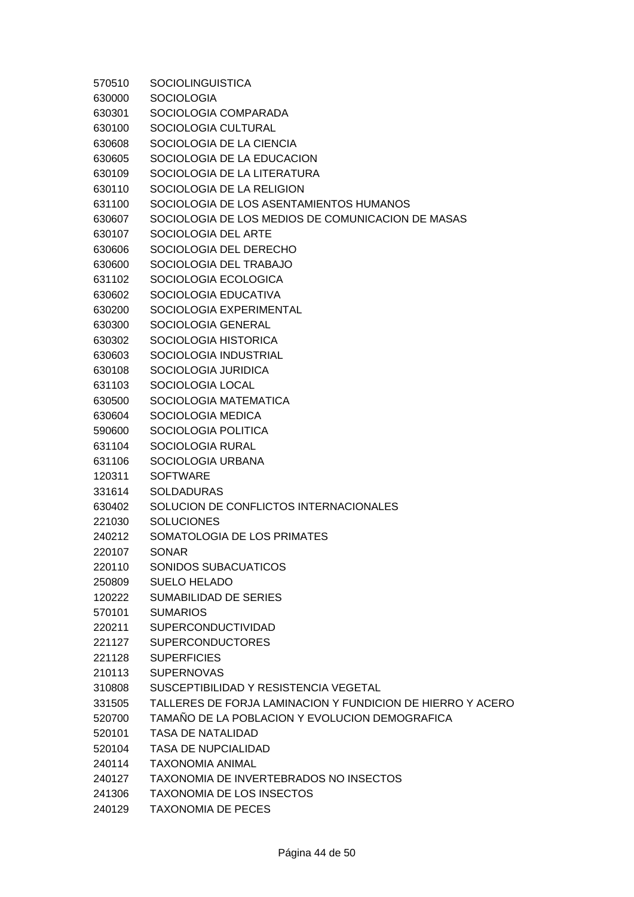| 570510 | <b>SOCIOLINGUISTICA</b>                                    |
|--------|------------------------------------------------------------|
| 630000 | <b>SOCIOLOGIA</b>                                          |
| 630301 | SOCIOLOGIA COMPARADA                                       |
| 630100 | SOCIOLOGIA CULTURAL                                        |
| 630608 | SOCIOLOGIA DE LA CIENCIA                                   |
| 630605 | SOCIOLOGIA DE LA EDUCACION                                 |
| 630109 | SOCIOLOGIA DE LA LITERATURA                                |
| 630110 | SOCIOLOGIA DE LA RELIGION                                  |
| 631100 | SOCIOLOGIA DE LOS ASENTAMIENTOS HUMANOS                    |
| 630607 | SOCIOLOGIA DE LOS MEDIOS DE COMUNICACION DE MASAS          |
| 630107 | SOCIOLOGIA DEL ARTE                                        |
| 630606 | SOCIOLOGIA DEL DERECHO                                     |
| 630600 | SOCIOLOGIA DEL TRABAJO                                     |
| 631102 | SOCIOLOGIA ECOLOGICA                                       |
| 630602 | SOCIOLOGIA EDUCATIVA                                       |
| 630200 | SOCIOLOGIA EXPERIMENTAL                                    |
| 630300 | SOCIOLOGIA GENERAL                                         |
| 630302 | SOCIOLOGIA HISTORICA                                       |
| 630603 | SOCIOLOGIA INDUSTRIAL                                      |
| 630108 | SOCIOLOGIA JURIDICA                                        |
| 631103 | SOCIOLOGIA LOCAL                                           |
| 630500 | SOCIOLOGIA MATEMATICA                                      |
| 630604 | SOCIOLOGIA MEDICA                                          |
| 590600 | SOCIOLOGIA POLITICA                                        |
| 631104 | SOCIOLOGIA RURAL                                           |
| 631106 | SOCIOLOGIA URBANA                                          |
| 120311 | <b>SOFTWARE</b>                                            |
| 331614 | <b>SOLDADURAS</b>                                          |
| 630402 | SOLUCION DE CONFLICTOS INTERNACIONALES                     |
| 221030 | <b>SOLUCIONES</b>                                          |
| 240212 | SOMATOLOGIA DE LOS PRIMATES                                |
| 220107 | <b>SONAR</b>                                               |
| 220110 | SONIDOS SUBACUATICOS                                       |
| 250809 | <b>SUELO HELADO</b>                                        |
| 120222 | <b>SUMABILIDAD DE SERIES</b>                               |
| 570101 | <b>SUMARIOS</b>                                            |
| 220211 | SUPERCONDUCTIVIDAD                                         |
| 221127 | <b>SUPERCONDUCTORES</b>                                    |
| 221128 | <b>SUPERFICIES</b>                                         |
| 210113 | <b>SUPERNOVAS</b>                                          |
| 310808 | SUSCEPTIBILIDAD Y RESISTENCIA VEGETAL                      |
| 331505 | TALLERES DE FORJA LAMINACION Y FUNDICION DE HIERRO Y ACERO |
| 520700 | TAMAÑO DE LA POBLACION Y EVOLUCION DEMOGRAFICA             |
| 520101 | <b>TASA DE NATALIDAD</b>                                   |
| 520104 | <b>TASA DE NUPCIALIDAD</b>                                 |
| 240114 | <b>TAXONOMIA ANIMAL</b>                                    |
| 240127 | TAXONOMIA DE INVERTEBRADOS NO INSECTOS                     |
| 241306 | <b>TAXONOMIA DE LOS INSECTOS</b>                           |
| 240129 | <b>TAXONOMIA DE PECES</b>                                  |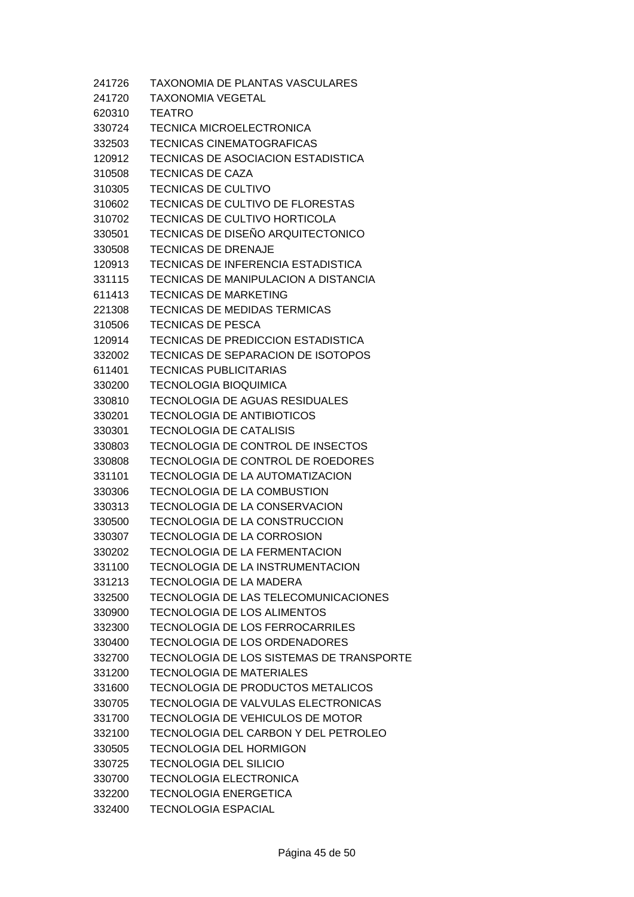241726 TAXONOMIA DE PLANTAS VASCULARES 241720 TAXONOMIA VEGETAL 620310 TEATRO 330724 TECNICA MICROELECTRONICA 332503 TECNICAS CINEMATOGRAFICAS 120912 TECNICAS DE ASOCIACION ESTADISTICA 310508 TECNICAS DE CAZA 310305 TECNICAS DE CULTIVO 310602 TECNICAS DE CULTIVO DE FLORESTAS 310702 TECNICAS DE CULTIVO HORTICOLA 330501 TECNICAS DE DISEÑO ARQUITECTONICO 330508 TECNICAS DE DRENAJE 120913 TECNICAS DE INFERENCIA ESTADISTICA 331115 TECNICAS DE MANIPULACION A DISTANCIA 611413 TECNICAS DE MARKETING 221308 TECNICAS DE MEDIDAS TERMICAS 310506 TECNICAS DE PESCA 120914 TECNICAS DE PREDICCION ESTADISTICA 332002 TECNICAS DE SEPARACION DE ISOTOPOS 611401 TECNICAS PUBLICITARIAS 330200 TECNOLOGIA BIOQUIMICA 330810 TECNOLOGIA DE AGUAS RESIDUALES 330201 TECNOLOGIA DE ANTIBIOTICOS 330301 TECNOLOGIA DE CATALISIS 330803 TECNOLOGIA DE CONTROL DE INSECTOS 330808 TECNOLOGIA DE CONTROL DE ROEDORES 331101 TECNOLOGIA DE LA AUTOMATIZACION 330306 TECNOLOGIA DE LA COMBUSTION 330313 TECNOLOGIA DE LA CONSERVACION 330500 TECNOLOGIA DE LA CONSTRUCCION 330307 TECNOLOGIA DE LA CORROSION 330202 TECNOLOGIA DE LA FERMENTACION 331100 TECNOLOGIA DE LA INSTRUMENTACION 331213 TECNOLOGIA DE LA MADERA 332500 TECNOLOGIA DE LAS TELECOMUNICACIONES 330900 TECNOLOGIA DE LOS ALIMENTOS 332300 TECNOLOGIA DE LOS FERROCARRILES 330400 TECNOLOGIA DE LOS ORDENADORES 332700 TECNOLOGIA DE LOS SISTEMAS DE TRANSPORTE 331200 TECNOLOGIA DE MATERIALES 331600 TECNOLOGIA DE PRODUCTOS METALICOS 330705 TECNOLOGIA DE VALVULAS ELECTRONICAS 331700 TECNOLOGIA DE VEHICULOS DE MOTOR 332100 TECNOLOGIA DEL CARBON Y DEL PETROLEO 330505 TECNOLOGIA DEL HORMIGON 330725 TECNOLOGIA DEL SILICIO 330700 TECNOLOGIA ELECTRONICA 332200 TECNOLOGIA ENERGETICA 332400 TECNOLOGIA ESPACIAL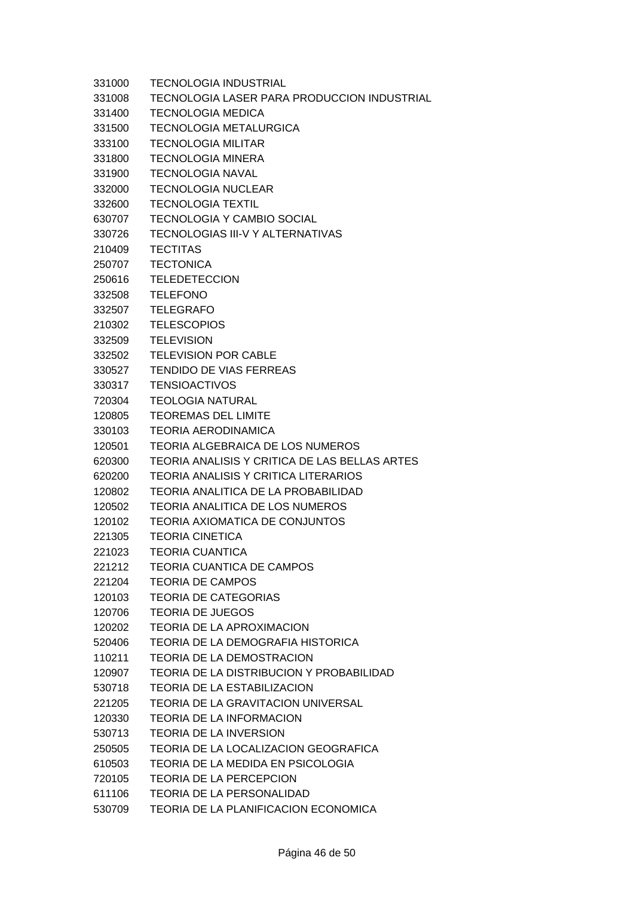| 331000 | <b>TECNOLOGIA INDUSTRIAL</b>                    |
|--------|-------------------------------------------------|
| 331008 | TECNOLOGIA LASER PARA PRODUCCION INDUSTRIAL     |
| 331400 | <b>TECNOLOGIA MEDICA</b>                        |
| 331500 | <b>TECNOLOGIA METALURGICA</b>                   |
| 333100 | <b>TECNOLOGIA MILITAR</b>                       |
| 331800 | <b>TECNOLOGIA MINERA</b>                        |
| 331900 | <b>TECNOLOGIA NAVAL</b>                         |
| 332000 | <b>TECNOLOGIA NUCLEAR</b>                       |
| 332600 | <b>TECNOLOGIA TEXTIL</b>                        |
| 630707 | <b>TECNOLOGIA Y CAMBIO SOCIAL</b>               |
| 330726 | TECNOLOGIAS III-V Y ALTERNATIVAS                |
| 210409 | <b>TECTITAS</b>                                 |
| 250707 | <b>TECTONICA</b>                                |
| 250616 | <b>TELEDETECCION</b>                            |
| 332508 | <b>TELEFONO</b>                                 |
| 332507 | <b>TELEGRAFO</b>                                |
| 210302 | <b>TELESCOPIOS</b>                              |
| 332509 | <b>TELEVISION</b>                               |
| 332502 | <b>TELEVISION POR CABLE</b>                     |
| 330527 | <b>TENDIDO DE VIAS FERREAS</b>                  |
| 330317 | <b>TENSIOACTIVOS</b>                            |
| 720304 | <b>TEOLOGIA NATURAL</b>                         |
| 120805 | <b>TEOREMAS DEL LIMITE</b>                      |
| 330103 | <b>TEORIA AERODINAMICA</b>                      |
| 120501 | <b>TEORIA ALGEBRAICA DE LOS NUMEROS</b>         |
| 620300 | TEORIA ANALISIS Y CRITICA DE LAS BELLAS ARTES   |
| 620200 | <b>TEORIA ANALISIS Y CRITICA LITERARIOS</b>     |
| 120802 | TEORIA ANALITICA DE LA PROBABILIDAD             |
| 120502 | <b>TEORIA ANALITICA DE LOS NUMEROS</b>          |
| 120102 | <b>TEORIA AXIOMATICA DE CONJUNTOS</b>           |
| 221305 | <b>TEORIA CINETICA</b>                          |
| 221023 | <b>TEORIA CUANTICA</b>                          |
| 221212 | <b>TEORIA CUANTICA DE CAMPOS</b>                |
| 221204 | <b>TEORIA DE CAMPOS</b>                         |
| 120103 | <b>TEORIA DE CATEGORIAS</b>                     |
| 120706 | <b>TEORIA DE JUEGOS</b>                         |
| 120202 | <b>TEORIA DE LA APROXIMACION</b>                |
| 520406 | TEORIA DE LA DEMOGRAFIA HISTORICA               |
| 110211 | <b>TEORIA DE LA DEMOSTRACION</b>                |
| 120907 | <b>TEORIA DE LA DISTRIBUCION Y PROBABILIDAD</b> |
| 530718 | TEORIA DE LA ESTABILIZACION                     |
| 221205 | TEORIA DE LA GRAVITACION UNIVERSAL              |
| 120330 | <b>TEORIA DE LA INFORMACION</b>                 |
| 530713 | <b>TEORIA DE LA INVERSION</b>                   |
| 250505 | TEORIA DE LA LOCALIZACION GEOGRAFICA            |
| 610503 | TEORIA DE LA MEDIDA EN PSICOLOGIA               |
| 720105 | <b>TEORIA DE LA PERCEPCION</b>                  |
| 611106 | <b>TEORIA DE LA PERSONALIDAD</b>                |
| 530709 | TEORIA DE LA PLANIFICACION ECONOMICA            |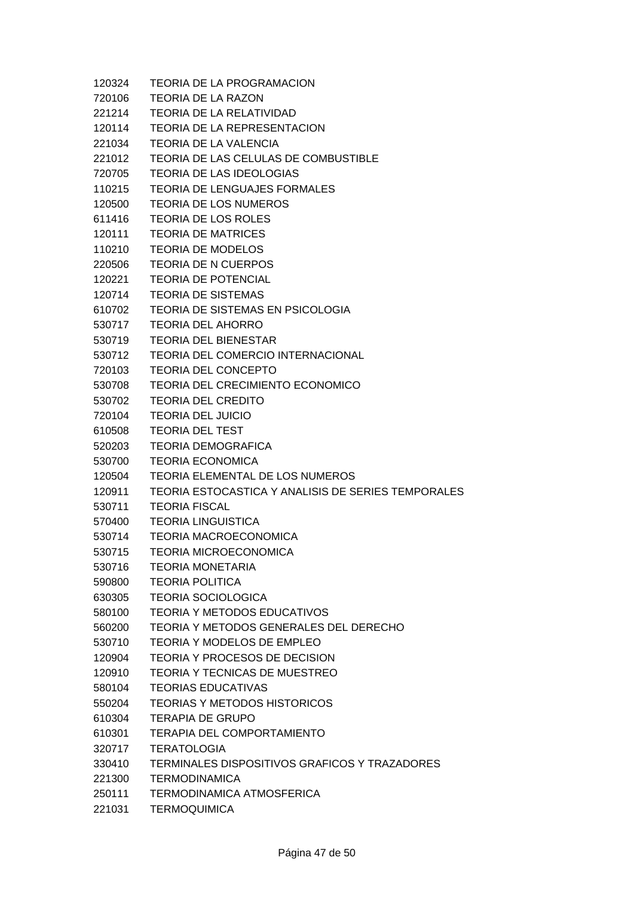| 120324 | TEORIA DE LA PROGRAMACION                            |
|--------|------------------------------------------------------|
| 720106 | <b>TEORIA DE LA RAZON</b>                            |
| 221214 | TEORIA DE LA RELATIVIDAD                             |
| 120114 | TEORIA DE LA REPRESENTACION                          |
| 221034 | <b>TEORIA DE LA VALENCIA</b>                         |
| 221012 | TEORIA DE LAS CELULAS DE COMBUSTIBLE                 |
| 720705 | <b>TEORIA DE LAS IDEOLOGIAS</b>                      |
| 110215 | <b>TEORIA DE LENGUAJES FORMALES</b>                  |
| 120500 | <b>TEORIA DE LOS NUMEROS</b>                         |
| 611416 | <b>TEORIA DE LOS ROLES</b>                           |
| 120111 | <b>TEORIA DE MATRICES</b>                            |
| 110210 | <b>TEORIA DE MODELOS</b>                             |
| 220506 | <b>TEORIA DE N CUERPOS</b>                           |
| 120221 | <b>TEORIA DE POTENCIAL</b>                           |
| 120714 | <b>TEORIA DE SISTEMAS</b>                            |
| 610702 | <b>TEORIA DE SISTEMAS EN PSICOLOGIA</b>              |
| 530717 | <b>TEORIA DEL AHORRO</b>                             |
| 530719 | <b>TEORIA DEL BIENESTAR</b>                          |
| 530712 | <b>TEORIA DEL COMERCIO INTERNACIONAL</b>             |
| 720103 | <b>TEORIA DEL CONCEPTO</b>                           |
| 530708 | TEORIA DEL CRECIMIENTO ECONOMICO                     |
| 530702 | <b>TEORIA DEL CREDITO</b>                            |
| 720104 | <b>TEORIA DEL JUICIO</b>                             |
| 610508 | <b>TEORIA DEL TEST</b>                               |
| 520203 | <b>TEORIA DEMOGRAFICA</b>                            |
| 530700 | <b>TEORIA ECONOMICA</b>                              |
| 120504 | TEORIA ELEMENTAL DE LOS NUMEROS                      |
| 120911 | TEORIA ESTOCASTICA Y ANALISIS DE SERIES TEMPORALES   |
| 530711 | <b>TEORIA FISCAL</b>                                 |
| 570400 | <b>TEORIA LINGUISTICA</b>                            |
| 530714 | <b>TEORIA MACROECONOMICA</b>                         |
| 530715 | <b>TEORIA MICROECONOMICA</b>                         |
| 530716 | <b>TEORIA MONETARIA</b>                              |
| 590800 | <b>TEORIA POLITICA</b>                               |
| 630305 | <b>TEORIA SOCIOLOGICA</b>                            |
| 580100 | <b>TEORIA Y METODOS EDUCATIVOS</b>                   |
| 560200 | TEORIA Y METODOS GENERALES DEL DERECHO               |
| 530710 | <b>TEORIA Y MODELOS DE EMPLEO</b>                    |
| 120904 | <b>TEORIA Y PROCESOS DE DECISION</b>                 |
| 120910 | TEORIA Y TECNICAS DE MUESTREO                        |
| 580104 | <b>TEORIAS EDUCATIVAS</b>                            |
| 550204 | <b>TEORIAS Y METODOS HISTORICOS</b>                  |
| 610304 | TERAPIA DE GRUPO                                     |
| 610301 | <b>TERAPIA DEL COMPORTAMIENTO</b>                    |
| 320717 | <b>TERATOLOGIA</b>                                   |
| 330410 | <b>TERMINALES DISPOSITIVOS GRAFICOS Y TRAZADORES</b> |
| 221300 | <b>TERMODINAMICA</b>                                 |
| 250111 | <b>TERMODINAMICA ATMOSFERICA</b>                     |
| 221031 | <b>TERMOQUIMICA</b>                                  |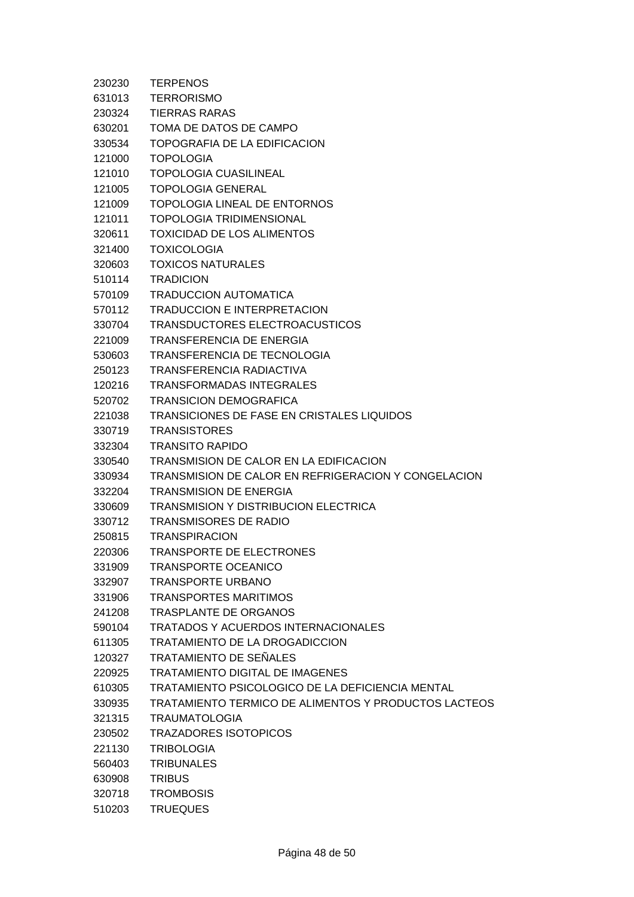| 230230           | <b>TERPENOS</b>                                                            |
|------------------|----------------------------------------------------------------------------|
| 631013           | <b>TERRORISMO</b>                                                          |
| 230324           | <b>TIERRAS RARAS</b>                                                       |
| 630201           | TOMA DE DATOS DE CAMPO                                                     |
| 330534           | TOPOGRAFIA DE LA EDIFICACION                                               |
| 121000           | <b>TOPOLOGIA</b>                                                           |
| 121010           | <b>TOPOLOGIA CUASILINEAL</b>                                               |
| 121005           | <b>TOPOLOGIA GENERAL</b>                                                   |
| 121009           | <b>TOPOLOGIA LINEAL DE ENTORNOS</b>                                        |
| 121011           | <b>TOPOLOGIA TRIDIMENSIONAL</b>                                            |
| 320611           | <b>TOXICIDAD DE LOS ALIMENTOS</b>                                          |
| 321400           | <b>TOXICOLOGIA</b>                                                         |
| 320603           | <b>TOXICOS NATURALES</b>                                                   |
| 510114           | <b>TRADICION</b>                                                           |
| 570109           | <b>TRADUCCION AUTOMATICA</b>                                               |
| 570112           | <b>TRADUCCION E INTERPRETACION</b>                                         |
| 330704           | TRANSDUCTORES ELECTROACUSTICOS                                             |
| 221009           | <b>TRANSFERENCIA DE ENERGIA</b>                                            |
| 530603           | TRANSFERENCIA DE TECNOLOGIA                                                |
| 250123           | TRANSFERENCIA RADIACTIVA                                                   |
| 120216           | <b>TRANSFORMADAS INTEGRALES</b>                                            |
| 520702           | <b>TRANSICION DEMOGRAFICA</b>                                              |
| 221038           | <b>TRANSICIONES DE FASE EN CRISTALES LIQUIDOS</b>                          |
| 330719           | <b>TRANSISTORES</b>                                                        |
| 332304           | <b>TRANSITO RAPIDO</b>                                                     |
| 330540           | TRANSMISION DE CALOR EN LA EDIFICACION                                     |
| 330934           | TRANSMISION DE CALOR EN REFRIGERACION Y CONGELACION                        |
| 332204           | <b>TRANSMISION DE ENERGIA</b>                                              |
| 330609           | <b>TRANSMISION Y DISTRIBUCION ELECTRICA</b>                                |
| 330712           | <b>TRANSMISORES DE RADIO</b>                                               |
| 250815           | <b>TRANSPIRACION</b>                                                       |
| 220306           | <b>TRANSPORTE DE ELECTRONES</b>                                            |
| 331909           | <b>TRANSPORTE OCEANICO</b>                                                 |
| 332907           | <b>TRANSPORTE URBANO</b>                                                   |
| 331906           | <b>TRANSPORTES MARITIMOS</b>                                               |
| 241208           | <b>TRASPLANTE DE ORGANOS</b><br><b>TRATADOS Y ACUERDOS INTERNACIONALES</b> |
| 590104           | <b>TRATAMIENTO DE LA DROGADICCION</b>                                      |
| 611305           | TRATAMIENTO DE SEÑALES                                                     |
| 120327           | TRATAMIENTO DIGITAL DE IMAGENES                                            |
| 220925<br>610305 | TRATAMIENTO PSICOLOGICO DE LA DEFICIENCIA MENTAL                           |
| 330935           | TRATAMIENTO TERMICO DE ALIMENTOS Y PRODUCTOS LACTEOS                       |
| 321315           | <b>TRAUMATOLOGIA</b>                                                       |
| 230502           | <b>TRAZADORES ISOTOPICOS</b>                                               |
| 221130           | <b>TRIBOLOGIA</b>                                                          |
| 560403           | <b>TRIBUNALES</b>                                                          |
| 630908           | <b>TRIBUS</b>                                                              |
| 320718           | <b>TROMBOSIS</b>                                                           |
| 510203           | <b>TRUEQUES</b>                                                            |
|                  |                                                                            |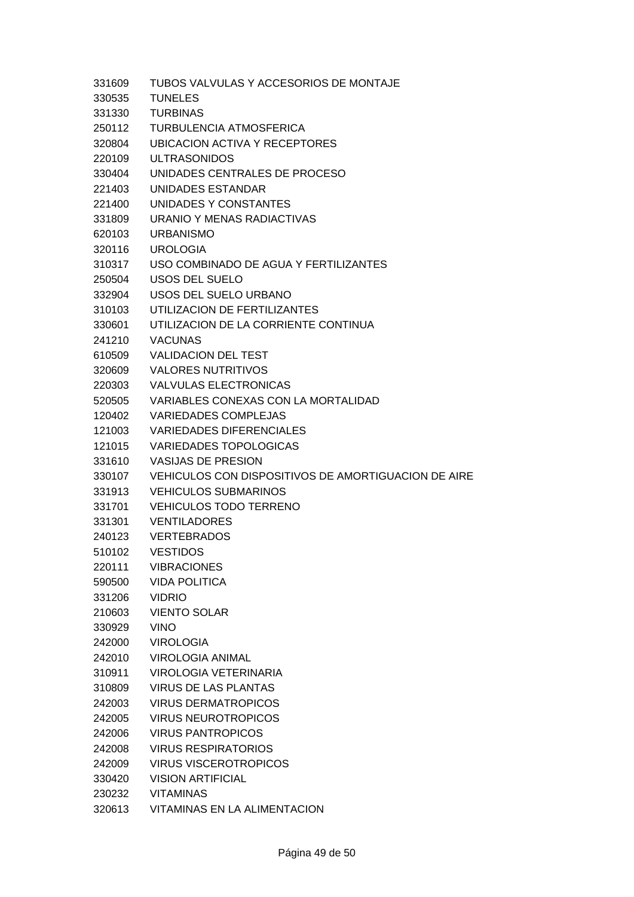| 331609 | TUBOS VALVULAS Y ACCESORIOS DE MONTAJE              |
|--------|-----------------------------------------------------|
| 330535 | <b>TUNELES</b>                                      |
| 331330 | <b>TURBINAS</b>                                     |
| 250112 | <b>TURBULENCIA ATMOSFERICA</b>                      |
| 320804 | <b>UBICACION ACTIVA Y RECEPTORES</b>                |
| 220109 | <b>ULTRASONIDOS</b>                                 |
| 330404 | UNIDADES CENTRALES DE PROCESO                       |
| 221403 | UNIDADES ESTANDAR                                   |
| 221400 | UNIDADES Y CONSTANTES                               |
| 331809 | URANIO Y MENAS RADIACTIVAS                          |
| 620103 | <b>URBANISMO</b>                                    |
| 320116 | <b>UROLOGIA</b>                                     |
| 310317 | USO COMBINADO DE AGUA Y FERTILIZANTES               |
| 250504 | <b>USOS DEL SUELO</b>                               |
| 332904 | USOS DEL SUELO URBANO                               |
| 310103 | UTILIZACION DE FERTILIZANTES                        |
| 330601 | UTILIZACION DE LA CORRIENTE CONTINUA                |
| 241210 | <b>VACUNAS</b>                                      |
| 610509 | <b>VALIDACION DEL TEST</b>                          |
| 320609 | <b>VALORES NUTRITIVOS</b>                           |
| 220303 | <b>VALVULAS ELECTRONICAS</b>                        |
| 520505 | VARIABLES CONEXAS CON LA MORTALIDAD                 |
| 120402 | <b>VARIEDADES COMPLEJAS</b>                         |
| 121003 | <b>VARIEDADES DIFERENCIALES</b>                     |
| 121015 | <b>VARIEDADES TOPOLOGICAS</b>                       |
| 331610 | <b>VASIJAS DE PRESION</b>                           |
| 330107 | VEHICULOS CON DISPOSITIVOS DE AMORTIGUACION DE AIRE |
| 331913 | <b>VEHICULOS SUBMARINOS</b>                         |
| 331701 | <b>VEHICULOS TODO TERRENO</b>                       |
| 331301 | <b>VENTILADORES</b>                                 |
| 240123 | <b>VERTEBRADOS</b>                                  |
| 510102 | <b>VESTIDOS</b>                                     |
| 220111 | <b>VIBRACIONES</b>                                  |
| 590500 | <b>VIDA POLITICA</b>                                |
| 331206 | <b>VIDRIO</b>                                       |
| 210603 | <b>VIENTO SOLAR</b>                                 |
| 330929 | <b>VINO</b>                                         |
| 242000 | <b>VIROLOGIA</b>                                    |
| 242010 | <b>VIROLOGIA ANIMAL</b>                             |
| 310911 | VIROLOGIA VETERINARIA                               |
| 310809 | <b>VIRUS DE LAS PLANTAS</b>                         |
| 242003 | <b>VIRUS DERMATROPICOS</b>                          |
| 242005 | <b>VIRUS NEUROTROPICOS</b>                          |
| 242006 | <b>VIRUS PANTROPICOS</b>                            |
| 242008 | <b>VIRUS RESPIRATORIOS</b>                          |
| 242009 | <b>VIRUS VISCEROTROPICOS</b>                        |
| 330420 | <b>VISION ARTIFICIAL</b>                            |
| 230232 | <b>VITAMINAS</b>                                    |
| 320613 | VITAMINAS EN LA ALIMENTACION                        |